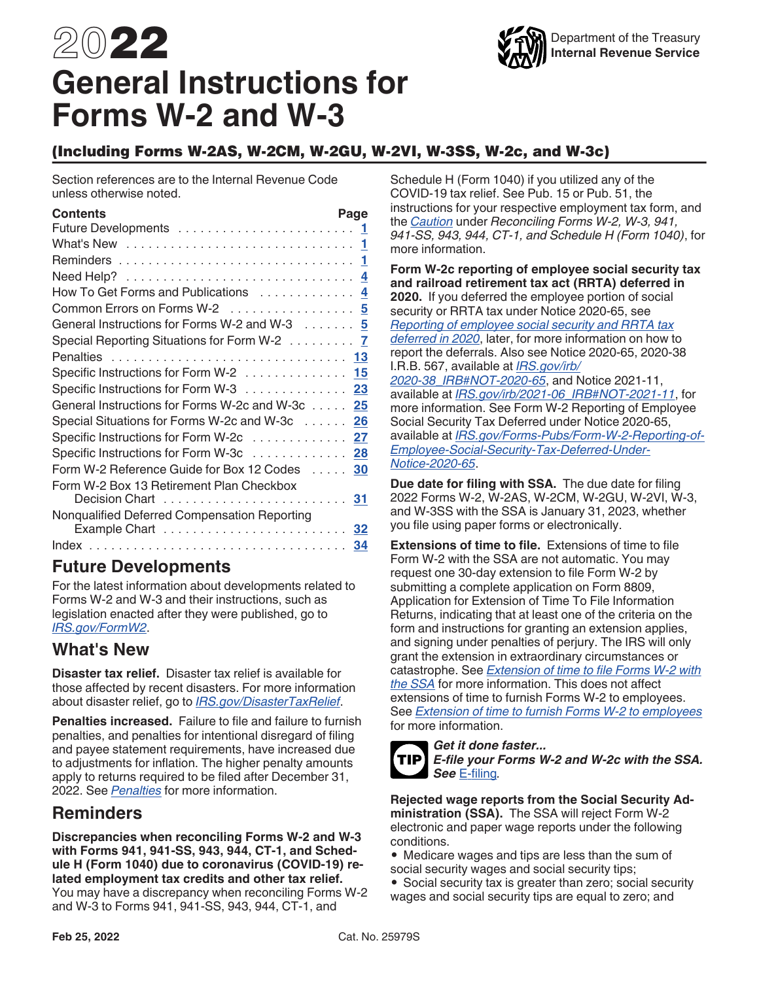# <span id="page-0-0"></span>2022 **General Instructions for Forms W-2 and W-3**



## (Including Forms W-2AS, W-2CM, W-2GU, W-2VI, W-3SS, W-2c, and W-3c)

Section references are to the Internal Revenue Code unless otherwise noted.

| Contents                                        | Page |
|-------------------------------------------------|------|
|                                                 |      |
|                                                 |      |
|                                                 |      |
|                                                 |      |
| How To Get Forms and Publications  4            |      |
| Common Errors on Forms W-2  5                   |      |
| General Instructions for Forms W-2 and W-3 5    |      |
| Special Reporting Situations for Form W-2 7     |      |
| Penalties  13                                   |      |
| Specific Instructions for Form W-2 15           |      |
| Specific Instructions for Form W-3 23           |      |
| General Instructions for Forms W-2c and W-3c 25 |      |
| Special Situations for Forms W-2c and W-3c 26   |      |
| Specific Instructions for Form W-2c 27          |      |
| Specific Instructions for Form W-3c 28          |      |
| Form W-2 Reference Guide for Box 12 Codes       | - 30 |
| Form W-2 Box 13 Retirement Plan Checkbox        |      |
| Decision Chart  31                              |      |
| Nonqualified Deferred Compensation Reporting    |      |
|                                                 |      |
|                                                 | 34   |

## **Future Developments**

For the latest information about developments related to Forms W-2 and W-3 and their instructions, such as legislation enacted after they were published, go to *[IRS.gov/FormW2](https://www.irs.gov/w2)*.

## **What's New**

**Disaster tax relief.** Disaster tax relief is available for those affected by recent disasters. For more information about disaster relief, go to *[IRS.gov/DisasterTaxRelief](https://www.irs.gov/disastertaxrelief)*.

**Penalties increased.** Failure to file and failure to furnish penalties, and penalties for intentional disregard of filing and payee statement requirements, have increased due to adjustments for inflation. The higher penalty amounts apply to returns required to be filed after December 31, 2022. See *[Penalties](#page-12-0)* for more information.

## **Reminders**

**Discrepancies when reconciling Forms W-2 and W-3 with Forms 941, 941-SS, 943, 944, CT-1, and Schedule H (Form 1040) due to coronavirus (COVID-19) related employment tax credits and other tax relief.**  You may have a discrepancy when reconciling Forms W-2 and W-3 to Forms 941, 941-SS, 943, 944, CT-1, and

Schedule H (Form 1040) if you utilized any of the COVID-19 tax relief. See Pub. 15 or Pub. 51, the instructions for your respective employment tax form, and the *[Caution](#page-24-0)* under *Reconciling Forms W-2, W-3, 941, 941-SS, 943, 944, CT-1, and Schedule H (Form 1040)*, for more information.

**Form W-2c reporting of employee social security tax and railroad retirement tax act (RRTA) deferred in 2020.** If you deferred the employee portion of social security or RRTA tax under Notice 2020-65, see *[Reporting of employee social security and RRTA tax](#page-26-0)  [deferred in 2020](#page-26-0)*, later, for more information on how to report the deferrals. Also see Notice 2020-65, 2020-38 I.R.B. 567, available at *[IRS.gov/irb/](https://www.irs.gov/irb/2020-38_IRB#NOT-2020-65) [2020-38\\_IRB#NOT-2020-65](https://www.irs.gov/irb/2020-38_IRB#NOT-2020-65)*, and Notice 2021-11, available at *[IRS.gov/irb/2021-06\\_IRB#NOT-2021-11](https://www.irs.gov/irb/2021-06_IRB#NOT-2021-11)*, for more information. See Form W-2 Reporting of Employee Social Security Tax Deferred under Notice 2020-65,

available at *[IRS.gov/Forms-Pubs/Form-W-2-Reporting-of-](https://www.irs.gov/forms-pubs/form-w-2-reporting-of-employee-social-security-tax-deferred-under-notice-2020-65)[Employee-Social-Security-Tax-Deferred-Under-](https://www.irs.gov/forms-pubs/form-w-2-reporting-of-employee-social-security-tax-deferred-under-notice-2020-65)[Notice-2020-65](https://www.irs.gov/forms-pubs/form-w-2-reporting-of-employee-social-security-tax-deferred-under-notice-2020-65)*.

**Due date for filing with SSA.** The due date for filing 2022 Forms W-2, W-2AS, W-2CM, W-2GU, W-2VI, W-3, and W-3SS with the SSA is January 31, 2023, whether you file using paper forms or electronically.

**Extensions of time to file.** Extensions of time to file Form W-2 with the SSA are not automatic. You may request one 30-day extension to file Form W-2 by submitting a complete application on Form 8809, Application for Extension of Time To File Information Returns, indicating that at least one of the criteria on the form and instructions for granting an extension applies, and signing under penalties of perjury. The IRS will only grant the extension in extraordinary circumstances or catastrophe. See *[Extension of time to file Forms W-2 with](#page-4-0)  [the SSA](#page-4-0)* for more information. This does not affect extensions of time to furnish Forms W-2 to employees. See *[Extension of time to furnish Forms W-2 to employees](#page-6-0)*  for more information.



## *Get it done faster...*

*E-file your Forms W-2 and W-2c with the SSA. See* [E-filing](#page-2-0)*.*

**Rejected wage reports from the Social Security Administration (SSA).** The SSA will reject Form W-2 electronic and paper wage reports under the following conditions.

- Medicare wages and tips are less than the sum of social security wages and social security tips;
- Social security tax is greater than zero; social security wages and social security tips are equal to zero; and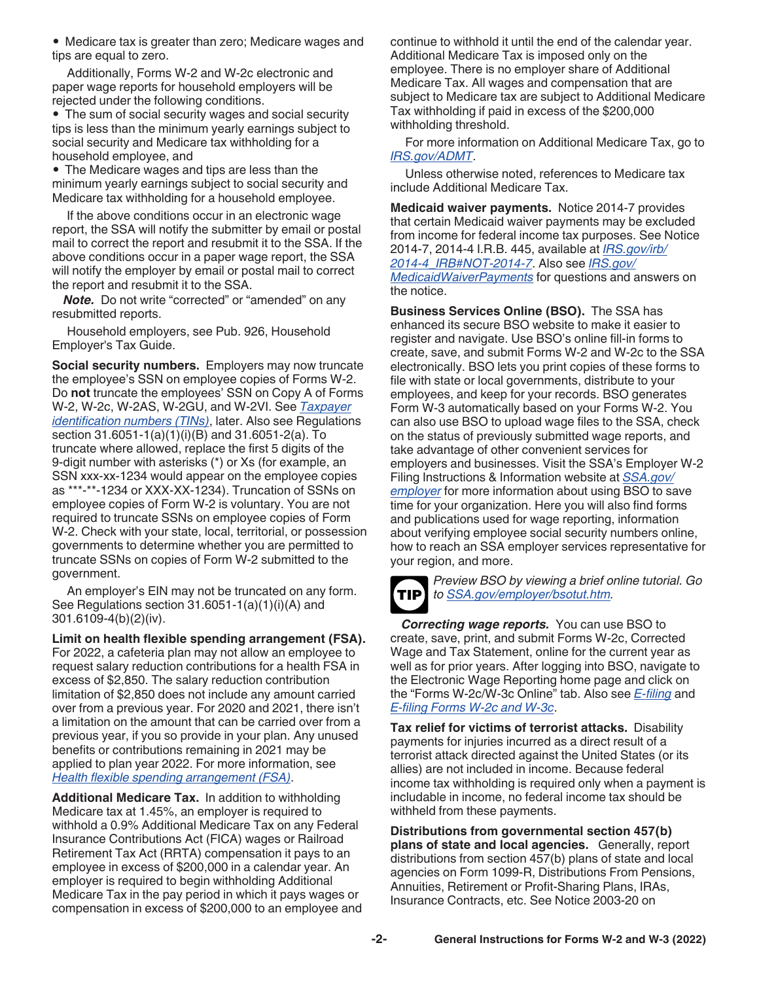<span id="page-1-0"></span>• Medicare tax is greater than zero; Medicare wages and tips are equal to zero.

Additionally, Forms W-2 and W-2c electronic and paper wage reports for household employers will be rejected under the following conditions.

• The sum of social security wages and social security tips is less than the minimum yearly earnings subject to social security and Medicare tax withholding for a household employee, and

• The Medicare wages and tips are less than the minimum yearly earnings subject to social security and Medicare tax withholding for a household employee.

If the above conditions occur in an electronic wage report, the SSA will notify the submitter by email or postal mail to correct the report and resubmit it to the SSA. If the above conditions occur in a paper wage report, the SSA will notify the employer by email or postal mail to correct the report and resubmit it to the SSA.

*Note.* Do not write "corrected" or "amended" on any resubmitted reports.

Household employers, see Pub. 926, Household Employer's Tax Guide.

**Social security numbers.** Employers may now truncate the employee's SSN on employee copies of Forms W-2. Do **not** truncate the employees' SSN on Copy A of Forms W-2, W-2c, W-2AS, W-2GU, and W-2VI. See *[Taxpayer](#page-6-0) [identification numbers \(TINs\)](#page-6-0)*, later. Also see Regulations section 31.6051-1(a)(1)(i)(B) and 31.6051-2(a). To truncate where allowed, replace the first 5 digits of the 9-digit number with asterisks (\*) or Xs (for example, an SSN xxx-xx-1234 would appear on the employee copies as \*\*\*-\*\*-1234 or XXX-XX-1234). Truncation of SSNs on employee copies of Form W-2 is voluntary. You are not required to truncate SSNs on employee copies of Form W-2. Check with your state, local, territorial, or possession governments to determine whether you are permitted to truncate SSNs on copies of Form W-2 submitted to the government.

An employer's EIN may not be truncated on any form. See Regulations section 31.6051-1(a)(1)(i)(A) and 301.6109-4(b)(2)(iv).

**Limit on health flexible spending arrangement (FSA).**  For 2022, a cafeteria plan may not allow an employee to request salary reduction contributions for a health FSA in excess of \$2,850. The salary reduction contribution limitation of \$2,850 does not include any amount carried over from a previous year. For 2020 and 2021, there isn't a limitation on the amount that can be carried over from a previous year, if you so provide in your plan. Any unused benefits or contributions remaining in 2021 may be applied to plan year 2022. For more information, see *[Health flexible spending arrangement \(FSA\)](#page-9-0)*.

**Additional Medicare Tax.** In addition to withholding Medicare tax at 1.45%, an employer is required to withhold a 0.9% Additional Medicare Tax on any Federal Insurance Contributions Act (FICA) wages or Railroad Retirement Tax Act (RRTA) compensation it pays to an employee in excess of \$200,000 in a calendar year. An employer is required to begin withholding Additional Medicare Tax in the pay period in which it pays wages or compensation in excess of \$200,000 to an employee and continue to withhold it until the end of the calendar year. Additional Medicare Tax is imposed only on the employee. There is no employer share of Additional Medicare Tax. All wages and compensation that are subject to Medicare tax are subject to Additional Medicare Tax withholding if paid in excess of the \$200,000 withholding threshold.

For more information on Additional Medicare Tax, go to *[IRS.gov/ADMT](https://www.irs.gov/admt)*.

Unless otherwise noted, references to Medicare tax include Additional Medicare Tax.

**Medicaid waiver payments.** Notice 2014-7 provides that certain Medicaid waiver payments may be excluded from income for federal income tax purposes. See Notice 2014-7, 2014-4 I.R.B. 445, available at *[IRS.gov/irb/](https://www.irs.gov/irb/2014-4_IRB#NOT-2014-7) [2014-4\\_IRB#NOT-2014-7](https://www.irs.gov/irb/2014-4_IRB#NOT-2014-7)*. Also see *[IRS.gov/](https://www.irs.gov/MedicaidWaiverPayments) [MedicaidWaiverPayments](https://www.irs.gov/MedicaidWaiverPayments)* for questions and answers on the notice.

**Business Services Online (BSO).** The SSA has enhanced its secure BSO website to make it easier to register and navigate. Use BSO's online fill-in forms to create, save, and submit Forms W-2 and W-2c to the SSA electronically. BSO lets you print copies of these forms to file with state or local governments, distribute to your employees, and keep for your records. BSO generates Form W-3 automatically based on your Forms W-2. You can also use BSO to upload wage files to the SSA, check on the status of previously submitted wage reports, and take advantage of other convenient services for employers and businesses. Visit the SSA's Employer W-2 Filing Instructions & Information website at *[SSA.gov/](https://www.ssa.gov/employer) [employer](https://www.ssa.gov/employer)* for more information about using BSO to save time for your organization. Here you will also find forms and publications used for wage reporting, information about verifying employee social security numbers online, how to reach an SSA employer services representative for your region, and more.



*Preview BSO by viewing a brief online tutorial. Go to [SSA.gov/employer/bsotut.htm.](https://www.ssa.gov/employer/bsotut.htm)*

*Correcting wage reports.* You can use BSO to create, save, print, and submit Forms W-2c, Corrected Wage and Tax Statement, online for the current year as well as for prior years. After logging into BSO, navigate to the Electronic Wage Reporting home page and click on the "Forms W-2c/W-3c Online" tab. Also see *[E-filing](#page-2-0)* and *[E-filing Forms W-2c and W-3c](#page-24-0)*.

**Tax relief for victims of terrorist attacks.** Disability payments for injuries incurred as a direct result of a terrorist attack directed against the United States (or its allies) are not included in income. Because federal income tax withholding is required only when a payment is includable in income, no federal income tax should be withheld from these payments.

**Distributions from governmental section 457(b) plans of state and local agencies.** Generally, report distributions from section 457(b) plans of state and local agencies on Form 1099-R, Distributions From Pensions, Annuities, Retirement or Profit-Sharing Plans, IRAs, Insurance Contracts, etc. See Notice 2003-20 on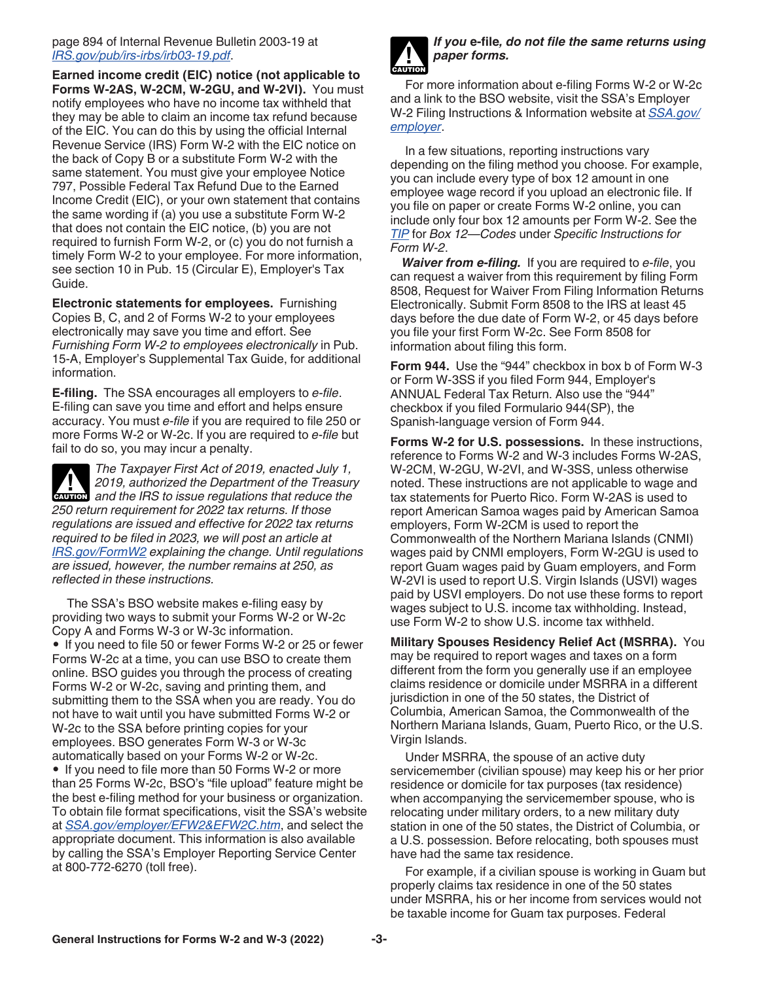### <span id="page-2-0"></span>page 894 of Internal Revenue Bulletin 2003-19 at *[IRS.gov/pub/irs-irbs/irb03-19.pdf](https://www.irs.gov/pub/irs-irbs/irb03-19.pdf)*.

**Earned income credit (EIC) notice (not applicable to Forms W-2AS, W-2CM, W-2GU, and W-2VI).** You must notify employees who have no income tax withheld that they may be able to claim an income tax refund because of the EIC. You can do this by using the official Internal Revenue Service (IRS) Form W-2 with the EIC notice on the back of Copy B or a substitute Form W-2 with the same statement. You must give your employee Notice 797, Possible Federal Tax Refund Due to the Earned Income Credit (EIC), or your own statement that contains the same wording if (a) you use a substitute Form W-2 that does not contain the EIC notice, (b) you are not required to furnish Form W-2, or (c) you do not furnish a timely Form W-2 to your employee. For more information, see section 10 in Pub. 15 (Circular E), Employer's Tax Guide.

**Electronic statements for employees.** Furnishing Copies B, C, and 2 of Forms W-2 to your employees electronically may save you time and effort. See *Furnishing Form W-2 to employees electronically* in Pub. 15-A, Employer's Supplemental Tax Guide, for additional information.

**E-filing.** The SSA encourages all employers to *e-file*. E-filing can save you time and effort and helps ensure accuracy. You must *e-file* if you are required to file 250 or more Forms W-2 or W-2c. If you are required to *e-file* but fail to do so, you may incur a penalty.

*The Taxpayer First Act of 2019, enacted July 1, 2019, authorized the Department of the Treasury*  **2019**, authorized the Department of the Treasury<br>
and the IRS to issue regulations that reduce the *250 return requirement for 2022 tax returns. If those regulations are issued and effective for 2022 tax returns required to be filed in 2023, we will post an article at [IRS.gov/FormW2](https://www.irs.gov/FormW2) explaining the change. Until regulations are issued, however, the number remains at 250, as reflected in these instructions.*

The SSA's BSO website makes e-filing easy by providing two ways to submit your Forms W-2 or W-2c Copy A and Forms W-3 or W-3c information. • If you need to file 50 or fewer Forms W-2 or 25 or fewer Forms W-2c at a time, you can use BSO to create them online. BSO guides you through the process of creating Forms W-2 or W-2c, saving and printing them, and submitting them to the SSA when you are ready. You do not have to wait until you have submitted Forms W-2 or W-2c to the SSA before printing copies for your employees. BSO generates Form W-3 or W-3c automatically based on your Forms W-2 or W-2c. • If you need to file more than 50 Forms W-2 or more than 25 Forms W-2c, BSO's "file upload" feature might be the best e-filing method for your business or organization. To obtain file format specifications, visit the SSA's website at *[SSA.gov/employer/EFW2&EFW2C.htm](https://www.ssa.gov/employer/EFW2&EFW2C.htm)*, and select the appropriate document. This information is also available by calling the SSA's Employer Reporting Service Center at 800-772-6270 (toll free).



*If you* **e-file***, do not file the same returns using paper forms.*

For more information about e-filing Forms W-2 or W-2c and a link to the BSO website, visit the SSA's Employer W-2 Filing Instructions & Information website at *[SSA.gov/](https://www.ssa.gov/employer) [employer](https://www.ssa.gov/employer)*.

In a few situations, reporting instructions vary depending on the filing method you choose. For example, you can include every type of box 12 amount in one employee wage record if you upload an electronic file. If you file on paper or create Forms W-2 online, you can include only four box 12 amounts per Form W-2. See the *[TIP](#page-17-0)* for *Box 12—Codes* under *Specific Instructions for Form W-2*.

*Waiver from e-filing.* If you are required to *e-file*, you can request a waiver from this requirement by filing Form 8508, Request for Waiver From Filing Information Returns Electronically. Submit Form 8508 to the IRS at least 45 days before the due date of Form W-2, or 45 days before you file your first Form W-2c. See Form 8508 for information about filing this form.

**Form 944.** Use the "944" checkbox in box b of Form W-3 or Form W-3SS if you filed Form 944, Employer's ANNUAL Federal Tax Return. Also use the "944" checkbox if you filed Formulario 944(SP), the Spanish-language version of Form 944.

**Forms W-2 for U.S. possessions.** In these instructions, reference to Forms W-2 and W-3 includes Forms W-2AS, W-2CM, W-2GU, W-2VI, and W-3SS, unless otherwise noted. These instructions are not applicable to wage and tax statements for Puerto Rico. Form W-2AS is used to report American Samoa wages paid by American Samoa employers, Form W-2CM is used to report the Commonwealth of the Northern Mariana Islands (CNMI) wages paid by CNMI employers, Form W-2GU is used to report Guam wages paid by Guam employers, and Form W-2VI is used to report U.S. Virgin Islands (USVI) wages paid by USVI employers. Do not use these forms to report wages subject to U.S. income tax withholding. Instead, use Form W-2 to show U.S. income tax withheld.

**Military Spouses Residency Relief Act (MSRRA).** You may be required to report wages and taxes on a form different from the form you generally use if an employee claims residence or domicile under MSRRA in a different jurisdiction in one of the 50 states, the District of Columbia, American Samoa, the Commonwealth of the Northern Mariana Islands, Guam, Puerto Rico, or the U.S. Virgin Islands.

Under MSRRA, the spouse of an active duty servicemember (civilian spouse) may keep his or her prior residence or domicile for tax purposes (tax residence) when accompanying the servicemember spouse, who is relocating under military orders, to a new military duty station in one of the 50 states, the District of Columbia, or a U.S. possession. Before relocating, both spouses must have had the same tax residence.

For example, if a civilian spouse is working in Guam but properly claims tax residence in one of the 50 states under MSRRA, his or her income from services would not be taxable income for Guam tax purposes. Federal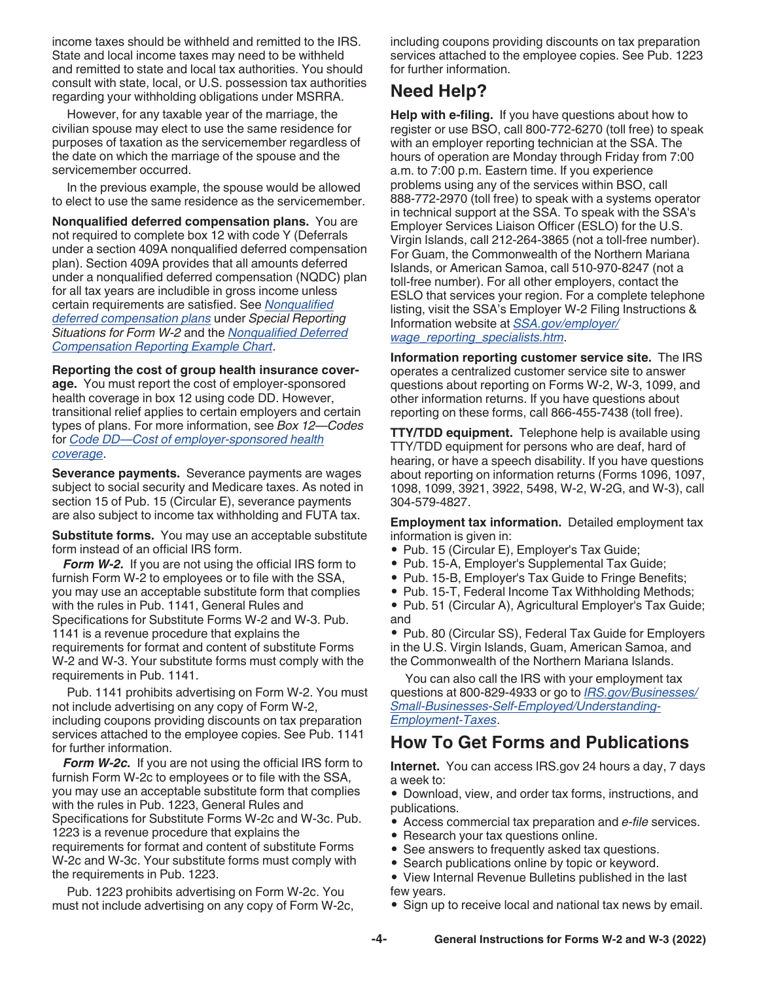<span id="page-3-0"></span>income taxes should be withheld and remitted to the IRS. State and local income taxes may need to be withheld and remitted to state and local tax authorities. You should consult with state, local, or U.S. possession tax authorities regarding your withholding obligations under MSRRA.

However, for any taxable year of the marriage, the civilian spouse may elect to use the same residence for purposes of taxation as the servicemember regardless of the date on which the marriage of the spouse and the servicemember occurred.

In the previous example, the spouse would be allowed to elect to use the same residence as the servicemember.

**Nonqualified deferred compensation plans.** You are not required to complete box 12 with code Y (Deferrals under a section 409A nonqualified deferred compensation plan). Section 409A provides that all amounts deferred under a nonqualified deferred compensation (NQDC) plan for all tax years are includible in gross income unless certain requirements are satisfied. See *[Nonqualified](#page-10-0) [deferred compensation plans](#page-10-0)* under *Special Reporting Situations for Form W-2* and the *[Nonqualified Deferred](#page-31-0)  [Compensation Reporting Example Chart](#page-31-0)*.

**Reporting the cost of group health insurance coverage.** You must report the cost of employer-sponsored health coverage in box 12 using code DD. However, transitional relief applies to certain employers and certain types of plans. For more information, see *Box 12—Codes*  for *[Code DD—Cost of employer-sponsored health](#page-20-0) [coverage](#page-20-0)*.

**Severance payments.** Severance payments are wages subject to social security and Medicare taxes. As noted in section 15 of Pub. 15 (Circular E), severance payments are also subject to income tax withholding and FUTA tax.

**Substitute forms.** You may use an acceptable substitute form instead of an official IRS form.

*Form W-2.* If you are not using the official IRS form to furnish Form W-2 to employees or to file with the SSA, you may use an acceptable substitute form that complies with the rules in Pub. 1141, General Rules and Specifications for Substitute Forms W-2 and W-3. Pub. 1141 is a revenue procedure that explains the requirements for format and content of substitute Forms W-2 and W-3. Your substitute forms must comply with the requirements in Pub. 1141.

Pub. 1141 prohibits advertising on Form W-2. You must not include advertising on any copy of Form W-2, including coupons providing discounts on tax preparation services attached to the employee copies. See Pub. 1141 for further information.

*Form W-2c.* If you are not using the official IRS form to furnish Form W-2c to employees or to file with the SSA, you may use an acceptable substitute form that complies with the rules in Pub. 1223, General Rules and Specifications for Substitute Forms W-2c and W-3c. Pub. 1223 is a revenue procedure that explains the requirements for format and content of substitute Forms W-2c and W-3c. Your substitute forms must comply with the requirements in Pub. 1223.

Pub. 1223 prohibits advertising on Form W-2c. You must not include advertising on any copy of Form W-2c, including coupons providing discounts on tax preparation services attached to the employee copies. See Pub. 1223 for further information.

## **Need Help?**

**Help with e-filing.** If you have questions about how to register or use BSO, call 800-772-6270 (toll free) to speak with an employer reporting technician at the SSA. The hours of operation are Monday through Friday from 7:00 a.m. to 7:00 p.m. Eastern time. If you experience problems using any of the services within BSO, call 888-772-2970 (toll free) to speak with a systems operator in technical support at the SSA. To speak with the SSA's Employer Services Liaison Officer (ESLO) for the U.S. Virgin Islands, call 212-264-3865 (not a toll-free number). For Guam, the Commonwealth of the Northern Mariana Islands, or American Samoa, call 510-970-8247 (not a toll-free number). For all other employers, contact the ESLO that services your region. For a complete telephone listing, visit the SSA's Employer W-2 Filing Instructions & Information website at *[SSA.gov/employer/](https://www.ssa.gov/employer/wage_reporting_specialists.htm) [wage\\_reporting\\_specialists.htm](https://www.ssa.gov/employer/wage_reporting_specialists.htm)*.

**Information reporting customer service site.** The IRS operates a centralized customer service site to answer questions about reporting on Forms W-2, W-3, 1099, and other information returns. If you have questions about reporting on these forms, call 866-455-7438 (toll free).

**TTY/TDD equipment.** Telephone help is available using TTY/TDD equipment for persons who are deaf, hard of hearing, or have a speech disability. If you have questions about reporting on information returns (Forms 1096, 1097, 1098, 1099, 3921, 3922, 5498, W-2, W-2G, and W-3), call 304-579-4827.

**Employment tax information.** Detailed employment tax information is given in:

- Pub. 15 (Circular E), Employer's Tax Guide;
- Pub. 15-A, Employer's Supplemental Tax Guide;
- Pub. 15-B, Employer's Tax Guide to Fringe Benefits;
- Pub. 15-T, Federal Income Tax Withholding Methods;
- Pub. 51 (Circular A), Agricultural Employer's Tax Guide; and

• Pub. 80 (Circular SS), Federal Tax Guide for Employers in the U.S. Virgin Islands, Guam, American Samoa, and the Commonwealth of the Northern Mariana Islands.

You can also call the IRS with your employment tax questions at 800-829-4933 or go to *[IRS.gov/Businesses/](https://www.irs.gov/businesses/small-businesses-self-employed/understanding-employment-taxes) [Small-Businesses-Self-Employed/Understanding-](https://www.irs.gov/businesses/small-businesses-self-employed/understanding-employment-taxes)[Employment-Taxes](https://www.irs.gov/businesses/small-businesses-self-employed/understanding-employment-taxes)*.

## **How To Get Forms and Publications**

**Internet.** You can access IRS.gov 24 hours a day, 7 days a week to:

• Download, view, and order tax forms, instructions, and publications.

- Access commercial tax preparation and *e-file* services.
- Research your tax questions online.
- See answers to frequently asked tax questions.
- Search publications online by topic or keyword.
- View Internal Revenue Bulletins published in the last few years.
- Sign up to receive local and national tax news by email.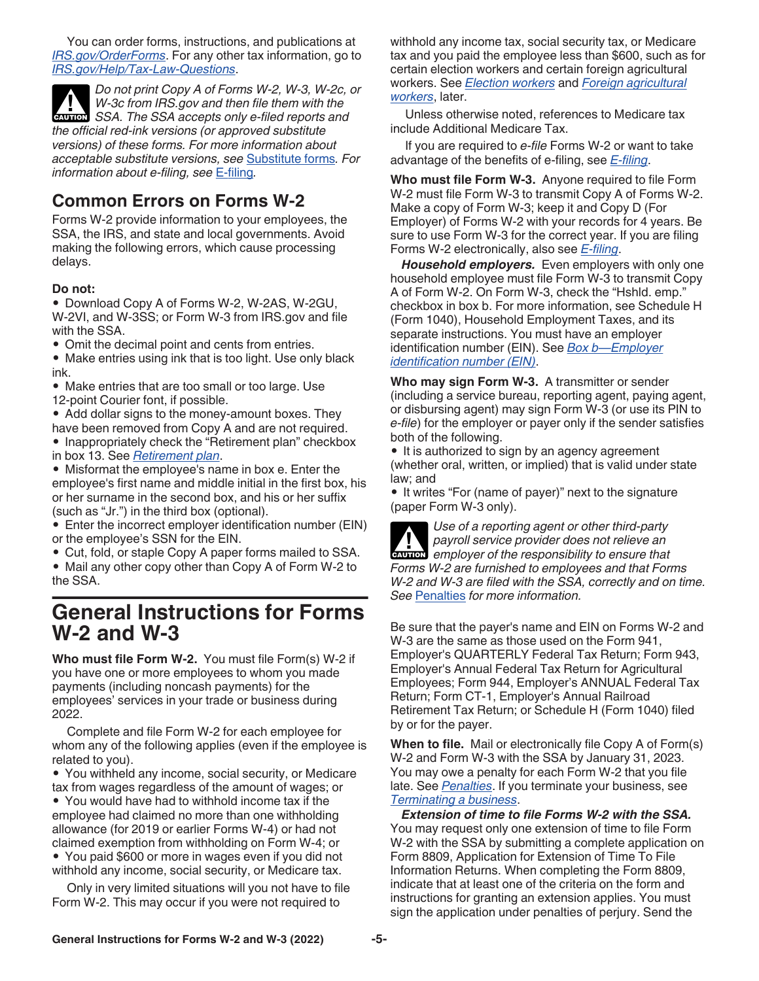<span id="page-4-0"></span>You can order forms, instructions, and publications at *[IRS.gov/OrderForms](https://www.irs.gov/orderforms)*. For any other tax information, go to *[IRS.gov/Help/Tax-Law-Questions](https://www.irs.gov/help/tax-law-questions)*.

*Do not print Copy A of Forms W-2, W-3, W-2c, or W-3c from IRS.gov and then file them with the*  **W-3c from IRS gov and then file them with the extends SSA. The SSA accepts only e-filed reports and** *the official red-ink versions (or approved substitute versions) of these forms. For more information about acceptable substitute versions, see* [Substitute forms](#page-3-0)*. For information about e-filing, see* [E-filing](#page-2-0)*.*

## **Common Errors on Forms W-2**

Forms W-2 provide information to your employees, the SSA, the IRS, and state and local governments. Avoid making the following errors, which cause processing delays.

## **Do not:**

• Download Copy A of Forms W-2, W-2AS, W-2GU, W-2VI, and W-3SS; or Form W-3 from IRS.gov and file with the SSA.

- Omit the decimal point and cents from entries.
- Make entries using ink that is too light. Use only black ink.
- Make entries that are too small or too large. Use 12-point Courier font, if possible.
- Add dollar signs to the money-amount boxes. They have been removed from Copy A and are not required.
- Inappropriately check the "Retirement plan" checkbox in box 13. See *[Retirement plan](#page-21-0)*.
- Misformat the employee's name in box e. Enter the employee's first name and middle initial in the first box, his or her surname in the second box, and his or her suffix (such as "Jr.") in the third box (optional).
- Enter the incorrect employer identification number (EIN) or the employee's SSN for the EIN.
- Cut, fold, or staple Copy A paper forms mailed to SSA.
- Mail any other copy other than Copy A of Form W-2 to the SSA.

## **General Instructions for Forms W-2 and W-3**

**Who must file Form W-2.** You must file Form(s) W-2 if you have one or more employees to whom you made payments (including noncash payments) for the employees' services in your trade or business during 2022.

Complete and file Form W-2 for each employee for whom any of the following applies (even if the employee is related to you).

• You withheld any income, social security, or Medicare tax from wages regardless of the amount of wages; or • You would have had to withhold income tax if the

employee had claimed no more than one withholding allowance (for 2019 or earlier Forms W-4) or had not claimed exemption from withholding on Form W-4; or • You paid \$600 or more in wages even if you did not withhold any income, social security, or Medicare tax.

Only in very limited situations will you not have to file Form W-2. This may occur if you were not required to

withhold any income tax, social security tax, or Medicare tax and you paid the employee less than \$600, such as for certain election workers and certain foreign agricultural workers. See *[Election workers](#page-8-0)* and *[Foreign agricultural](#page-9-0) [workers](#page-9-0)*, later.

Unless otherwise noted, references to Medicare tax include Additional Medicare Tax.

If you are required to *e-file* Forms W-2 or want to take advantage of the benefits of e-filing, see *[E-filing](#page-2-0)*.

**Who must file Form W-3.** Anyone required to file Form W-2 must file Form W-3 to transmit Copy A of Forms W-2. Make a copy of Form W-3; keep it and Copy D (For Employer) of Forms W-2 with your records for 4 years. Be sure to use Form W-3 for the correct year. If you are filing Forms W-2 electronically, also see *[E-filing](#page-2-0)*.

*Household employers.* Even employers with only one household employee must file Form W-3 to transmit Copy A of Form W-2. On Form W-3, check the "Hshld. emp." checkbox in box b. For more information, see Schedule H (Form 1040), Household Employment Taxes, and its separate instructions. You must have an employer identification number (EIN). See *[Box b—Employer](#page-15-0) [identification number \(EIN\)](#page-15-0)*.

**Who may sign Form W-3.** A transmitter or sender (including a service bureau, reporting agent, paying agent, or disbursing agent) may sign Form W-3 (or use its PIN to *e-file*) for the employer or payer only if the sender satisfies both of the following.

• It is authorized to sign by an agency agreement (whether oral, written, or implied) that is valid under state law; and

• It writes "For (name of payer)" next to the signature (paper Form W-3 only).

*Use of a reporting agent or other third-party payroll service provider does not relieve an*  **Provider does not relieve an employer of the responsibility to ensure that** *Forms W-2 are furnished to employees and that Forms W-2 and W-3 are filed with the SSA, correctly and on time. See* [Penalties](#page-12-0) *for more information.*

Be sure that the payer's name and EIN on Forms W-2 and W-3 are the same as those used on the Form 941, Employer's QUARTERLY Federal Tax Return; Form 943, Employer's Annual Federal Tax Return for Agricultural Employees; Form 944, Employer's ANNUAL Federal Tax Return; Form CT-1, Employer's Annual Railroad Retirement Tax Return; or Schedule H (Form 1040) filed by or for the payer.

**When to file.** Mail or electronically file Copy A of Form(s) W-2 and Form W-3 with the SSA by January 31, 2023. You may owe a penalty for each Form W-2 that you file late. See *[Penalties](#page-12-0)*. If you terminate your business, see *[Terminating a business](#page-12-0)*.

*Extension of time to file Forms W-2 with the SSA.*  You may request only one extension of time to file Form W-2 with the SSA by submitting a complete application on Form 8809, Application for Extension of Time To File Information Returns. When completing the Form 8809, indicate that at least one of the criteria on the form and instructions for granting an extension applies. You must sign the application under penalties of perjury. Send the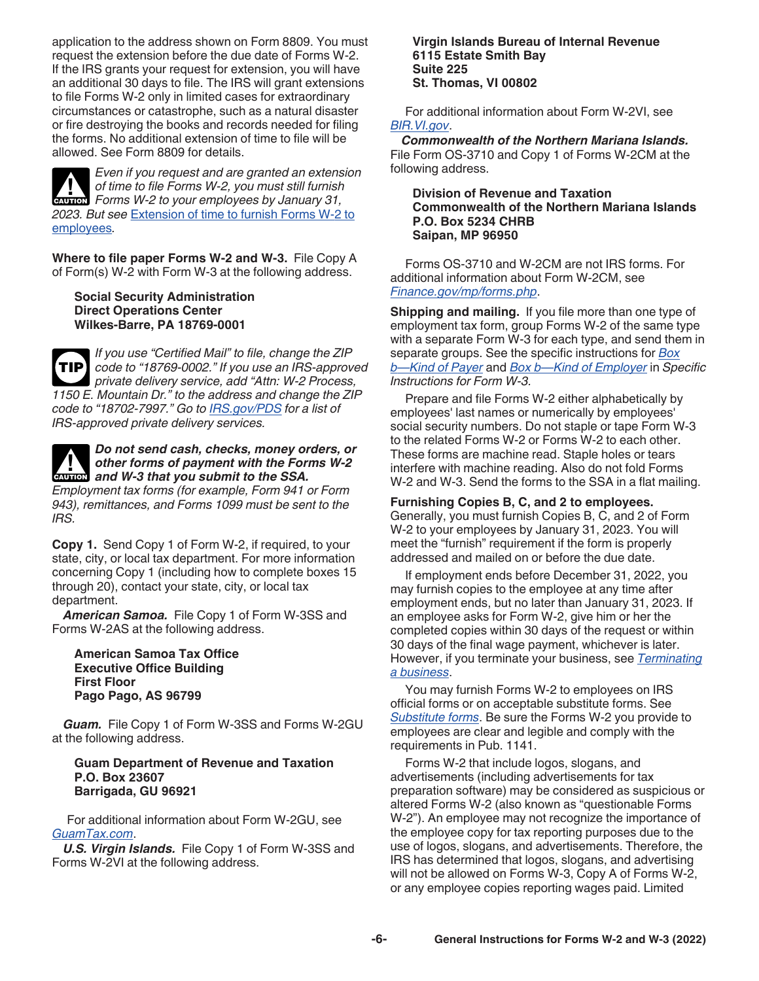<span id="page-5-0"></span>application to the address shown on Form 8809. You must request the extension before the due date of Forms W-2. If the IRS grants your request for extension, you will have an additional 30 days to file. The IRS will grant extensions to file Forms W-2 only in limited cases for extraordinary circumstances or catastrophe, such as a natural disaster or fire destroying the books and records needed for filing the forms. No additional extension of time to file will be allowed. See Form 8809 for details.



*Even if you request and are granted an extension of time to file Forms W-2, you must still furnish*  of time to file Forms W-2, you must still furnish<br> **EXUTION** Forms W-2 to your employees by January 31, *2023. But see* [Extension of time to furnish Forms W-2 to](#page-6-0) [employees](#page-6-0)*.*

**Where to file paper Forms W-2 and W-3.** File Copy A of Form(s) W-2 with Form W-3 at the following address.

**Social Security Administration Direct Operations Center Wilkes-Barre, PA 18769-0001**



*If you use "Certified Mail" to file, change the ZIP code to "18769-0002." If you use an IRS-approved private delivery service, add "Attn: W-2 Process, 1150 E. Mountain Dr." to the address and change the ZIP code to "18702-7997." Go to [IRS.gov/PDS](https://www.irs.gov/PDS) for a list of IRS-approved private delivery services.*

## *Do not send cash, checks, money orders, or other forms of payment with the Forms W-2*  other forms of payment with the Forms of payment with the Forms of payment with the SSA.

*Employment tax forms (for example, Form 941 or Form 943), remittances, and Forms 1099 must be sent to the IRS.*

**Copy 1.** Send Copy 1 of Form W-2, if required, to your state, city, or local tax department. For more information concerning Copy 1 (including how to complete boxes 15 through 20), contact your state, city, or local tax department.

*American Samoa.* File Copy 1 of Form W-3SS and Forms W-2AS at the following address.

**American Samoa Tax Office Executive Office Building First Floor Pago Pago, AS 96799**

*Guam.* File Copy 1 of Form W-3SS and Forms W-2GU at the following address.

#### **Guam Department of Revenue and Taxation P.O. Box 23607 Barrigada, GU 96921**

For additional information about Form W-2GU, see *[GuamTax.com](https://www.guamtax.com)*.

*U.S. Virgin Islands.* File Copy 1 of Form W-3SS and Forms W-2VI at the following address.

**Virgin Islands Bureau of Internal Revenue 6115 Estate Smith Bay Suite 225 St. Thomas, VI 00802**

For additional information about Form W-2VI, see *[BIR.VI.gov](http://bir.vi.gov/)*.

*Commonwealth of the Northern Mariana Islands.*  File Form OS-3710 and Copy 1 of Forms W-2CM at the following address.

### **Division of Revenue and Taxation Commonwealth of the Northern Mariana Islands P.O. Box 5234 CHRB Saipan, MP 96950**

Forms OS-3710 and W-2CM are not IRS forms. For additional information about Form W-2CM, see *[Finance.gov/mp/forms.php](https://www.finance.gov.mp/forms.php)*.

**Shipping and mailing.** If you file more than one type of employment tax form, group Forms W-2 of the same type with a separate Form W-3 for each type, and send them in separate groups. See the specific instructions for *[Box](#page-22-0)  [b—Kind of Payer](#page-22-0)* and *[Box b—Kind of Employer](#page-22-0)* in *Specific Instructions for Form W-3.*

Prepare and file Forms W-2 either alphabetically by employees' last names or numerically by employees' social security numbers. Do not staple or tape Form W-3 to the related Forms W-2 or Forms W-2 to each other. These forms are machine read. Staple holes or tears interfere with machine reading. Also do not fold Forms W-2 and W-3. Send the forms to the SSA in a flat mailing.

### **Furnishing Copies B, C, and 2 to employees.**

Generally, you must furnish Copies B, C, and 2 of Form W-2 to your employees by January 31, 2023. You will meet the "furnish" requirement if the form is properly addressed and mailed on or before the due date.

If employment ends before December 31, 2022, you may furnish copies to the employee at any time after employment ends, but no later than January 31, 2023. If an employee asks for Form W-2, give him or her the completed copies within 30 days of the request or within 30 days of the final wage payment, whichever is later. However, if you terminate your business, see *[Terminating](#page-12-0)  [a business](#page-12-0)*.

You may furnish Forms W-2 to employees on IRS official forms or on acceptable substitute forms. See *[Substitute forms](#page-3-0)*. Be sure the Forms W-2 you provide to employees are clear and legible and comply with the requirements in Pub. 1141.

Forms W-2 that include logos, slogans, and advertisements (including advertisements for tax preparation software) may be considered as suspicious or altered Forms W-2 (also known as "questionable Forms W-2"). An employee may not recognize the importance of the employee copy for tax reporting purposes due to the use of logos, slogans, and advertisements. Therefore, the IRS has determined that logos, slogans, and advertising will not be allowed on Forms W-3, Copy A of Forms W-2, or any employee copies reporting wages paid. Limited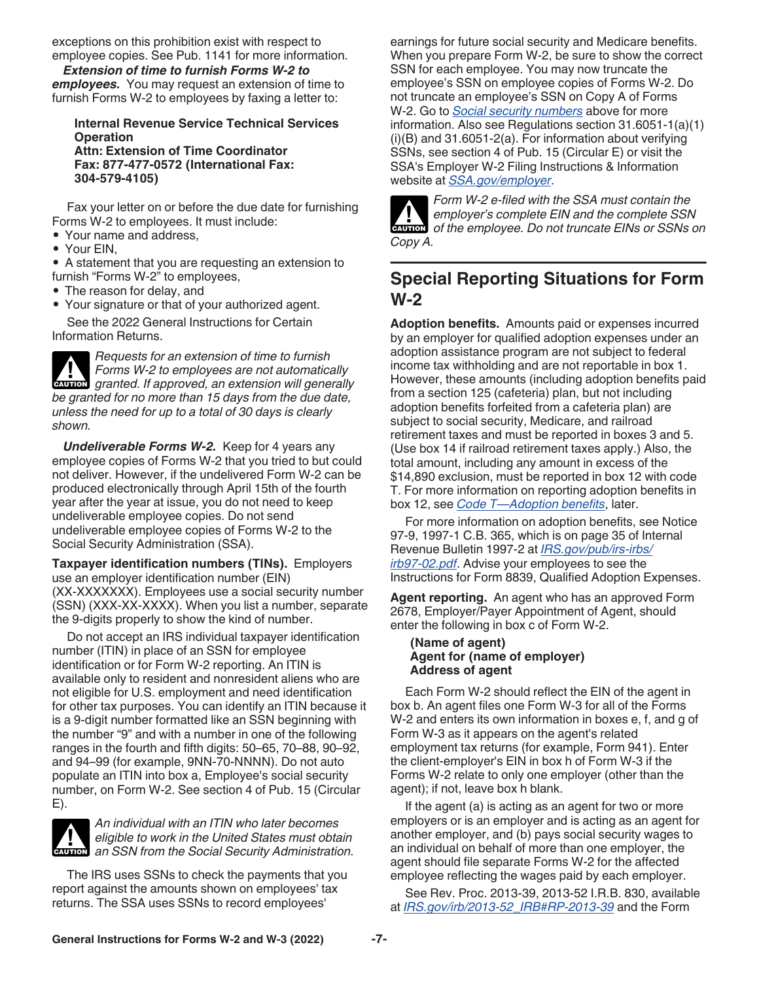<span id="page-6-0"></span>exceptions on this prohibition exist with respect to employee copies. See Pub. 1141 for more information.

*Extension of time to furnish Forms W-2 to employees.* You may request an extension of time to furnish Forms W-2 to employees by faxing a letter to:

### **Internal Revenue Service Technical Services Operation Attn: Extension of Time Coordinator Fax: 877-477-0572 (International Fax:**

Fax your letter on or before the due date for furnishing Forms W-2 to employees. It must include:

• Your name and address,

**304-579-4105)**

• Your EIN,

• A statement that you are requesting an extension to furnish "Forms W-2" to employees,

• The reason for delay, and

• Your signature or that of your authorized agent. See the 2022 General Instructions for Certain Information Returns.

*Requests for an extension of time to furnish Forms W-2 to employees are not automatically*  **z** Forms W-2 to employees are not automatically granted. If approved, an extension will generally *be granted for no more than 15 days from the due date, unless the need for up to a total of 30 days is clearly shown.*

*Undeliverable Forms W-2.* Keep for 4 years any employee copies of Forms W-2 that you tried to but could not deliver. However, if the undelivered Form W-2 can be produced electronically through April 15th of the fourth year after the year at issue, you do not need to keep undeliverable employee copies. Do not send undeliverable employee copies of Forms W-2 to the Social Security Administration (SSA).

**Taxpayer identification numbers (TINs).** Employers use an employer identification number (EIN) (XX-XXXXXXX). Employees use a social security number (SSN) (XXX-XX-XXXX). When you list a number, separate the 9-digits properly to show the kind of number.

Do not accept an IRS individual taxpayer identification number (ITIN) in place of an SSN for employee identification or for Form W-2 reporting. An ITIN is available only to resident and nonresident aliens who are not eligible for U.S. employment and need identification for other tax purposes. You can identify an ITIN because it is a 9-digit number formatted like an SSN beginning with the number "9" and with a number in one of the following ranges in the fourth and fifth digits: 50–65, 70–88, 90–92, and 94–99 (for example, 9NN-70-NNNN). Do not auto populate an ITIN into box a, Employee's social security number, on Form W-2. See section 4 of Pub. 15 (Circular E).



*An individual with an ITIN who later becomes eligible to work in the United States must obtain*  **z** eligible to work in the United States must obtain an SSN from the Social Security Administration.

The IRS uses SSNs to check the payments that you report against the amounts shown on employees' tax returns. The SSA uses SSNs to record employees'

earnings for future social security and Medicare benefits. When you prepare Form W-2, be sure to show the correct SSN for each employee. You may now truncate the employee's SSN on employee copies of Forms W-2. Do not truncate an employee's SSN on Copy A of Forms W-2. Go to *[Social security numbers](#page-1-0)* above for more information. Also see Regulations section 31.6051-1(a)(1) (i)(B) and 31.6051-2(a). For information about verifying SSNs, see section 4 of Pub. 15 (Circular E) or visit the SSA's Employer W-2 Filing Instructions & Information website at *[SSA.gov/employer](https://www.ssa.gov/employer)*.



*Form W-2 e-filed with the SSA must contain the employer's complete EIN and the complete SSN of the employee. Do not truncate EINs or SSNs on Copy A.*

## **Special Reporting Situations for Form W-2**

**Adoption benefits.** Amounts paid or expenses incurred by an employer for qualified adoption expenses under an adoption assistance program are not subject to federal income tax withholding and are not reportable in box 1. However, these amounts (including adoption benefits paid from a section 125 (cafeteria) plan, but not including adoption benefits forfeited from a cafeteria plan) are subject to social security, Medicare, and railroad retirement taxes and must be reported in boxes 3 and 5. (Use box 14 if railroad retirement taxes apply.) Also, the total amount, including any amount in excess of the \$14,890 exclusion, must be reported in box 12 with code T. For more information on reporting adoption benefits in box 12, see *[Code T—Adoption benefits](#page-19-0)*, later.

For more information on adoption benefits, see Notice 97-9, 1997-1 C.B. 365, which is on page 35 of Internal Revenue Bulletin 1997-2 at *[IRS.gov/pub/irs-irbs/](https://www.irs.gov/pub/irs-irbs/irb97-02.pdf) [irb97-02.pdf](https://www.irs.gov/pub/irs-irbs/irb97-02.pdf)*. Advise your employees to see the Instructions for Form 8839, Qualified Adoption Expenses.

**Agent reporting.** An agent who has an approved Form 2678, Employer/Payer Appointment of Agent, should enter the following in box c of Form W-2.

#### **(Name of agent) Agent for (name of employer) Address of agent**

Each Form W-2 should reflect the EIN of the agent in box b. An agent files one Form W-3 for all of the Forms W-2 and enters its own information in boxes e, f, and g of Form W-3 as it appears on the agent's related employment tax returns (for example, Form 941). Enter the client-employer's EIN in box h of Form W-3 if the Forms W-2 relate to only one employer (other than the agent); if not, leave box h blank.

If the agent (a) is acting as an agent for two or more employers or is an employer and is acting as an agent for another employer, and (b) pays social security wages to an individual on behalf of more than one employer, the agent should file separate Forms W-2 for the affected employee reflecting the wages paid by each employer.

See Rev. Proc. 2013-39, 2013-52 I.R.B. 830, available at *[IRS.gov/irb/2013-52\\_IRB#RP-2013-39](https://www.irs.gov/irb/2013-52_IRB#RP-2013-39)* and the Form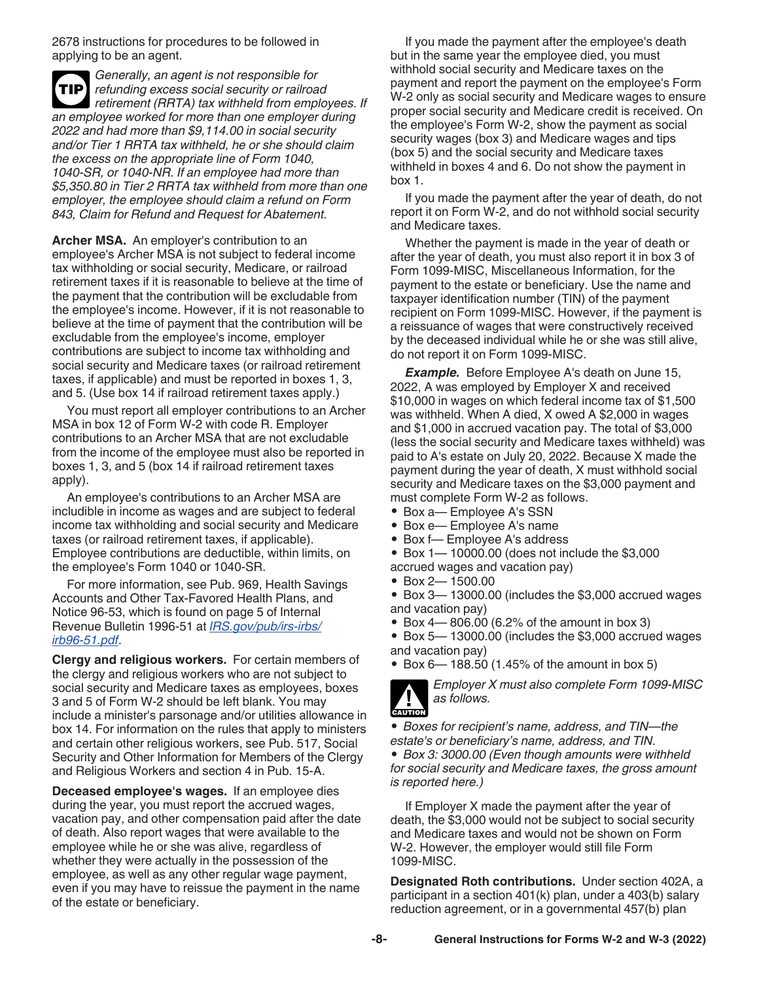<span id="page-7-0"></span>2678 instructions for procedures to be followed in applying to be an agent.

*Generally, an agent is not responsible for refunding excess social security or railroad*  **TIP** *retirement (RRTA) tax withheld from employees. If an employee worked for more than one employer during 2022 and had more than \$9,114.00 in social security and/or Tier 1 RRTA tax withheld, he or she should claim the excess on the appropriate line of Form 1040, 1040-SR, or 1040-NR. If an employee had more than \$5,350.80 in Tier 2 RRTA tax withheld from more than one employer, the employee should claim a refund on Form 843, Claim for Refund and Request for Abatement.*

**Archer MSA.** An employer's contribution to an employee's Archer MSA is not subject to federal income tax withholding or social security, Medicare, or railroad retirement taxes if it is reasonable to believe at the time of the payment that the contribution will be excludable from the employee's income. However, if it is not reasonable to believe at the time of payment that the contribution will be excludable from the employee's income, employer contributions are subject to income tax withholding and social security and Medicare taxes (or railroad retirement taxes, if applicable) and must be reported in boxes 1, 3, and 5. (Use box 14 if railroad retirement taxes apply.)

You must report all employer contributions to an Archer MSA in box 12 of Form W-2 with code R. Employer contributions to an Archer MSA that are not excludable from the income of the employee must also be reported in boxes 1, 3, and 5 (box 14 if railroad retirement taxes apply).

An employee's contributions to an Archer MSA are includible in income as wages and are subject to federal income tax withholding and social security and Medicare taxes (or railroad retirement taxes, if applicable). Employee contributions are deductible, within limits, on the employee's Form 1040 or 1040-SR.

For more information, see Pub. 969, Health Savings Accounts and Other Tax-Favored Health Plans, and Notice 96-53, which is found on page 5 of Internal Revenue Bulletin 1996-51 at *[IRS.gov/pub/irs-irbs/](https://www.irs.gov/pub/irs-irbs/irb96-51.pdf) [irb96-51.pdf](https://www.irs.gov/pub/irs-irbs/irb96-51.pdf)*.

**Clergy and religious workers.** For certain members of the clergy and religious workers who are not subject to social security and Medicare taxes as employees, boxes 3 and 5 of Form W-2 should be left blank. You may include a minister's parsonage and/or utilities allowance in box 14. For information on the rules that apply to ministers and certain other religious workers, see Pub. 517, Social Security and Other Information for Members of the Clergy and Religious Workers and section 4 in Pub. 15-A.

**Deceased employee's wages.** If an employee dies during the year, you must report the accrued wages, vacation pay, and other compensation paid after the date of death. Also report wages that were available to the employee while he or she was alive, regardless of whether they were actually in the possession of the employee, as well as any other regular wage payment, even if you may have to reissue the payment in the name of the estate or beneficiary.

If you made the payment after the employee's death but in the same year the employee died, you must withhold social security and Medicare taxes on the payment and report the payment on the employee's Form W-2 only as social security and Medicare wages to ensure proper social security and Medicare credit is received. On the employee's Form W-2, show the payment as social security wages (box 3) and Medicare wages and tips (box 5) and the social security and Medicare taxes withheld in boxes 4 and 6. Do not show the payment in box 1.

If you made the payment after the year of death, do not report it on Form W-2, and do not withhold social security and Medicare taxes.

Whether the payment is made in the year of death or after the year of death, you must also report it in box 3 of Form 1099-MISC, Miscellaneous Information, for the payment to the estate or beneficiary. Use the name and taxpayer identification number (TIN) of the payment recipient on Form 1099-MISC. However, if the payment is a reissuance of wages that were constructively received by the deceased individual while he or she was still alive, do not report it on Form 1099-MISC.

*Example.* Before Employee A's death on June 15, 2022, A was employed by Employer X and received \$10,000 in wages on which federal income tax of \$1,500 was withheld. When A died, X owed A \$2,000 in wages and \$1,000 in accrued vacation pay. The total of \$3,000 (less the social security and Medicare taxes withheld) was paid to A's estate on July 20, 2022. Because X made the payment during the year of death, X must withhold social security and Medicare taxes on the \$3,000 payment and must complete Form W-2 as follows.

- Box a— Employee A's SSN
- Box e— Employee A's name
- Box f— Employee A's address
- Box 1— 10000.00 (does not include the \$3,000
- accrued wages and vacation pay)
- Box 2— 1500.00
- Box 3— 13000.00 (includes the \$3,000 accrued wages and vacation pay)
- Box 4—806.00 (6.2% of the amount in box 3)
- Box 5— 13000.00 (includes the \$3,000 accrued wages and vacation pay)
- Box 6— 188.50 (1.45% of the amount in box 5)



*Employer X must also complete Form 1099-MISC as follows.*

*• Boxes for recipient's name, address, and TIN—the estate's or beneficiary's name, address, and TIN. • Box 3: 3000.00 (Even though amounts were withheld for social security and Medicare taxes, the gross amount is reported here.)*

If Employer X made the payment after the year of death, the \$3,000 would not be subject to social security and Medicare taxes and would not be shown on Form W-2. However, the employer would still file Form 1099-MISC.

**Designated Roth contributions.** Under section 402A, a participant in a section 401(k) plan, under a 403(b) salary reduction agreement, or in a governmental 457(b) plan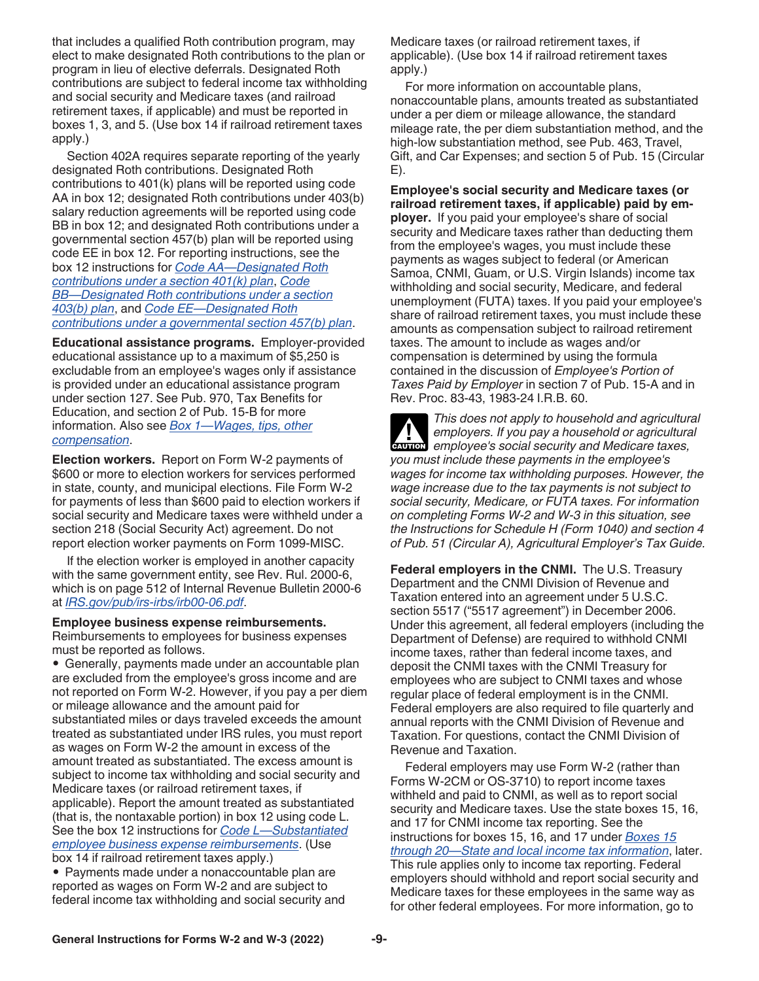<span id="page-8-0"></span>that includes a qualified Roth contribution program, may elect to make designated Roth contributions to the plan or program in lieu of elective deferrals. Designated Roth contributions are subject to federal income tax withholding and social security and Medicare taxes (and railroad retirement taxes, if applicable) and must be reported in boxes 1, 3, and 5. (Use box 14 if railroad retirement taxes apply.)

Section 402A requires separate reporting of the yearly designated Roth contributions. Designated Roth contributions to 401(k) plans will be reported using code AA in box 12; designated Roth contributions under 403(b) salary reduction agreements will be reported using code BB in box 12; and designated Roth contributions under a governmental section 457(b) plan will be reported using code EE in box 12. For reporting instructions, see the box 12 instructions for *[Code AA—Designated Roth](#page-20-0) [contributions under a section 401\(k\) plan](#page-20-0)*, *[Code](#page-20-0) [BB—Designated Roth contributions under a section](#page-20-0)  [403\(b\) plan](#page-20-0)*, and *[Code EE—Designated Roth](#page-20-0) [contributions under a governmental section 457\(b\) plan](#page-20-0)*.

**Educational assistance programs.** Employer-provided educational assistance up to a maximum of \$5,250 is excludable from an employee's wages only if assistance is provided under an educational assistance program under section 127. See Pub. 970, Tax Benefits for Education, and section 2 of Pub. 15-B for more information. Also see *[Box 1—Wages, tips, other](#page-15-0) [compensation](#page-15-0)*.

**Election workers.** Report on Form W-2 payments of \$600 or more to election workers for services performed in state, county, and municipal elections. File Form W-2 for payments of less than \$600 paid to election workers if social security and Medicare taxes were withheld under a section 218 (Social Security Act) agreement. Do not report election worker payments on Form 1099-MISC.

If the election worker is employed in another capacity with the same government entity, see Rev. Rul. 2000-6, which is on page 512 of Internal Revenue Bulletin 2000-6 at *[IRS.gov/pub/irs-irbs/irb00-06.pdf](https://www.irs.gov/pub/irs-irbs/irb00-06.pdf)*.

#### **Employee business expense reimbursements.**

Reimbursements to employees for business expenses must be reported as follows.

• Generally, payments made under an accountable plan are excluded from the employee's gross income and are not reported on Form W-2. However, if you pay a per diem or mileage allowance and the amount paid for substantiated miles or days traveled exceeds the amount treated as substantiated under IRS rules, you must report as wages on Form W-2 the amount in excess of the amount treated as substantiated. The excess amount is subject to income tax withholding and social security and Medicare taxes (or railroad retirement taxes, if applicable). Report the amount treated as substantiated (that is, the nontaxable portion) in box 12 using code L. See the box 12 instructions for *[Code L—Substantiated](#page-19-0)  [employee business expense reimbursements](#page-19-0)*. (Use box 14 if railroad retirement taxes apply.)

• Payments made under a nonaccountable plan are reported as wages on Form W-2 and are subject to federal income tax withholding and social security and Medicare taxes (or railroad retirement taxes, if applicable). (Use box 14 if railroad retirement taxes apply.)

For more information on accountable plans, nonaccountable plans, amounts treated as substantiated under a per diem or mileage allowance, the standard mileage rate, the per diem substantiation method, and the high-low substantiation method, see Pub. 463, Travel, Gift, and Car Expenses; and section 5 of Pub. 15 (Circular E).

**Employee's social security and Medicare taxes (or railroad retirement taxes, if applicable) paid by employer.** If you paid your employee's share of social security and Medicare taxes rather than deducting them from the employee's wages, you must include these payments as wages subject to federal (or American Samoa, CNMI, Guam, or U.S. Virgin Islands) income tax withholding and social security, Medicare, and federal unemployment (FUTA) taxes. If you paid your employee's share of railroad retirement taxes, you must include these amounts as compensation subject to railroad retirement taxes. The amount to include as wages and/or compensation is determined by using the formula contained in the discussion of *Employee's Portion of Taxes Paid by Employer* in section 7 of Pub. 15-A and in Rev. Proc. 83-43, 1983-24 I.R.B. 60.

*This does not apply to household and agricultural employers. If you pay a household or agricultural*  **label and** *employers.* **If you pay a household or agricultural employee's social security and Medicare taxes,** *you must include these payments in the employee's wages for income tax withholding purposes. However, the wage increase due to the tax payments is not subject to social security, Medicare, or FUTA taxes. For information on completing Forms W-2 and W-3 in this situation, see the Instructions for Schedule H (Form 1040) and section 4 of Pub. 51 (Circular A), Agricultural Employer's Tax Guide.*

**Federal employers in the CNMI.** The U.S. Treasury Department and the CNMI Division of Revenue and Taxation entered into an agreement under 5 U.S.C. section 5517 ("5517 agreement") in December 2006. Under this agreement, all federal employers (including the Department of Defense) are required to withhold CNMI income taxes, rather than federal income taxes, and deposit the CNMI taxes with the CNMI Treasury for employees who are subject to CNMI taxes and whose regular place of federal employment is in the CNMI. Federal employers are also required to file quarterly and annual reports with the CNMI Division of Revenue and Taxation. For questions, contact the CNMI Division of Revenue and Taxation.

Federal employers may use Form W-2 (rather than Forms W-2CM or OS-3710) to report income taxes withheld and paid to CNMI, as well as to report social security and Medicare taxes. Use the state boxes 15, 16, and 17 for CNMI income tax reporting. See the instructions for boxes 15, 16, and 17 under *[Boxes 15](#page-21-0)  [through 20—State and local income tax information](#page-21-0)*, later. This rule applies only to income tax reporting. Federal employers should withhold and report social security and Medicare taxes for these employees in the same way as for other federal employees. For more information, go to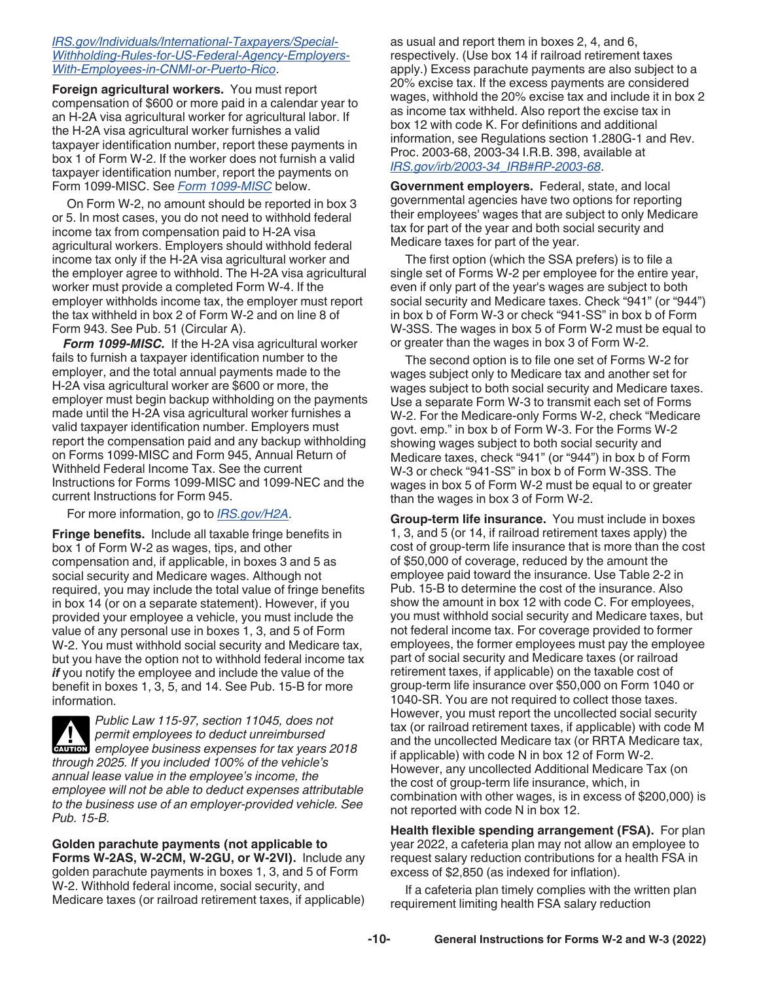### <span id="page-9-0"></span>*[IRS.gov/Individuals/International-Taxpayers/Special-](https://www.irs.gov/individuals/international-taxpayers/special-withholding-rules-for-us-federal-agency-employers-with-employees-in-cnmi-or-puerto-rico)[Withholding-Rules-for-US-Federal-Agency-Employers-](https://www.irs.gov/individuals/international-taxpayers/special-withholding-rules-for-us-federal-agency-employers-with-employees-in-cnmi-or-puerto-rico)[With-Employees-in-CNMI-or-Puerto-Rico](https://www.irs.gov/individuals/international-taxpayers/special-withholding-rules-for-us-federal-agency-employers-with-employees-in-cnmi-or-puerto-rico)*.

**Foreign agricultural workers.** You must report compensation of \$600 or more paid in a calendar year to an H-2A visa agricultural worker for agricultural labor. If the H-2A visa agricultural worker furnishes a valid taxpayer identification number, report these payments in box 1 of Form W-2. If the worker does not furnish a valid taxpayer identification number, report the payments on Form 1099-MISC. See *Form 1099-MISC* below.

On Form W-2, no amount should be reported in box 3 or 5. In most cases, you do not need to withhold federal income tax from compensation paid to H-2A visa agricultural workers. Employers should withhold federal income tax only if the H-2A visa agricultural worker and the employer agree to withhold. The H-2A visa agricultural worker must provide a completed Form W-4. If the employer withholds income tax, the employer must report the tax withheld in box 2 of Form W-2 and on line 8 of Form 943. See Pub. 51 (Circular A).

*Form 1099-MISC.* If the H-2A visa agricultural worker fails to furnish a taxpayer identification number to the employer, and the total annual payments made to the H-2A visa agricultural worker are \$600 or more, the employer must begin backup withholding on the payments made until the H-2A visa agricultural worker furnishes a valid taxpayer identification number. Employers must report the compensation paid and any backup withholding on Forms 1099-MISC and Form 945, Annual Return of Withheld Federal Income Tax. See the current Instructions for Forms 1099-MISC and 1099-NEC and the current Instructions for Form 945.

For more information, go to *[IRS.gov/H2A](https://www.irs.gov/h2a)*.

**Fringe benefits.** Include all taxable fringe benefits in box 1 of Form W-2 as wages, tips, and other compensation and, if applicable, in boxes 3 and 5 as social security and Medicare wages. Although not required, you may include the total value of fringe benefits in box 14 (or on a separate statement). However, if you provided your employee a vehicle, you must include the value of any personal use in boxes 1, 3, and 5 of Form W-2. You must withhold social security and Medicare tax, but you have the option not to withhold federal income tax *if* you notify the employee and include the value of the benefit in boxes 1, 3, 5, and 14. See Pub. 15-B for more information.

*Public Law 115-97, section 11045, does not permit employees to deduct unreimbursed*  **PERITMENT EMPLOYEE BUSINESS EXPENSES FOR THE PRIMERISH OF THE PRIMERISH EMPLOYEE BUSINESS EXPERIENCIAL SUBSTITUTION CONTRACTOR PRIMERISH AND PERIPOLAL SUBSTITUTION CONTRACTOR PRIMERISH AND PRIMERISH CONTRACTOR PRIMERISH C** *through 2025. If you included 100% of the vehicle's annual lease value in the employee's income, the employee will not be able to deduct expenses attributable to the business use of an employer-provided vehicle. See Pub. 15-B.*

**Golden parachute payments (not applicable to Forms W-2AS, W-2CM, W-2GU, or W-2VI).** Include any golden parachute payments in boxes 1, 3, and 5 of Form W-2. Withhold federal income, social security, and Medicare taxes (or railroad retirement taxes, if applicable) as usual and report them in boxes 2, 4, and 6, respectively. (Use box 14 if railroad retirement taxes apply.) Excess parachute payments are also subject to a 20% excise tax. If the excess payments are considered wages, withhold the 20% excise tax and include it in box 2 as income tax withheld. Also report the excise tax in box 12 with code K. For definitions and additional information, see Regulations section 1.280G-1 and Rev. Proc. 2003-68, 2003-34 I.R.B. 398, available at *[IRS.gov/irb/2003-34\\_IRB#RP-2003-68](https://www.irs.gov/irb/2003-34_IRB#RP-2003-68)*.

**Government employers.** Federal, state, and local governmental agencies have two options for reporting their employees' wages that are subject to only Medicare tax for part of the year and both social security and Medicare taxes for part of the year.

The first option (which the SSA prefers) is to file a single set of Forms W-2 per employee for the entire year, even if only part of the year's wages are subject to both social security and Medicare taxes. Check "941" (or "944") in box b of Form W-3 or check "941-SS" in box b of Form W-3SS. The wages in box 5 of Form W-2 must be equal to or greater than the wages in box 3 of Form W-2.

The second option is to file one set of Forms W-2 for wages subject only to Medicare tax and another set for wages subject to both social security and Medicare taxes. Use a separate Form W-3 to transmit each set of Forms W-2. For the Medicare-only Forms W-2, check "Medicare govt. emp." in box b of Form W-3. For the Forms W-2 showing wages subject to both social security and Medicare taxes, check "941" (or "944") in box b of Form W-3 or check "941-SS" in box b of Form W-3SS. The wages in box 5 of Form W-2 must be equal to or greater than the wages in box 3 of Form W-2.

**Group-term life insurance.** You must include in boxes 1, 3, and 5 (or 14, if railroad retirement taxes apply) the cost of group-term life insurance that is more than the cost of \$50,000 of coverage, reduced by the amount the employee paid toward the insurance. Use Table 2-2 in Pub. 15-B to determine the cost of the insurance. Also show the amount in box 12 with code C. For employees, you must withhold social security and Medicare taxes, but not federal income tax. For coverage provided to former employees, the former employees must pay the employee part of social security and Medicare taxes (or railroad retirement taxes, if applicable) on the taxable cost of group-term life insurance over \$50,000 on Form 1040 or 1040-SR. You are not required to collect those taxes. However, you must report the uncollected social security tax (or railroad retirement taxes, if applicable) with code M and the uncollected Medicare tax (or RRTA Medicare tax, if applicable) with code N in box 12 of Form W-2. However, any uncollected Additional Medicare Tax (on the cost of group-term life insurance, which, in combination with other wages, is in excess of \$200,000) is not reported with code N in box 12.

**Health flexible spending arrangement (FSA).** For plan year 2022, a cafeteria plan may not allow an employee to request salary reduction contributions for a health FSA in excess of \$2,850 (as indexed for inflation).

If a cafeteria plan timely complies with the written plan requirement limiting health FSA salary reduction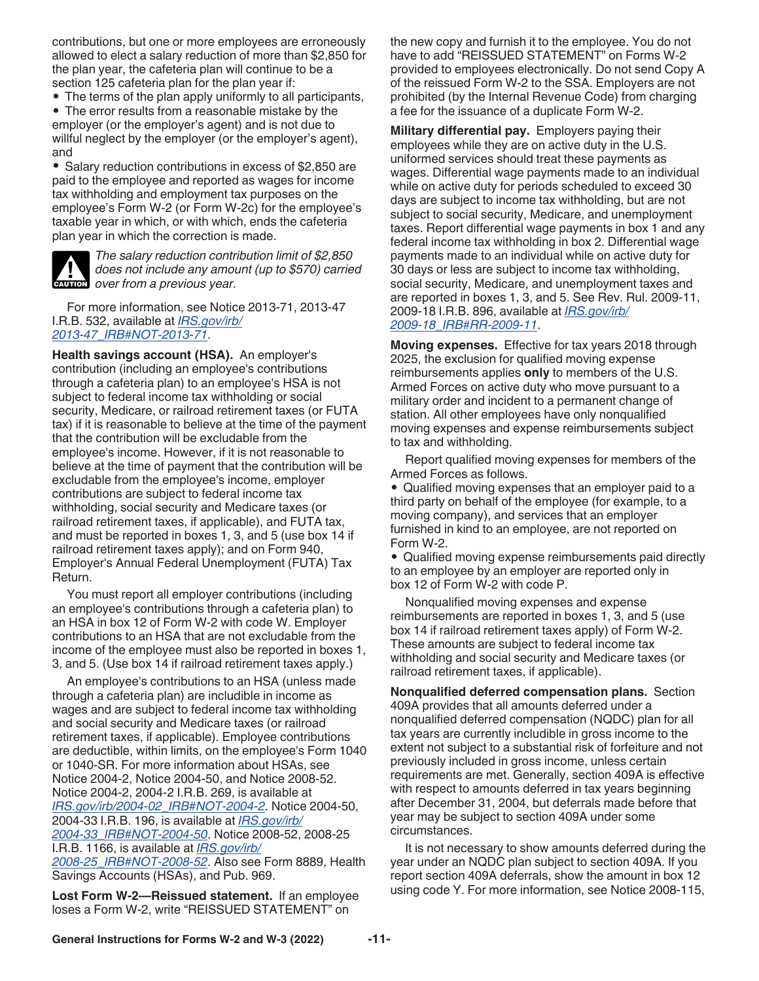<span id="page-10-0"></span>contributions, but one or more employees are erroneously allowed to elect a salary reduction of more than \$2,850 for the plan year, the cafeteria plan will continue to be a section 125 cafeteria plan for the plan year if:

• The terms of the plan apply uniformly to all participants,

• The error results from a reasonable mistake by the employer (or the employer's agent) and is not due to willful neglect by the employer (or the employer's agent), and

• Salary reduction contributions in excess of \$2,850 are paid to the employee and reported as wages for income tax withholding and employment tax purposes on the employee's Form W-2 (or Form W-2c) for the employee's taxable year in which, or with which, ends the cafeteria plan year in which the correction is made.



*The salary reduction contribution limit of \$2,850 does not include any amount (up to \$570) carried*  **does not include any amous year.**<br> **CAUTION** over from a previous year.

For more information, see Notice 2013-71, 2013-47 I.R.B. 532, available at *[IRS.gov/irb/](https://www.irs.gov/irb/2013-47_IRB#NOT-2013-71) [2013-47\\_IRB#NOT-2013-71](https://www.irs.gov/irb/2013-47_IRB#NOT-2013-71)*.

**Health savings account (HSA).** An employer's contribution (including an employee's contributions through a cafeteria plan) to an employee's HSA is not subject to federal income tax withholding or social security, Medicare, or railroad retirement taxes (or FUTA tax) if it is reasonable to believe at the time of the payment that the contribution will be excludable from the employee's income. However, if it is not reasonable to believe at the time of payment that the contribution will be excludable from the employee's income, employer contributions are subject to federal income tax withholding, social security and Medicare taxes (or railroad retirement taxes, if applicable), and FUTA tax, and must be reported in boxes 1, 3, and 5 (use box 14 if railroad retirement taxes apply); and on Form 940, Employer's Annual Federal Unemployment (FUTA) Tax Return.

You must report all employer contributions (including an employee's contributions through a cafeteria plan) to an HSA in box 12 of Form W-2 with code W. Employer contributions to an HSA that are not excludable from the income of the employee must also be reported in boxes 1, 3, and 5. (Use box 14 if railroad retirement taxes apply.)

An employee's contributions to an HSA (unless made through a cafeteria plan) are includible in income as wages and are subject to federal income tax withholding and social security and Medicare taxes (or railroad retirement taxes, if applicable). Employee contributions are deductible, within limits, on the employee's Form 1040 or 1040-SR. For more information about HSAs, see Notice 2004-2, Notice 2004-50, and Notice 2008-52. Notice 2004-2, 2004-2 I.R.B. 269, is available at *[IRS.gov/irb/2004-02\\_IRB#NOT-2004-2](https://www.irs.gov/irb/2004-02_IRB#NOT-2004-2)*. Notice 2004-50, 2004-33 I.R.B. 196, is available at *[IRS.gov/irb/](https://www.irs.gov/irb/2004-33_IRB#NOT-2004-50) [2004-33\\_IRB#NOT-2004-50](https://www.irs.gov/irb/2004-33_IRB#NOT-2004-50)*. Notice 2008-52, 2008-25 I.R.B. 1166, is available at *[IRS.gov/irb/](https://www.irs.gov/irb/2008-25_IRB#NOT-2008-52) [2008-25\\_IRB#NOT-2008-52](https://www.irs.gov/irb/2008-25_IRB#NOT-2008-52)*. Also see Form 8889, Health Savings Accounts (HSAs), and Pub. 969.

**Lost Form W-2—Reissued statement.** If an employee loses a Form W-2, write "REISSUED STATEMENT" on

the new copy and furnish it to the employee. You do not have to add "REISSUED STATEMENT" on Forms W-2 provided to employees electronically. Do not send Copy A of the reissued Form W-2 to the SSA. Employers are not prohibited (by the Internal Revenue Code) from charging a fee for the issuance of a duplicate Form W-2.

**Military differential pay.** Employers paying their employees while they are on active duty in the U.S. uniformed services should treat these payments as wages. Differential wage payments made to an individual while on active duty for periods scheduled to exceed 30 days are subject to income tax withholding, but are not subject to social security, Medicare, and unemployment taxes. Report differential wage payments in box 1 and any federal income tax withholding in box 2. Differential wage payments made to an individual while on active duty for 30 days or less are subject to income tax withholding, social security, Medicare, and unemployment taxes and are reported in boxes 1, 3, and 5. See Rev. Rul. 2009-11, 2009-18 I.R.B. 896, available at *[IRS.gov/irb/](https://www.irs.gov/irb/2009-18_IRB#RR-2009-11) [2009-18\\_IRB#RR-2009-11](https://www.irs.gov/irb/2009-18_IRB#RR-2009-11)*.

**Moving expenses.** Effective for tax years 2018 through 2025, the exclusion for qualified moving expense reimbursements applies **only** to members of the U.S. Armed Forces on active duty who move pursuant to a military order and incident to a permanent change of station. All other employees have only nonqualified moving expenses and expense reimbursements subject to tax and withholding.

Report qualified moving expenses for members of the Armed Forces as follows.

• Qualified moving expenses that an employer paid to a third party on behalf of the employee (for example, to a moving company), and services that an employer furnished in kind to an employee, are not reported on Form W-2.

• Qualified moving expense reimbursements paid directly to an employee by an employer are reported only in box 12 of Form W-2 with code P.

Nonqualified moving expenses and expense reimbursements are reported in boxes 1, 3, and 5 (use box 14 if railroad retirement taxes apply) of Form W-2. These amounts are subject to federal income tax withholding and social security and Medicare taxes (or railroad retirement taxes, if applicable).

**Nonqualified deferred compensation plans.** Section 409A provides that all amounts deferred under a nonqualified deferred compensation (NQDC) plan for all tax years are currently includible in gross income to the extent not subject to a substantial risk of forfeiture and not previously included in gross income, unless certain requirements are met. Generally, section 409A is effective with respect to amounts deferred in tax years beginning after December 31, 2004, but deferrals made before that year may be subject to section 409A under some circumstances.

It is not necessary to show amounts deferred during the year under an NQDC plan subject to section 409A. If you report section 409A deferrals, show the amount in box 12 using code Y. For more information, see Notice 2008-115,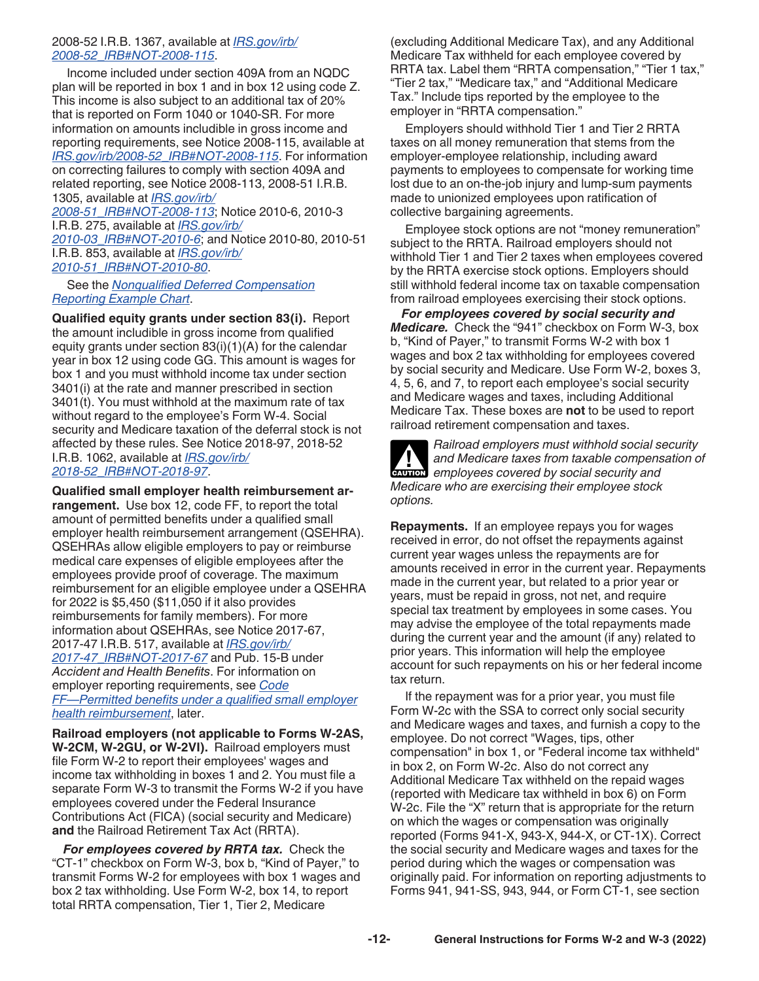### <span id="page-11-0"></span>2008-52 I.R.B. 1367, available at *[IRS.gov/irb/](https://www.irs.gov/irb/2008-52_IRB#NOT-2008-115) [2008-52\\_IRB#NOT-2008-115](https://www.irs.gov/irb/2008-52_IRB#NOT-2008-115)*.

Income included under section 409A from an NQDC plan will be reported in box 1 and in box 12 using code Z. This income is also subject to an additional tax of 20% that is reported on Form 1040 or 1040-SR. For more information on amounts includible in gross income and reporting requirements, see Notice 2008-115, available at *[IRS.gov/irb/2008-52\\_IRB#NOT-2008-115](https://www.irs.gov/irb/2008-52_IRB#NOT-2008-115)*. For information on correcting failures to comply with section 409A and related reporting, see Notice 2008-113, 2008-51 I.R.B. 1305, available at *[IRS.gov/irb/](https://www.irs.gov/irb/2008-51_IRB#NOT-2008-113)*

*[2008-51\\_IRB#NOT-2008-113](https://www.irs.gov/irb/2008-51_IRB#NOT-2008-113)*; Notice 2010-6, 2010-3 I.R.B. 275, available at *[IRS.gov/irb/](https://www.irs.gov/irb/2010-03_IRB#NOT-2010-6) [2010-03\\_IRB#NOT-2010-6](https://www.irs.gov/irb/2010-03_IRB#NOT-2010-6)*; and Notice 2010-80, 2010-51 I.R.B. 853, available at *[IRS.gov/irb/](https://www.irs.gov/irb/2010-51_IRB#NOT-2010-80) [2010-51\\_IRB#NOT-2010-80](https://www.irs.gov/irb/2010-51_IRB#NOT-2010-80)*.

### See the *[Nonqualified Deferred Compensation](#page-31-0) [Reporting Example Chart](#page-31-0)*.

**Qualified equity grants under section 83(i).** Report the amount includible in gross income from qualified equity grants under section 83(i)(1)(A) for the calendar year in box 12 using code GG. This amount is wages for box 1 and you must withhold income tax under section 3401(i) at the rate and manner prescribed in section 3401(t). You must withhold at the maximum rate of tax without regard to the employee's Form W-4. Social security and Medicare taxation of the deferral stock is not affected by these rules. See Notice 2018-97, 2018-52 I.R.B. 1062, available at *[IRS.gov/irb/](https://www.irs.gov/irb/2018-52_IRB#NOT-2018-97) [2018-52\\_IRB#NOT-2018-97](https://www.irs.gov/irb/2018-52_IRB#NOT-2018-97)*.

**Qualified small employer health reimbursement arrangement.** Use box 12, code FF, to report the total amount of permitted benefits under a qualified small employer health reimbursement arrangement (QSEHRA). QSEHRAs allow eligible employers to pay or reimburse medical care expenses of eligible employees after the employees provide proof of coverage. The maximum reimbursement for an eligible employee under a QSEHRA for 2022 is \$5,450 (\$11,050 if it also provides reimbursements for family members). For more information about QSEHRAs, see Notice 2017-67, 2017-47 I.R.B. 517, available at *[IRS.gov/irb/](https://www.irs.gov/irb/2017-47_IRB#NOT-2017-67) [2017-47\\_IRB#NOT-2017-67](https://www.irs.gov/irb/2017-47_IRB#NOT-2017-67)* and Pub. 15-B under *Accident and Health Benefits*. For information on employer reporting requirements, see *[Code](#page-20-0) [FF—Permitted benefits under a qualified small employer](#page-20-0)  [health reimbursement](#page-20-0)*, later.

**Railroad employers (not applicable to Forms W-2AS, W-2CM, W-2GU, or W-2VI).** Railroad employers must file Form W-2 to report their employees' wages and income tax withholding in boxes 1 and 2. You must file a separate Form W-3 to transmit the Forms W-2 if you have employees covered under the Federal Insurance Contributions Act (FICA) (social security and Medicare) **and** the Railroad Retirement Tax Act (RRTA).

*For employees covered by RRTA tax.* Check the "CT-1" checkbox on Form W-3, box b, "Kind of Payer," to transmit Forms W-2 for employees with box 1 wages and box 2 tax withholding. Use Form W-2, box 14, to report total RRTA compensation, Tier 1, Tier 2, Medicare

(excluding Additional Medicare Tax), and any Additional Medicare Tax withheld for each employee covered by RRTA tax. Label them "RRTA compensation," "Tier 1 tax," "Tier 2 tax," "Medicare tax," and "Additional Medicare Tax." Include tips reported by the employee to the employer in "RRTA compensation."

Employers should withhold Tier 1 and Tier 2 RRTA taxes on all money remuneration that stems from the employer-employee relationship, including award payments to employees to compensate for working time lost due to an on-the-job injury and lump-sum payments made to unionized employees upon ratification of collective bargaining agreements.

Employee stock options are not "money remuneration" subject to the RRTA. Railroad employers should not withhold Tier 1 and Tier 2 taxes when employees covered by the RRTA exercise stock options. Employers should still withhold federal income tax on taxable compensation from railroad employees exercising their stock options.

*For employees covered by social security and Medicare.* Check the "941" checkbox on Form W-3, box b, "Kind of Payer," to transmit Forms W-2 with box 1 wages and box 2 tax withholding for employees covered by social security and Medicare. Use Form W-2, boxes 3, 4, 5, 6, and 7, to report each employee's social security and Medicare wages and taxes, including Additional Medicare Tax. These boxes are **not** to be used to report railroad retirement compensation and taxes.

*Railroad employers must withhold social security and Medicare taxes from taxable compensation of*  **exurion** and Medicare taxes from taxable compenses<br> **CAUTION** employees covered by social security and *Medicare who are exercising their employee stock options.*

**Repayments.** If an employee repays you for wages received in error, do not offset the repayments against current year wages unless the repayments are for amounts received in error in the current year. Repayments made in the current year, but related to a prior year or years, must be repaid in gross, not net, and require special tax treatment by employees in some cases. You may advise the employee of the total repayments made during the current year and the amount (if any) related to prior years. This information will help the employee account for such repayments on his or her federal income tax return.

If the repayment was for a prior year, you must file Form W-2c with the SSA to correct only social security and Medicare wages and taxes, and furnish a copy to the employee. Do not correct "Wages, tips, other compensation" in box 1, or "Federal income tax withheld" in box 2, on Form W-2c. Also do not correct any Additional Medicare Tax withheld on the repaid wages (reported with Medicare tax withheld in box 6) on Form W-2c. File the "X" return that is appropriate for the return on which the wages or compensation was originally reported (Forms 941-X, 943-X, 944-X, or CT-1X). Correct the social security and Medicare wages and taxes for the period during which the wages or compensation was originally paid. For information on reporting adjustments to Forms 941, 941-SS, 943, 944, or Form CT-1, see section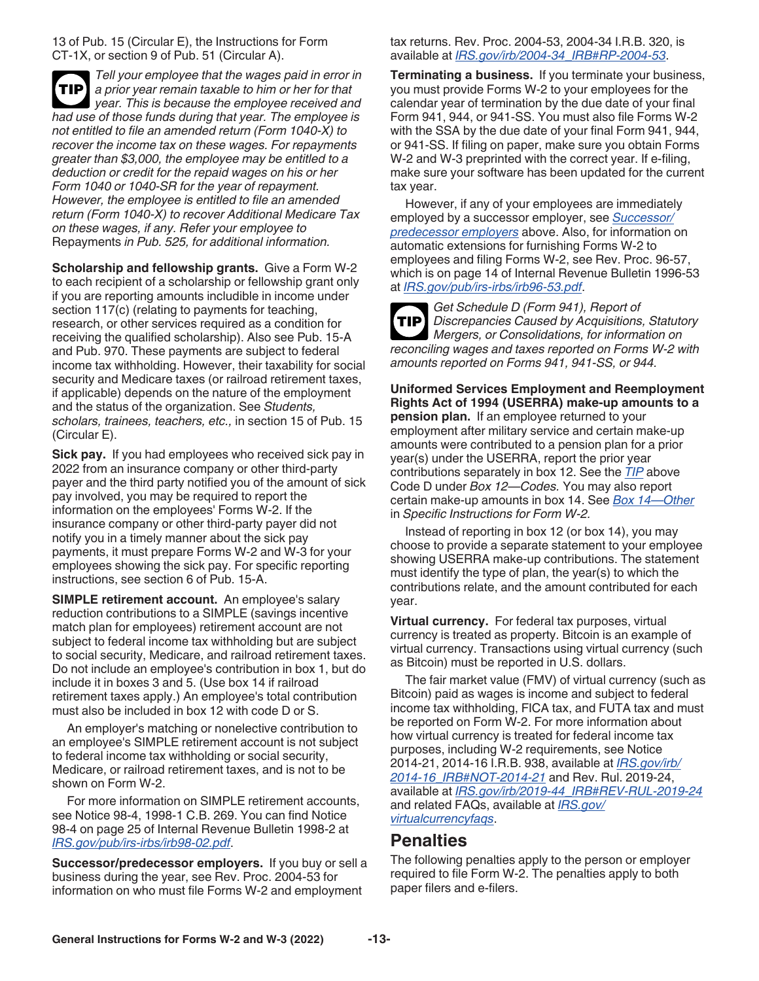<span id="page-12-0"></span>13 of Pub. 15 (Circular E), the Instructions for Form CT-1X, or section 9 of Pub. 51 (Circular A).

*Tell your employee that the wages paid in error in a prior year remain taxable to him or her for that*  **TIP** *year. This is because the employee received and had use of those funds during that year. The employee is not entitled to file an amended return (Form 1040-X) to recover the income tax on these wages. For repayments greater than \$3,000, the employee may be entitled to a deduction or credit for the repaid wages on his or her Form 1040 or 1040-SR for the year of repayment. However, the employee is entitled to file an amended return (Form 1040-X) to recover Additional Medicare Tax on these wages, if any. Refer your employee to*  Repayments *in Pub. 525, for additional information.*

**Scholarship and fellowship grants.** Give a Form W-2 to each recipient of a scholarship or fellowship grant only if you are reporting amounts includible in income under section 117(c) (relating to payments for teaching, research, or other services required as a condition for receiving the qualified scholarship). Also see Pub. 15-A and Pub. 970. These payments are subject to federal income tax withholding. However, their taxability for social security and Medicare taxes (or railroad retirement taxes, if applicable) depends on the nature of the employment and the status of the organization. See *Students, scholars, trainees, teachers, etc.,* in section 15 of Pub. 15 (Circular E).

**Sick pay.** If you had employees who received sick pay in 2022 from an insurance company or other third-party payer and the third party notified you of the amount of sick pay involved, you may be required to report the information on the employees' Forms W-2. If the insurance company or other third-party payer did not notify you in a timely manner about the sick pay payments, it must prepare Forms W-2 and W-3 for your employees showing the sick pay. For specific reporting instructions, see section 6 of Pub. 15-A.

**SIMPLE retirement account.** An employee's salary reduction contributions to a SIMPLE (savings incentive match plan for employees) retirement account are not subject to federal income tax withholding but are subject to social security, Medicare, and railroad retirement taxes. Do not include an employee's contribution in box 1, but do include it in boxes 3 and 5. (Use box 14 if railroad retirement taxes apply.) An employee's total contribution must also be included in box 12 with code D or S.

An employer's matching or nonelective contribution to an employee's SIMPLE retirement account is not subject to federal income tax withholding or social security, Medicare, or railroad retirement taxes, and is not to be shown on Form W-2.

For more information on SIMPLE retirement accounts, see Notice 98-4, 1998-1 C.B. 269. You can find Notice 98-4 on page 25 of Internal Revenue Bulletin 1998-2 at *[IRS.gov/pub/irs-irbs/irb98-02.pdf](https://www.irs.gov/pub/irs-irbs/irb98-02.pdf)*.

**Successor/predecessor employers.** If you buy or sell a business during the year, see Rev. Proc. 2004-53 for information on who must file Forms W-2 and employment

tax returns. Rev. Proc. 2004-53, 2004-34 I.R.B. 320, is available at *[IRS.gov/irb/2004-34\\_IRB#RP-2004-53](https://www.irs.gov/irb/2004-34_IRB#RP-2004-53)*.

**Terminating a business.** If you terminate your business, you must provide Forms W-2 to your employees for the calendar year of termination by the due date of your final Form 941, 944, or 941-SS. You must also file Forms W-2 with the SSA by the due date of your final Form 941, 944, or 941-SS. If filing on paper, make sure you obtain Forms W-2 and W-3 preprinted with the correct year. If e-filing, make sure your software has been updated for the current tax year.

However, if any of your employees are immediately employed by a successor employer, see *Successor/ predecessor employers* above. Also, for information on automatic extensions for furnishing Forms W-2 to employees and filing Forms W-2, see Rev. Proc. 96-57, which is on page 14 of Internal Revenue Bulletin 1996-53 at *[IRS.gov/pub/irs-irbs/irb96-53.pdf](https://www.irs.gov/pub/irs-irbs/irb96-53.pdf)*.

*Get Schedule D (Form 941), Report of Discrepancies Caused by Acquisitions, Statutory Mergers, or Consolidations, for information on reconciling wages and taxes reported on Forms W-2 with amounts reported on Forms 941, 941-SS, or 944.* **TIP**

**Uniformed Services Employment and Reemployment Rights Act of 1994 (USERRA) make-up amounts to a pension plan.** If an employee returned to your employment after military service and certain make-up amounts were contributed to a pension plan for a prior year(s) under the USERRA, report the prior year contributions separately in box 12. See the *[TIP](#page-18-0)* above Code D under *Box 12—Codes.* You may also report certain make-up amounts in box 14. See *[Box 14—Other](#page-21-0)*  in *Specific Instructions for Form W-2.*

Instead of reporting in box 12 (or box 14), you may choose to provide a separate statement to your employee showing USERRA make-up contributions. The statement must identify the type of plan, the year(s) to which the contributions relate, and the amount contributed for each year.

**Virtual currency.** For federal tax purposes, virtual currency is treated as property. Bitcoin is an example of virtual currency. Transactions using virtual currency (such as Bitcoin) must be reported in U.S. dollars.

The fair market value (FMV) of virtual currency (such as Bitcoin) paid as wages is income and subject to federal income tax withholding, FICA tax, and FUTA tax and must be reported on Form W-2. For more information about how virtual currency is treated for federal income tax purposes, including W-2 requirements, see Notice 2014-21, 2014-16 I.R.B. 938, available at *[IRS.gov/irb/](https://www.irs.gov/irb/2014-16_IRB#NOT-2014-21) [2014-16\\_IRB#NOT-2014-21](https://www.irs.gov/irb/2014-16_IRB#NOT-2014-21)* and Rev. Rul. 2019-24, available at *[IRS.gov/irb/2019-44\\_IRB#REV-RUL-2019-24](https://www.irs.gov/irb/2019-44_IRB#REV-RUL-2019-24 )*  and related FAQs, available at *[IRS.gov/](https://www.irs.gov/individuals/international-taxpayers/frequently-asked-questions-on-virtual-currency-transactions) [virtualcurrencyfaqs](https://www.irs.gov/individuals/international-taxpayers/frequently-asked-questions-on-virtual-currency-transactions)*.

## **Penalties**

The following penalties apply to the person or employer required to file Form W-2. The penalties apply to both paper filers and e-filers.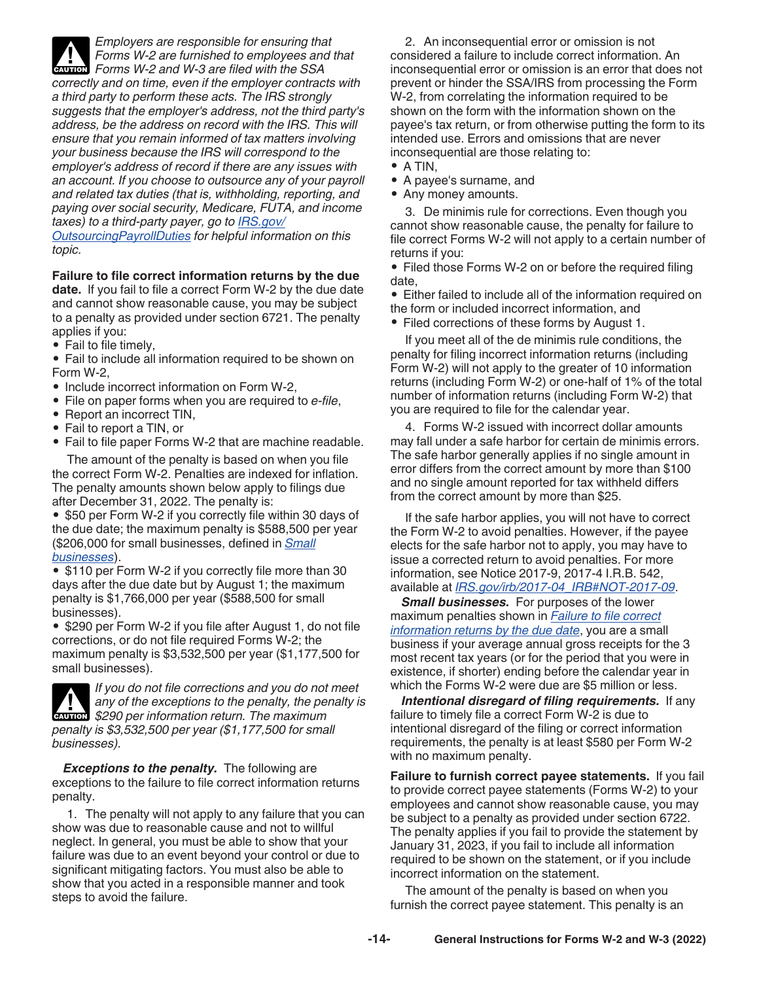<span id="page-13-0"></span>

*Employers are responsible for ensuring that Forms W-2 are furnished to employees and that* 

**Forms W-2 are furnished to employees and W-3 are filed with the SSA** *correctly and on time, even if the employer contracts with a third party to perform these acts. The IRS strongly suggests that the employer's address, not the third party's address, be the address on record with the IRS. This will ensure that you remain informed of tax matters involving your business because the IRS will correspond to the employer's address of record if there are any issues with an account. If you choose to outsource any of your payroll and related tax duties (that is, withholding, reporting, and paying over social security, Medicare, FUTA, and income taxes) to a third-party payer, go to [IRS.gov/](https://www.irs.gov/outsourcingpayrollduties)*

*[OutsourcingPayrollDuties](https://www.irs.gov/outsourcingpayrollduties) for helpful information on this topic.*

## **Failure to file correct information returns by the due**

**date.** If you fail to file a correct Form W-2 by the due date and cannot show reasonable cause, you may be subject to a penalty as provided under section 6721. The penalty applies if you:

• Fail to file timely,

• Fail to include all information required to be shown on Form W-2,

- Include incorrect information on Form W-2,
- File on paper forms when you are required to *e-file*,
- Report an incorrect TIN,
- Fail to report a TIN, or
- Fail to file paper Forms W-2 that are machine readable.

The amount of the penalty is based on when you file the correct Form W-2. Penalties are indexed for inflation. The penalty amounts shown below apply to filings due after December 31, 2022. The penalty is:

• \$50 per Form W-2 if you correctly file within 30 days of the due date; the maximum penalty is \$588,500 per year (\$206,000 for small businesses, defined in *Small businesses*).

• \$110 per Form W-2 if you correctly file more than 30 days after the due date but by August 1; the maximum penalty is \$1,766,000 per year (\$588,500 for small businesses).

• \$290 per Form W-2 if you file after August 1, do not file corrections, or do not file required Forms W-2; the maximum penalty is \$3,532,500 per year (\$1,177,500 for small businesses).



*If you do not file corrections and you do not meet any of the exceptions to the penalty, the penalty is*  **290** per information return. The maximum \$290 per information return. The maximum *penalty is \$3,532,500 per year (\$1,177,500 for small businesses).*

*Exceptions to the penalty.* The following are exceptions to the failure to file correct information returns penalty.

1. The penalty will not apply to any failure that you can show was due to reasonable cause and not to willful neglect. In general, you must be able to show that your failure was due to an event beyond your control or due to significant mitigating factors. You must also be able to show that you acted in a responsible manner and took steps to avoid the failure.

2. An inconsequential error or omission is not considered a failure to include correct information. An inconsequential error or omission is an error that does not prevent or hinder the SSA/IRS from processing the Form W-2, from correlating the information required to be shown on the form with the information shown on the payee's tax return, or from otherwise putting the form to its intended use. Errors and omissions that are never inconsequential are those relating to:

- A TIN,
- A payee's surname, and
- Any money amounts.

3. De minimis rule for corrections. Even though you cannot show reasonable cause, the penalty for failure to file correct Forms W-2 will not apply to a certain number of returns if you:

• Filed those Forms W-2 on or before the required filing date,

• Either failed to include all of the information required on the form or included incorrect information, and

• Filed corrections of these forms by August 1.

If you meet all of the de minimis rule conditions, the penalty for filing incorrect information returns (including Form W-2) will not apply to the greater of 10 information returns (including Form W-2) or one-half of 1% of the total number of information returns (including Form W-2) that you are required to file for the calendar year.

4. Forms W-2 issued with incorrect dollar amounts may fall under a safe harbor for certain de minimis errors. The safe harbor generally applies if no single amount in error differs from the correct amount by more than \$100 and no single amount reported for tax withheld differs from the correct amount by more than \$25.

If the safe harbor applies, you will not have to correct the Form W-2 to avoid penalties. However, if the payee elects for the safe harbor not to apply, you may have to issue a corrected return to avoid penalties. For more information, see Notice 2017-9, 2017-4 I.R.B. 542, available at *[IRS.gov/irb/2017-04\\_IRB#NOT-2017-09](https://www.irs.gov/irb/2017-04_IRB#NOT-2017-09)*.

*Small businesses.* For purposes of the lower maximum penalties shown in *Failure to file correct information returns by the due date*, you are a small business if your average annual gross receipts for the 3 most recent tax years (or for the period that you were in existence, if shorter) ending before the calendar year in which the Forms W-2 were due are \$5 million or less.

*Intentional disregard of filing requirements.* If any failure to timely file a correct Form W-2 is due to intentional disregard of the filing or correct information requirements, the penalty is at least \$580 per Form W-2 with no maximum penalty.

**Failure to furnish correct payee statements.** If you fail to provide correct payee statements (Forms W-2) to your employees and cannot show reasonable cause, you may be subject to a penalty as provided under section 6722. The penalty applies if you fail to provide the statement by January 31, 2023, if you fail to include all information required to be shown on the statement, or if you include incorrect information on the statement.

The amount of the penalty is based on when you furnish the correct payee statement. This penalty is an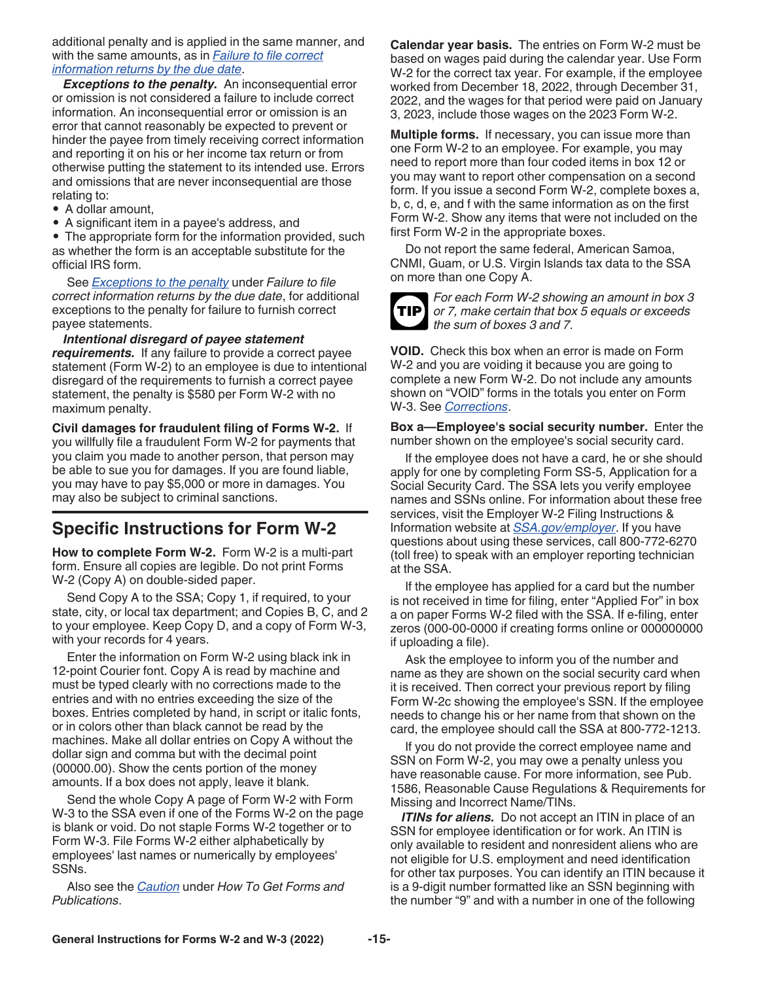<span id="page-14-0"></span>additional penalty and is applied in the same manner, and with the same amounts, as in *[Failure to file correct](#page-13-0)  [information returns by the due date](#page-13-0)*.

*Exceptions to the penalty.* An inconsequential error or omission is not considered a failure to include correct information. An inconsequential error or omission is an error that cannot reasonably be expected to prevent or hinder the payee from timely receiving correct information and reporting it on his or her income tax return or from otherwise putting the statement to its intended use. Errors and omissions that are never inconsequential are those relating to:

- A dollar amount,
- A significant item in a payee's address, and

• The appropriate form for the information provided, such as whether the form is an acceptable substitute for the official IRS form.

See *[Exceptions to the penalty](#page-13-0)* under *Failure to file correct information returns by the due date*, for additional exceptions to the penalty for failure to furnish correct payee statements.

#### *Intentional disregard of payee statement*

*requirements.* If any failure to provide a correct payee statement (Form W-2) to an employee is due to intentional disregard of the requirements to furnish a correct payee statement, the penalty is \$580 per Form W-2 with no maximum penalty.

**Civil damages for fraudulent filing of Forms W-2.** If you willfully file a fraudulent Form W-2 for payments that you claim you made to another person, that person may be able to sue you for damages. If you are found liable, you may have to pay \$5,000 or more in damages. You may also be subject to criminal sanctions.

## **Specific Instructions for Form W-2**

**How to complete Form W-2.** Form W-2 is a multi-part form. Ensure all copies are legible. Do not print Forms W-2 (Copy A) on double-sided paper.

Send Copy A to the SSA; Copy 1, if required, to your state, city, or local tax department; and Copies B, C, and 2 to your employee. Keep Copy D, and a copy of Form W-3, with your records for 4 years.

Enter the information on Form W-2 using black ink in 12-point Courier font. Copy A is read by machine and must be typed clearly with no corrections made to the entries and with no entries exceeding the size of the boxes. Entries completed by hand, in script or italic fonts, or in colors other than black cannot be read by the machines. Make all dollar entries on Copy A without the dollar sign and comma but with the decimal point (00000.00). Show the cents portion of the money amounts. If a box does not apply, leave it blank.

Send the whole Copy A page of Form W-2 with Form W-3 to the SSA even if one of the Forms W-2 on the page is blank or void. Do not staple Forms W-2 together or to Form W-3. File Forms W-2 either alphabetically by employees' last names or numerically by employees' SSNs.

Also see the *[Caution](#page-4-0)* under *How To Get Forms and Publications*.

**Calendar year basis.** The entries on Form W-2 must be based on wages paid during the calendar year. Use Form W-2 for the correct tax year. For example, if the employee worked from December 18, 2022, through December 31, 2022, and the wages for that period were paid on January 3, 2023, include those wages on the 2023 Form W-2.

**Multiple forms.** If necessary, you can issue more than one Form W-2 to an employee. For example, you may need to report more than four coded items in box 12 or you may want to report other compensation on a second form. If you issue a second Form W-2, complete boxes a, b, c, d, e, and f with the same information as on the first Form W-2. Show any items that were not included on the first Form W-2 in the appropriate boxes.

Do not report the same federal, American Samoa, CNMI, Guam, or U.S. Virgin Islands tax data to the SSA on more than one Copy A.



*For each Form W-2 showing an amount in box 3 or 7, make certain that box 5 equals or exceeds the sum of boxes 3 and 7.*

**VOID.** Check this box when an error is made on Form W-2 and you are voiding it because you are going to complete a new Form W-2. Do not include any amounts shown on "VOID" forms in the totals you enter on Form W-3. See *[Corrections](#page-25-0)*.

**Box a—Employee's social security number.** Enter the number shown on the employee's social security card.

If the employee does not have a card, he or she should apply for one by completing Form SS-5, Application for a Social Security Card. The SSA lets you verify employee names and SSNs online. For information about these free services, visit the Employer W-2 Filing Instructions & Information website at *[SSA.gov/employer](https://www.ssa.gov/employer)*. If you have questions about using these services, call 800-772-6270 (toll free) to speak with an employer reporting technician at the SSA.

If the employee has applied for a card but the number is not received in time for filing, enter "Applied For" in box a on paper Forms W-2 filed with the SSA. If e-filing, enter zeros (000-00-0000 if creating forms online or 000000000 if uploading a file).

Ask the employee to inform you of the number and name as they are shown on the social security card when it is received. Then correct your previous report by filing Form W-2c showing the employee's SSN. If the employee needs to change his or her name from that shown on the card, the employee should call the SSA at 800-772-1213.

If you do not provide the correct employee name and SSN on Form W-2, you may owe a penalty unless you have reasonable cause. For more information, see Pub. 1586, Reasonable Cause Regulations & Requirements for Missing and Incorrect Name/TINs.

*ITINs for aliens.* Do not accept an ITIN in place of an SSN for employee identification or for work. An ITIN is only available to resident and nonresident aliens who are not eligible for U.S. employment and need identification for other tax purposes. You can identify an ITIN because it is a 9-digit number formatted like an SSN beginning with the number "9" and with a number in one of the following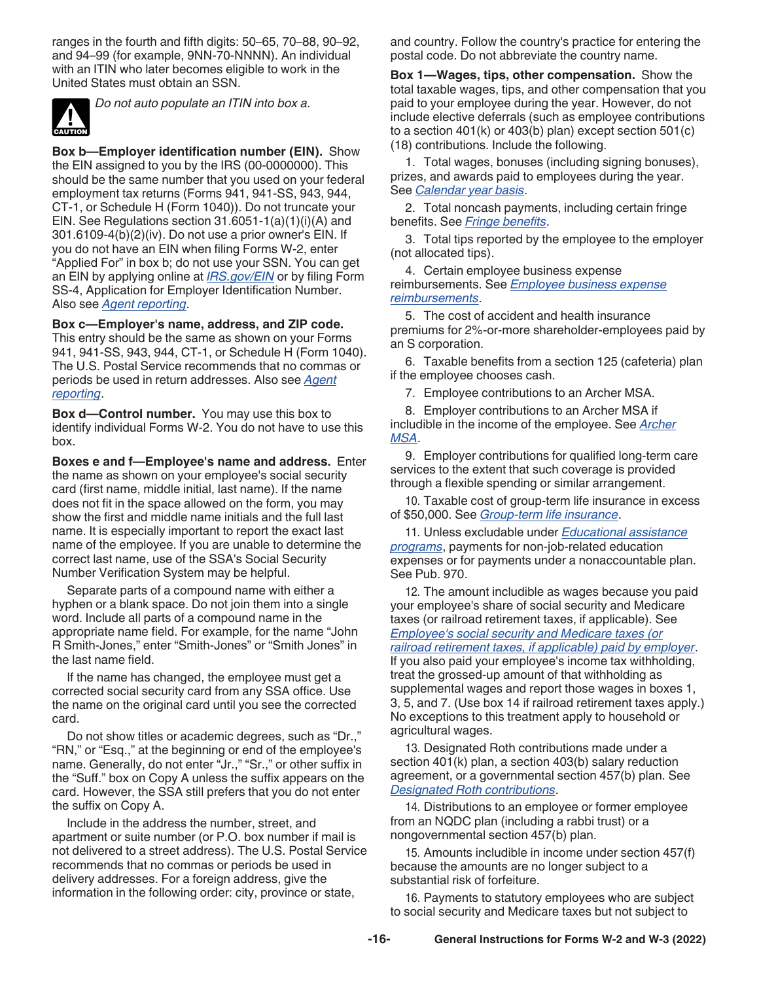<span id="page-15-0"></span>ranges in the fourth and fifth digits: 50–65, 70–88, 90–92, and 94–99 (for example, 9NN-70-NNNN). An individual with an ITIN who later becomes eligible to work in the United States must obtain an SSN.



*Do not auto populate an ITIN into box a.*

**Box b—Employer identification number (EIN).** Show the EIN assigned to you by the IRS (00-0000000). This should be the same number that you used on your federal employment tax returns (Forms 941, 941-SS, 943, 944, CT-1, or Schedule H (Form 1040)). Do not truncate your EIN. See Regulations section 31.6051-1(a)(1)(i)(A) and 301.6109-4(b)(2)(iv). Do not use a prior owner's EIN. If you do not have an EIN when filing Forms W-2, enter "Applied For" in box b; do not use your SSN. You can get an EIN by applying online at *[IRS.gov/EIN](https://www.irs.gov/EIN)* or by filing Form SS-4, Application for Employer Identification Number. Also see *[Agent reporting](#page-6-0)*.

**Box c—Employer's name, address, and ZIP code.**  This entry should be the same as shown on your Forms 941, 941-SS, 943, 944, CT-1, or Schedule H (Form 1040). The U.S. Postal Service recommends that no commas or periods be used in return addresses. Also see *[Agent](#page-6-0)  [reporting](#page-6-0)*.

**Box d—Control number.** You may use this box to identify individual Forms W-2. You do not have to use this box.

**Boxes e and f—Employee's name and address.** Enter the name as shown on your employee's social security card (first name, middle initial, last name). If the name does not fit in the space allowed on the form, you may show the first and middle name initials and the full last name. It is especially important to report the exact last name of the employee. If you are unable to determine the correct last name, use of the SSA's Social Security Number Verification System may be helpful.

Separate parts of a compound name with either a hyphen or a blank space. Do not join them into a single word. Include all parts of a compound name in the appropriate name field. For example, for the name "John R Smith-Jones," enter "Smith-Jones" or "Smith Jones" in the last name field.

If the name has changed, the employee must get a corrected social security card from any SSA office. Use the name on the original card until you see the corrected card.

Do not show titles or academic degrees, such as "Dr.," "RN," or "Esq.," at the beginning or end of the employee's name. Generally, do not enter "Jr.," "Sr.," or other suffix in the "Suff." box on Copy A unless the suffix appears on the card. However, the SSA still prefers that you do not enter the suffix on Copy A.

Include in the address the number, street, and apartment or suite number (or P.O. box number if mail is not delivered to a street address). The U.S. Postal Service recommends that no commas or periods be used in delivery addresses. For a foreign address, give the information in the following order: city, province or state,

and country. Follow the country's practice for entering the postal code. Do not abbreviate the country name.

**Box 1—Wages, tips, other compensation.** Show the total taxable wages, tips, and other compensation that you paid to your employee during the year. However, do not include elective deferrals (such as employee contributions to a section 401(k) or 403(b) plan) except section 501(c) (18) contributions. Include the following.

1. Total wages, bonuses (including signing bonuses), prizes, and awards paid to employees during the year. See *[Calendar year basis](#page-14-0)*.

2. Total noncash payments, including certain fringe benefits. See *[Fringe benefits](#page-9-0)*.

3. Total tips reported by the employee to the employer (not allocated tips).

4. Certain employee business expense reimbursements. See *[Employee business expense](#page-8-0) [reimbursements](#page-8-0)*.

5. The cost of accident and health insurance premiums for 2%-or-more shareholder-employees paid by an S corporation.

6. Taxable benefits from a section 125 (cafeteria) plan if the employee chooses cash.

7. Employee contributions to an Archer MSA.

8. Employer contributions to an Archer MSA if includible in the income of the employee. See *[Archer](#page-7-0) [MSA](#page-7-0)*.

9. Employer contributions for qualified long-term care services to the extent that such coverage is provided through a flexible spending or similar arrangement.

10. Taxable cost of group-term life insurance in excess of \$50,000. See *[Group-term life insurance](#page-9-0)*.

11. Unless excludable under *[Educational assistance](#page-8-0)  [programs](#page-8-0)*, payments for non-job-related education expenses or for payments under a nonaccountable plan. See Pub. 970.

12. The amount includible as wages because you paid your employee's share of social security and Medicare taxes (or railroad retirement taxes, if applicable). See *[Employee's social security and Medicare taxes \(or](#page-8-0)  [railroad retirement taxes, if applicable\) paid by employer](#page-8-0)*. If you also paid your employee's income tax withholding, treat the grossed-up amount of that withholding as supplemental wages and report those wages in boxes 1, 3, 5, and 7. (Use box 14 if railroad retirement taxes apply.) No exceptions to this treatment apply to household or agricultural wages.

13. Designated Roth contributions made under a section 401(k) plan, a section 403(b) salary reduction agreement, or a governmental section 457(b) plan. See *[Designated Roth contributions](#page-7-0)*.

14. Distributions to an employee or former employee from an NQDC plan (including a rabbi trust) or a nongovernmental section 457(b) plan.

15. Amounts includible in income under section 457(f) because the amounts are no longer subject to a substantial risk of forfeiture.

16. Payments to statutory employees who are subject to social security and Medicare taxes but not subject to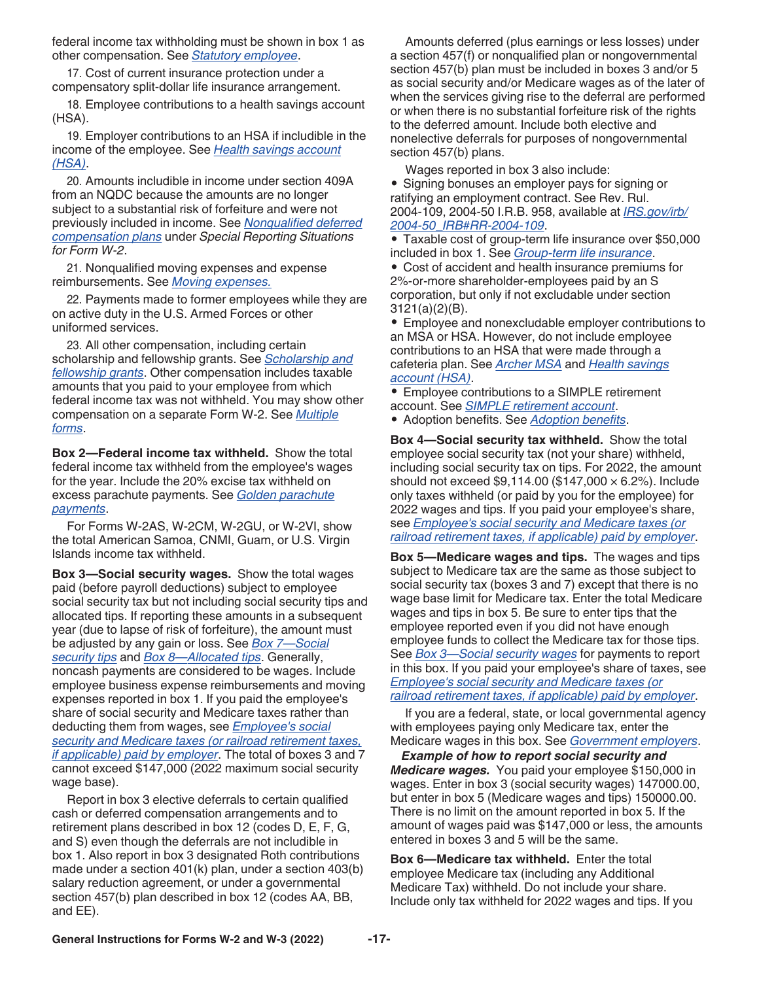<span id="page-16-0"></span>federal income tax withholding must be shown in box 1 as other compensation. See *[Statutory employee](#page-21-0)*.

17. Cost of current insurance protection under a compensatory split-dollar life insurance arrangement.

18. Employee contributions to a health savings account (HSA).

19. Employer contributions to an HSA if includible in the income of the employee. See *[Health savings account](#page-10-0) [\(HSA\)](#page-10-0)*.

20. Amounts includible in income under section 409A from an NQDC because the amounts are no longer subject to a substantial risk of forfeiture and were not previously included in income. See *[Nonqualified deferred](#page-10-0) [compensation plans](#page-10-0)* under *Special Reporting Situations for Form W-2*.

21. Nonqualified moving expenses and expense reimbursements. See *[Moving expenses.](#page-10-0)*

22. Payments made to former employees while they are on active duty in the U.S. Armed Forces or other uniformed services.

23. All other compensation, including certain scholarship and fellowship grants. See *[Scholarship and](#page-12-0)  [fellowship grants](#page-12-0)*. Other compensation includes taxable amounts that you paid to your employee from which federal income tax was not withheld. You may show other compensation on a separate Form W-2. See *[Multiple](#page-14-0) [forms](#page-14-0)*.

**Box 2—Federal income tax withheld.** Show the total federal income tax withheld from the employee's wages for the year. Include the 20% excise tax withheld on excess parachute payments. See *[Golden parachute](#page-9-0) [payments](#page-9-0)*.

For Forms W-2AS, W-2CM, W-2GU, or W-2VI, show the total American Samoa, CNMI, Guam, or U.S. Virgin Islands income tax withheld.

**Box 3—Social security wages.** Show the total wages paid (before payroll deductions) subject to employee social security tax but not including social security tips and allocated tips. If reporting these amounts in a subsequent year (due to lapse of risk of forfeiture), the amount must be adjusted by any gain or loss. See *[Box 7—Social](#page-17-0)  [security tips](#page-17-0)* and *[Box 8—Allocated tips](#page-17-0)*. Generally, noncash payments are considered to be wages. Include employee business expense reimbursements and moving expenses reported in box 1. If you paid the employee's share of social security and Medicare taxes rather than deducting them from wages, see *[Employee's social](#page-8-0)  [security and Medicare taxes \(or railroad retirement taxes,](#page-8-0)  [if applicable\) paid by employer](#page-8-0)*. The total of boxes 3 and 7 cannot exceed \$147,000 (2022 maximum social security wage base).

Report in box 3 elective deferrals to certain qualified cash or deferred compensation arrangements and to retirement plans described in box 12 (codes D, E, F, G, and S) even though the deferrals are not includible in box 1. Also report in box 3 designated Roth contributions made under a section 401(k) plan, under a section 403(b) salary reduction agreement, or under a governmental section 457(b) plan described in box 12 (codes AA, BB, and EE).

Amounts deferred (plus earnings or less losses) under a section 457(f) or nonqualified plan or nongovernmental section 457(b) plan must be included in boxes 3 and/or 5 as social security and/or Medicare wages as of the later of when the services giving rise to the deferral are performed or when there is no substantial forfeiture risk of the rights to the deferred amount. Include both elective and nonelective deferrals for purposes of nongovernmental section 457(b) plans.

Wages reported in box 3 also include:

• Signing bonuses an employer pays for signing or ratifying an employment contract. See Rev. Rul. 2004-109, 2004-50 I.R.B. 958, available at *[IRS.gov/irb/](https://www.irs.gov/irb/2004-50_IRB#RR-2004-109) [2004-50\\_IRB#RR-2004-109](https://www.irs.gov/irb/2004-50_IRB#RR-2004-109)*.

• Taxable cost of group-term life insurance over \$50,000 included in box 1. See *[Group-term life insurance](#page-9-0)*.

• Cost of accident and health insurance premiums for 2%-or-more shareholder-employees paid by an S corporation, but only if not excludable under section 3121(a)(2)(B).

• Employee and nonexcludable employer contributions to an MSA or HSA. However, do not include employee contributions to an HSA that were made through a cafeteria plan. See *[Archer MSA](#page-7-0)* and *[Health savings](#page-10-0) [account \(HSA\)](#page-10-0)*.

• Employee contributions to a SIMPLE retirement account. See *[SIMPLE retirement account](#page-12-0)*.

• Adoption benefits. See *[Adoption benefits](#page-6-0)*.

**Box 4—Social security tax withheld.** Show the total employee social security tax (not your share) withheld, including social security tax on tips. For 2022, the amount should not exceed \$9,114.00 (\$147,000  $\times$  6.2%). Include only taxes withheld (or paid by you for the employee) for 2022 wages and tips. If you paid your employee's share, see *[Employee's social security and Medicare taxes \(or](#page-8-0) [railroad retirement taxes, if applicable\) paid by employer](#page-8-0)*.

**Box 5—Medicare wages and tips.** The wages and tips subject to Medicare tax are the same as those subject to social security tax (boxes 3 and 7) except that there is no wage base limit for Medicare tax. Enter the total Medicare wages and tips in box 5. Be sure to enter tips that the employee reported even if you did not have enough employee funds to collect the Medicare tax for those tips. See *Box 3—Social security wages* for payments to report in this box. If you paid your employee's share of taxes, see *[Employee's social security and Medicare taxes \(or](#page-8-0)  [railroad retirement taxes, if applicable\) paid by employer](#page-8-0)*.

If you are a federal, state, or local governmental agency with employees paying only Medicare tax, enter the Medicare wages in this box. See *[Government employers](#page-9-0)*.

*Example of how to report social security and Medicare wages.* You paid your employee \$150,000 in wages. Enter in box 3 (social security wages) 147000.00, but enter in box 5 (Medicare wages and tips) 150000.00. There is no limit on the amount reported in box 5. If the amount of wages paid was \$147,000 or less, the amounts entered in boxes 3 and 5 will be the same.

**Box 6—Medicare tax withheld.** Enter the total employee Medicare tax (including any Additional Medicare Tax) withheld. Do not include your share. Include only tax withheld for 2022 wages and tips. If you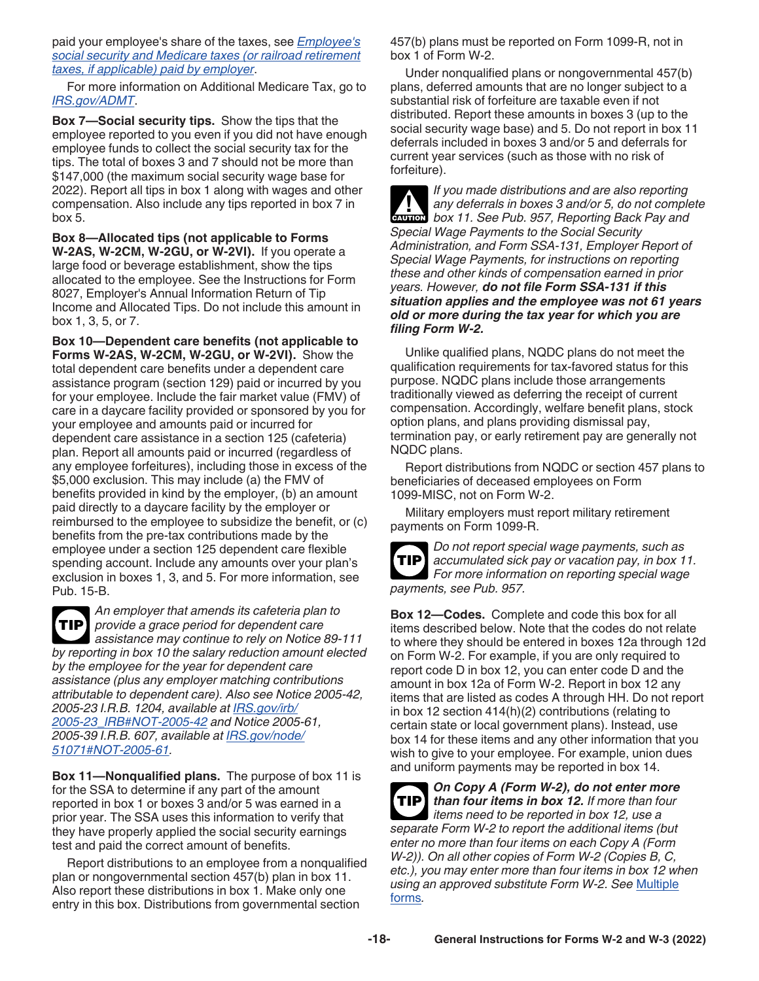<span id="page-17-0"></span>paid your employee's share of the taxes, see *[Employee's](#page-8-0)  [social security and Medicare taxes \(or railroad retirement](#page-8-0)  [taxes, if applicable\) paid by employer](#page-8-0)*.

For more information on Additional Medicare Tax, go to *[IRS.gov/ADMT](https://www.irs.gov/admt)*.

**Box 7—Social security tips.** Show the tips that the employee reported to you even if you did not have enough employee funds to collect the social security tax for the tips. The total of boxes 3 and 7 should not be more than \$147,000 (the maximum social security wage base for 2022). Report all tips in box 1 along with wages and other compensation. Also include any tips reported in box 7 in box 5.

**Box 8—Allocated tips (not applicable to Forms W-2AS, W-2CM, W-2GU, or W-2VI).** If you operate a large food or beverage establishment, show the tips allocated to the employee. See the Instructions for Form 8027, Employer's Annual Information Return of Tip Income and Allocated Tips. Do not include this amount in box 1, 3, 5, or 7.

**Box 10—Dependent care benefits (not applicable to Forms W-2AS, W-2CM, W-2GU, or W-2VI).** Show the total dependent care benefits under a dependent care assistance program (section 129) paid or incurred by you for your employee. Include the fair market value (FMV) of care in a daycare facility provided or sponsored by you for your employee and amounts paid or incurred for dependent care assistance in a section 125 (cafeteria) plan. Report all amounts paid or incurred (regardless of any employee forfeitures), including those in excess of the \$5,000 exclusion. This may include (a) the FMV of benefits provided in kind by the employer, (b) an amount paid directly to a daycare facility by the employer or reimbursed to the employee to subsidize the benefit, or (c) benefits from the pre-tax contributions made by the employee under a section 125 dependent care flexible spending account. Include any amounts over your plan's exclusion in boxes 1, 3, and 5. For more information, see Pub. 15-B.

*An employer that amends its cafeteria plan to provide a grace period for dependent care*  **TIP** *assistance may continue to rely on Notice 89-111 by reporting in box 10 the salary reduction amount elected by the employee for the year for dependent care assistance (plus any employer matching contributions attributable to dependent care). Also see Notice 2005-42, 2005-23 I.R.B. 1204, available at [IRS.gov/irb/](https://www.irs.gov/irb/2005-23_IRB#NOT-2005-42) [2005-23\\_IRB#NOT-2005-42](https://www.irs.gov/irb/2005-23_IRB#NOT-2005-42) and Notice 2005-61, 2005-39 I.R.B. 607, available at [IRS.gov/node/](https://www.irs.gov/node/51071#NOT-2005-61) [51071#NOT-2005-61.](https://www.irs.gov/node/51071#NOT-2005-61)*

**Box 11—Nonqualified plans.** The purpose of box 11 is for the SSA to determine if any part of the amount reported in box 1 or boxes 3 and/or 5 was earned in a prior year. The SSA uses this information to verify that they have properly applied the social security earnings test and paid the correct amount of benefits.

Report distributions to an employee from a nonqualified plan or nongovernmental section 457(b) plan in box 11. Also report these distributions in box 1. Make only one entry in this box. Distributions from governmental section

457(b) plans must be reported on Form 1099-R, not in box 1 of Form W-2.

Under nonqualified plans or nongovernmental 457(b) plans, deferred amounts that are no longer subject to a substantial risk of forfeiture are taxable even if not distributed. Report these amounts in boxes 3 (up to the social security wage base) and 5. Do not report in box 11 deferrals included in boxes 3 and/or 5 and deferrals for current year services (such as those with no risk of forfeiture).

*If you made distributions and are also reporting any deferrals in boxes 3 and/or 5, do not complete*  **box 11. See Pub. 957, Reporting Back Pay and** *box* **11. See Pub. 957, Reporting Back Pay and** *Special Wage Payments to the Social Security Administration, and Form SSA-131, Employer Report of Special Wage Payments, for instructions on reporting these and other kinds of compensation earned in prior years. However, do not file Form SSA-131 if this situation applies and the employee was not 61 years old or more during the tax year for which you are filing Form W-2.*

Unlike qualified plans, NQDC plans do not meet the qualification requirements for tax-favored status for this purpose. NQDC plans include those arrangements traditionally viewed as deferring the receipt of current compensation. Accordingly, welfare benefit plans, stock option plans, and plans providing dismissal pay, termination pay, or early retirement pay are generally not NQDC plans.

Report distributions from NQDC or section 457 plans to beneficiaries of deceased employees on Form 1099-MISC, not on Form W-2.

Military employers must report military retirement payments on Form 1099-R.



*Do not report special wage payments, such as accumulated sick pay or vacation pay, in box 11. For more information on reporting special wage payments, see Pub. 957.*

**Box 12—Codes.** Complete and code this box for all items described below. Note that the codes do not relate to where they should be entered in boxes 12a through 12d on Form W-2. For example, if you are only required to report code D in box 12, you can enter code D and the amount in box 12a of Form W-2. Report in box 12 any items that are listed as codes A through HH. Do not report in box 12 section 414(h)(2) contributions (relating to certain state or local government plans). Instead, use box 14 for these items and any other information that you wish to give to your employee. For example, union dues and uniform payments may be reported in box 14.

*On Copy A (Form W-2), do not enter more than four items in box 12. If more than four items need to be reported in box 12, use a separate Form W-2 to report the additional items (but enter no more than four items on each Copy A (Form W-2)). On all other copies of Form W-2 (Copies B, C, etc.), you may enter more than four items in box 12 when using an approved substitute Form W-2. See* [Multiple](#page-14-0)  [forms](#page-14-0)*.* **TIP**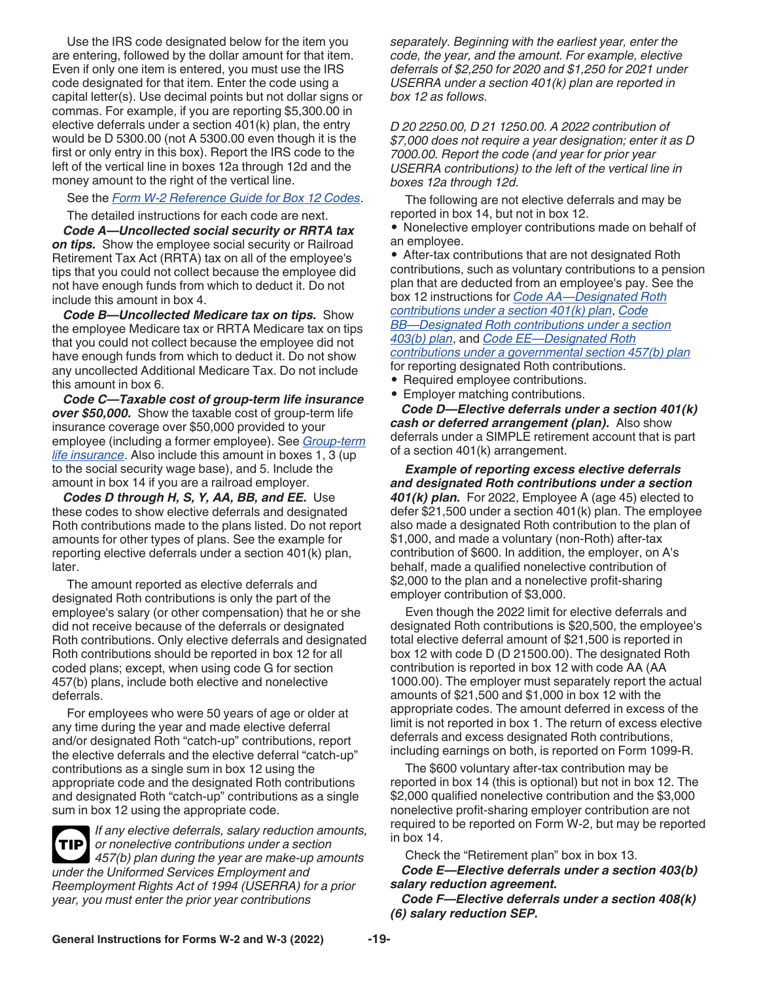<span id="page-18-0"></span>Use the IRS code designated below for the item you are entering, followed by the dollar amount for that item. Even if only one item is entered, you must use the IRS code designated for that item. Enter the code using a capital letter(s). Use decimal points but not dollar signs or commas. For example, if you are reporting \$5,300.00 in elective deferrals under a section 401(k) plan, the entry would be D 5300.00 (not A 5300.00 even though it is the first or only entry in this box). Report the IRS code to the left of the vertical line in boxes 12a through 12d and the money amount to the right of the vertical line.

See the *[Form W-2 Reference Guide for Box 12 Codes](#page-29-0)*.

The detailed instructions for each code are next.

*Code A—Uncollected social security or RRTA tax*  **on tips.** Show the employee social security or Railroad Retirement Tax Act (RRTA) tax on all of the employee's tips that you could not collect because the employee did not have enough funds from which to deduct it. Do not include this amount in box 4.

*Code B—Uncollected Medicare tax on tips.* Show the employee Medicare tax or RRTA Medicare tax on tips that you could not collect because the employee did not have enough funds from which to deduct it. Do not show any uncollected Additional Medicare Tax. Do not include this amount in box 6.

*Code C—Taxable cost of group-term life insurance over \$50,000.* Show the taxable cost of group-term life insurance coverage over \$50,000 provided to your employee (including a former employee). See *[Group-term](#page-9-0) [life insurance](#page-9-0)*. Also include this amount in boxes 1, 3 (up to the social security wage base), and 5. Include the amount in box 14 if you are a railroad employer.

*Codes D through H, S, Y, AA, BB, and EE.* Use these codes to show elective deferrals and designated Roth contributions made to the plans listed. Do not report amounts for other types of plans. See the example for reporting elective deferrals under a section 401(k) plan, later.

The amount reported as elective deferrals and designated Roth contributions is only the part of the employee's salary (or other compensation) that he or she did not receive because of the deferrals or designated Roth contributions. Only elective deferrals and designated Roth contributions should be reported in box 12 for all coded plans; except, when using code G for section 457(b) plans, include both elective and nonelective deferrals.

For employees who were 50 years of age or older at any time during the year and made elective deferral and/or designated Roth "catch-up" contributions, report the elective deferrals and the elective deferral "catch-up" contributions as a single sum in box 12 using the appropriate code and the designated Roth contributions and designated Roth "catch-up" contributions as a single sum in box 12 using the appropriate code.

*If any elective deferrals, salary reduction amounts, or nonelective contributions under a section 457(b) plan during the year are make-up amounts under the Uniformed Services Employment and Reemployment Rights Act of 1994 (USERRA) for a prior year, you must enter the prior year contributions*  **TIP**

*separately. Beginning with the earliest year, enter the code, the year, and the amount. For example, elective deferrals of \$2,250 for 2020 and \$1,250 for 2021 under USERRA under a section 401(k) plan are reported in box 12 as follows.*

*D 20 2250.00, D 21 1250.00. A 2022 contribution of \$7,000 does not require a year designation; enter it as D 7000.00. Report the code (and year for prior year USERRA contributions) to the left of the vertical line in boxes 12a through 12d.*

The following are not elective deferrals and may be reported in box 14, but not in box 12.

• Nonelective employer contributions made on behalf of an employee.

• After-tax contributions that are not designated Roth contributions, such as voluntary contributions to a pension plan that are deducted from an employee's pay. See the box 12 instructions for *[Code AA—Designated Roth](#page-20-0) [contributions under a section 401\(k\) plan](#page-20-0)*, *[Code](#page-20-0) [BB—Designated Roth contributions under a section](#page-20-0)  [403\(b\) plan](#page-20-0)*, and *[Code EE—Designated Roth](#page-20-0) [contributions under a governmental section 457\(b\) plan](#page-20-0)*  for reporting designated Roth contributions.

- Required employee contributions.
- Employer matching contributions.

*Code D—Elective deferrals under a section 401(k) cash or deferred arrangement (plan).* Also show deferrals under a SIMPLE retirement account that is part of a section 401(k) arrangement.

*Example of reporting excess elective deferrals and designated Roth contributions under a section 401(k) plan.* For 2022, Employee A (age 45) elected to defer \$21,500 under a section 401(k) plan. The employee also made a designated Roth contribution to the plan of \$1,000, and made a voluntary (non-Roth) after-tax contribution of \$600. In addition, the employer, on A's behalf, made a qualified nonelective contribution of \$2,000 to the plan and a nonelective profit-sharing employer contribution of \$3,000.

Even though the 2022 limit for elective deferrals and designated Roth contributions is \$20,500, the employee's total elective deferral amount of \$21,500 is reported in box 12 with code D (D 21500.00). The designated Roth contribution is reported in box 12 with code AA (AA 1000.00). The employer must separately report the actual amounts of \$21,500 and \$1,000 in box 12 with the appropriate codes. The amount deferred in excess of the limit is not reported in box 1. The return of excess elective deferrals and excess designated Roth contributions, including earnings on both, is reported on Form 1099-R.

The \$600 voluntary after-tax contribution may be reported in box 14 (this is optional) but not in box 12. The \$2,000 qualified nonelective contribution and the \$3,000 nonelective profit-sharing employer contribution are not required to be reported on Form W-2, but may be reported in box 14.

Check the "Retirement plan" box in box 13.

*Code E—Elective deferrals under a section 403(b) salary reduction agreement.* 

*Code F—Elective deferrals under a section 408(k) (6) salary reduction SEP.*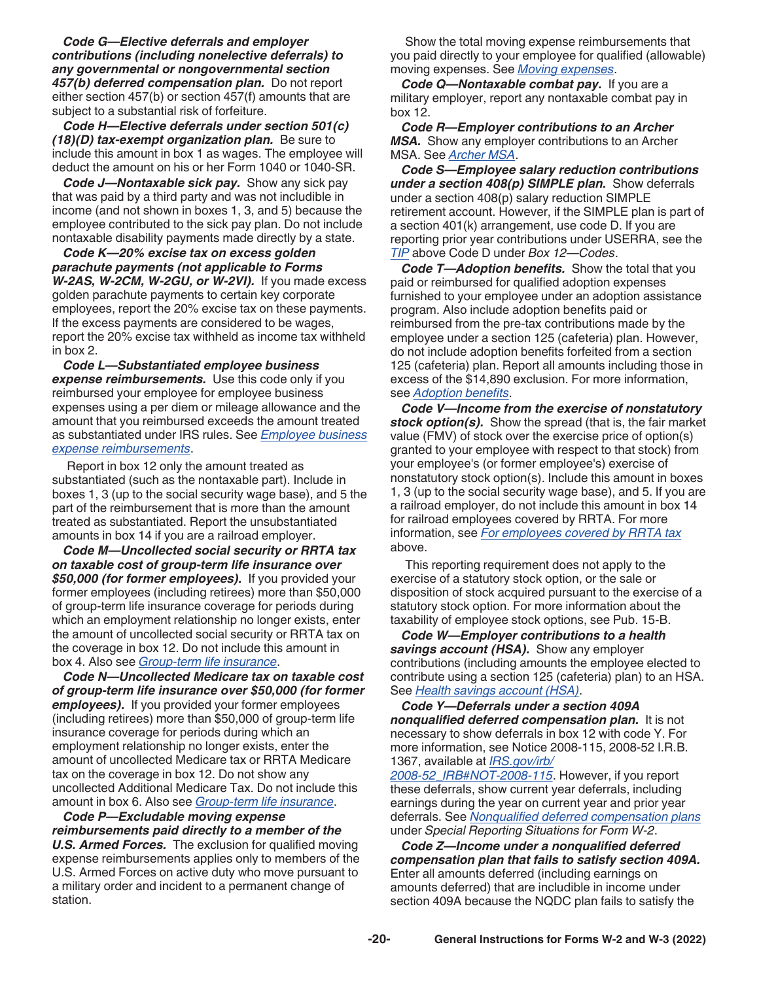<span id="page-19-0"></span>*Code G—Elective deferrals and employer contributions (including nonelective deferrals) to any governmental or nongovernmental section 457(b) deferred compensation plan.* Do not report either section 457(b) or section 457(f) amounts that are subject to a substantial risk of forfeiture.

*Code H—Elective deferrals under section 501(c) (18)(D) tax-exempt organization plan.* Be sure to include this amount in box 1 as wages. The employee will deduct the amount on his or her Form 1040 or 1040-SR.

*Code J—Nontaxable sick pay.* Show any sick pay that was paid by a third party and was not includible in income (and not shown in boxes 1, 3, and 5) because the employee contributed to the sick pay plan. Do not include nontaxable disability payments made directly by a state.

*Code K—20% excise tax on excess golden parachute payments (not applicable to Forms W-2AS, W-2CM, W-2GU, or W-2VI).* If you made excess golden parachute payments to certain key corporate employees, report the 20% excise tax on these payments. If the excess payments are considered to be wages, report the 20% excise tax withheld as income tax withheld in box 2.

*Code L—Substantiated employee business expense reimbursements.* Use this code only if you reimbursed your employee for employee business expenses using a per diem or mileage allowance and the amount that you reimbursed exceeds the amount treated as substantiated under IRS rules. See *[Employee business](#page-8-0) [expense reimbursements](#page-8-0)*.

Report in box 12 only the amount treated as substantiated (such as the nontaxable part). Include in boxes 1, 3 (up to the social security wage base), and 5 the part of the reimbursement that is more than the amount treated as substantiated. Report the unsubstantiated amounts in box 14 if you are a railroad employer.

*Code M—Uncollected social security or RRTA tax on taxable cost of group-term life insurance over \$50,000 (for former employees).* If you provided your former employees (including retirees) more than \$50,000 of group-term life insurance coverage for periods during which an employment relationship no longer exists, enter the amount of uncollected social security or RRTA tax on the coverage in box 12. Do not include this amount in box 4. Also see *[Group-term life insurance](#page-9-0)*.

*Code N—Uncollected Medicare tax on taxable cost of group-term life insurance over \$50,000 (for former employees).* If you provided your former employees (including retirees) more than \$50,000 of group-term life insurance coverage for periods during which an employment relationship no longer exists, enter the amount of uncollected Medicare tax or RRTA Medicare tax on the coverage in box 12. Do not show any uncollected Additional Medicare Tax. Do not include this amount in box 6. Also see *[Group-term life insurance](#page-9-0)*.

*Code P—Excludable moving expense reimbursements paid directly to a member of the U.S. Armed Forces.* The exclusion for qualified moving expense reimbursements applies only to members of the U.S. Armed Forces on active duty who move pursuant to a military order and incident to a permanent change of station.

Show the total moving expense reimbursements that you paid directly to your employee for qualified (allowable) moving expenses. See *[Moving expenses](#page-10-0)*.

*Code Q—Nontaxable combat pay.* If you are a military employer, report any nontaxable combat pay in box 12.

*Code R—Employer contributions to an Archer MSA.* Show any employer contributions to an Archer MSA. See *[Archer MSA](#page-7-0)*.

*Code S—Employee salary reduction contributions under a section 408(p) SIMPLE plan.* Show deferrals under a section 408(p) salary reduction SIMPLE retirement account. However, if the SIMPLE plan is part of a section 401(k) arrangement, use code D. If you are reporting prior year contributions under USERRA, see the *[TIP](#page-18-0)* above Code D under *Box 12—Codes*.

*Code T—Adoption benefits.* Show the total that you paid or reimbursed for qualified adoption expenses furnished to your employee under an adoption assistance program. Also include adoption benefits paid or reimbursed from the pre-tax contributions made by the employee under a section 125 (cafeteria) plan. However, do not include adoption benefits forfeited from a section 125 (cafeteria) plan. Report all amounts including those in excess of the \$14,890 exclusion. For more information, see *[Adoption benefits](#page-6-0)*.

*Code V—Income from the exercise of nonstatutory stock option(s).* Show the spread (that is, the fair market value (FMV) of stock over the exercise price of option(s) granted to your employee with respect to that stock) from your employee's (or former employee's) exercise of nonstatutory stock option(s). Include this amount in boxes 1, 3 (up to the social security wage base), and 5. If you are a railroad employer, do not include this amount in box 14 for railroad employees covered by RRTA. For more information, see *[For employees covered by RRTA tax](#page-11-0)*  above.

This reporting requirement does not apply to the exercise of a statutory stock option, or the sale or disposition of stock acquired pursuant to the exercise of a statutory stock option. For more information about the taxability of employee stock options, see Pub. 15-B.

*Code W—Employer contributions to a health savings account (HSA).* Show any employer contributions (including amounts the employee elected to contribute using a section 125 (cafeteria) plan) to an HSA. See *[Health savings account \(HSA\)](#page-10-0)*.

*Code Y—Deferrals under a section 409A nonqualified deferred compensation plan.* It is not necessary to show deferrals in box 12 with code Y. For more information, see Notice 2008-115, 2008-52 I.R.B. 1367, available at *[IRS.gov/irb/](https://www.irs.gov/irb/2008-52_IRB#NOT-2008-115)*

*[2008-52\\_IRB#NOT-2008-115](https://www.irs.gov/irb/2008-52_IRB#NOT-2008-115)*. However, if you report these deferrals, show current year deferrals, including earnings during the year on current year and prior year deferrals. See *[Nonqualified deferred compensation plans](#page-10-0)*  under *Special Reporting Situations for Form W-2*.

*Code Z—Income under a nonqualified deferred compensation plan that fails to satisfy section 409A.* Enter all amounts deferred (including earnings on amounts deferred) that are includible in income under section 409A because the NQDC plan fails to satisfy the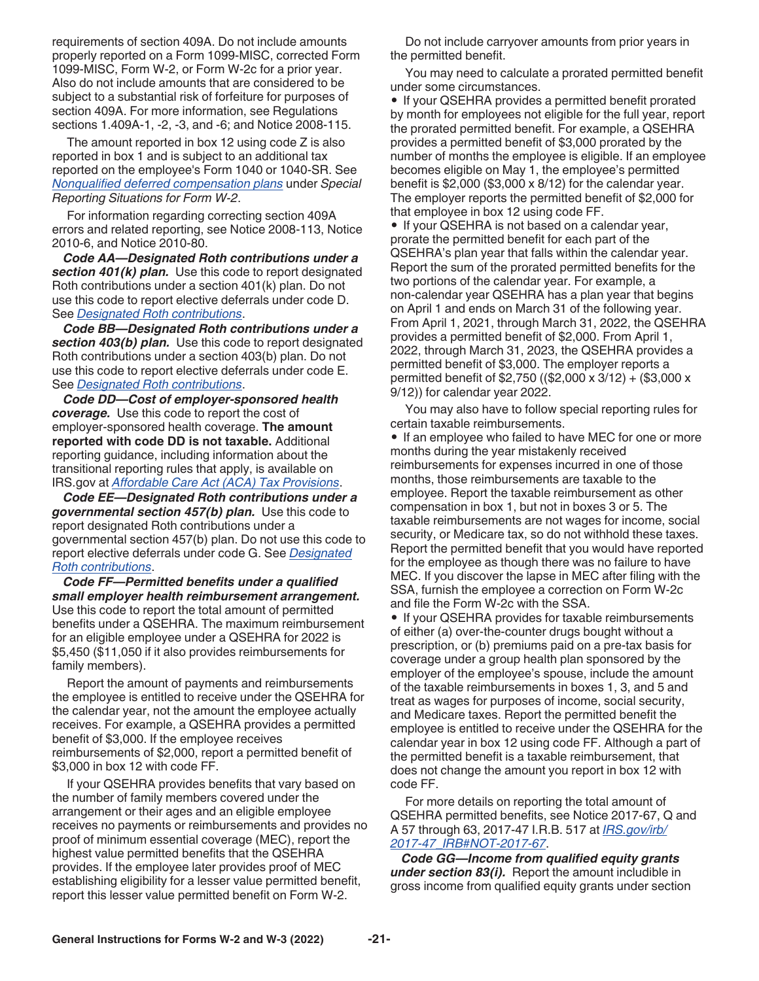<span id="page-20-0"></span>requirements of section 409A. Do not include amounts properly reported on a Form 1099-MISC, corrected Form 1099-MISC, Form W-2, or Form W-2c for a prior year. Also do not include amounts that are considered to be subject to a substantial risk of forfeiture for purposes of section 409A. For more information, see Regulations sections 1.409A-1, -2, -3, and -6; and Notice 2008-115.

The amount reported in box 12 using code Z is also reported in box 1 and is subject to an additional tax reported on the employee's Form 1040 or 1040-SR. See *[Nonqualified deferred compensation plans](#page-10-0)* under *Special Reporting Situations for Form W-2*.

For information regarding correcting section 409A errors and related reporting, see Notice 2008-113, Notice 2010-6, and Notice 2010-80.

*Code AA—Designated Roth contributions under a section 401(k) plan.* Use this code to report designated Roth contributions under a section 401(k) plan. Do not use this code to report elective deferrals under code D. See *[Designated Roth contributions](#page-7-0)*.

*Code BB—Designated Roth contributions under a section 403(b) plan.* Use this code to report designated Roth contributions under a section 403(b) plan. Do not use this code to report elective deferrals under code E. See *[Designated Roth contributions](#page-7-0)*.

*Code DD—Cost of employer-sponsored health coverage.* Use this code to report the cost of employer-sponsored health coverage. **The amount reported with code DD is not taxable.** Additional reporting guidance, including information about the transitional reporting rules that apply, is available on IRS.gov at *[Affordable Care Act \(ACA\) Tax Provisions](https://www.irs.gov/affordable-care-act?_ga=1.265304463.1056073152.1463605084)*.

*Code EE—Designated Roth contributions under a governmental section 457(b) plan.* Use this code to report designated Roth contributions under a governmental section 457(b) plan. Do not use this code to report elective deferrals under code G. See *[Designated](#page-7-0) [Roth contributions](#page-7-0)*.

*Code FF—Permitted benefits under a qualified small employer health reimbursement arrangement.*  Use this code to report the total amount of permitted benefits under a QSEHRA. The maximum reimbursement for an eligible employee under a QSEHRA for 2022 is \$5,450 (\$11,050 if it also provides reimbursements for family members).

Report the amount of payments and reimbursements the employee is entitled to receive under the QSEHRA for the calendar year, not the amount the employee actually receives. For example, a QSEHRA provides a permitted benefit of \$3,000. If the employee receives reimbursements of \$2,000, report a permitted benefit of \$3,000 in box 12 with code FF.

If your QSEHRA provides benefits that vary based on the number of family members covered under the arrangement or their ages and an eligible employee receives no payments or reimbursements and provides no proof of minimum essential coverage (MEC), report the highest value permitted benefits that the QSEHRA provides. If the employee later provides proof of MEC establishing eligibility for a lesser value permitted benefit, report this lesser value permitted benefit on Form W-2.

Do not include carryover amounts from prior years in the permitted benefit.

You may need to calculate a prorated permitted benefit under some circumstances.

• If your QSEHRA provides a permitted benefit prorated by month for employees not eligible for the full year, report the prorated permitted benefit. For example, a QSEHRA provides a permitted benefit of \$3,000 prorated by the number of months the employee is eligible. If an employee becomes eligible on May 1, the employee's permitted benefit is  $$2,000$  (\$3,000 x 8/12) for the calendar year. The employer reports the permitted benefit of \$2,000 for that employee in box 12 using code FF.

• If your QSEHRA is not based on a calendar year, prorate the permitted benefit for each part of the QSEHRA's plan year that falls within the calendar year. Report the sum of the prorated permitted benefits for the two portions of the calendar year. For example, a non-calendar year QSEHRA has a plan year that begins on April 1 and ends on March 31 of the following year. From April 1, 2021, through March 31, 2022, the QSEHRA provides a permitted benefit of \$2,000. From April 1, 2022, through March 31, 2023, the QSEHRA provides a permitted benefit of \$3,000. The employer reports a permitted benefit of \$2,750 ((\$2,000 x 3/12) + (\$3,000 x 9/12)) for calendar year 2022.

You may also have to follow special reporting rules for certain taxable reimbursements.

• If an employee who failed to have MEC for one or more months during the year mistakenly received reimbursements for expenses incurred in one of those months, those reimbursements are taxable to the employee. Report the taxable reimbursement as other compensation in box 1, but not in boxes 3 or 5. The taxable reimbursements are not wages for income, social security, or Medicare tax, so do not withhold these taxes. Report the permitted benefit that you would have reported for the employee as though there was no failure to have MEC. If you discover the lapse in MEC after filing with the SSA, furnish the employee a correction on Form W-2c and file the Form W-2c with the SSA.

• If your QSEHRA provides for taxable reimbursements of either (a) over-the-counter drugs bought without a prescription, or (b) premiums paid on a pre-tax basis for coverage under a group health plan sponsored by the employer of the employee's spouse, include the amount of the taxable reimbursements in boxes 1, 3, and 5 and treat as wages for purposes of income, social security, and Medicare taxes. Report the permitted benefit the employee is entitled to receive under the QSEHRA for the calendar year in box 12 using code FF. Although a part of the permitted benefit is a taxable reimbursement, that does not change the amount you report in box 12 with code FF.

For more details on reporting the total amount of QSEHRA permitted benefits, see Notice 2017-67, Q and A 57 through 63, 2017-47 I.R.B. 517 at *[IRS.gov/irb/](https://www.irs.gov/irb/2017-47_IRB#NOT-2017-67) [2017-47\\_IRB#NOT-2017-67](https://www.irs.gov/irb/2017-47_IRB#NOT-2017-67)*.

*Code GG—Income from qualified equity grants under section 83(i).* Report the amount includible in gross income from qualified equity grants under section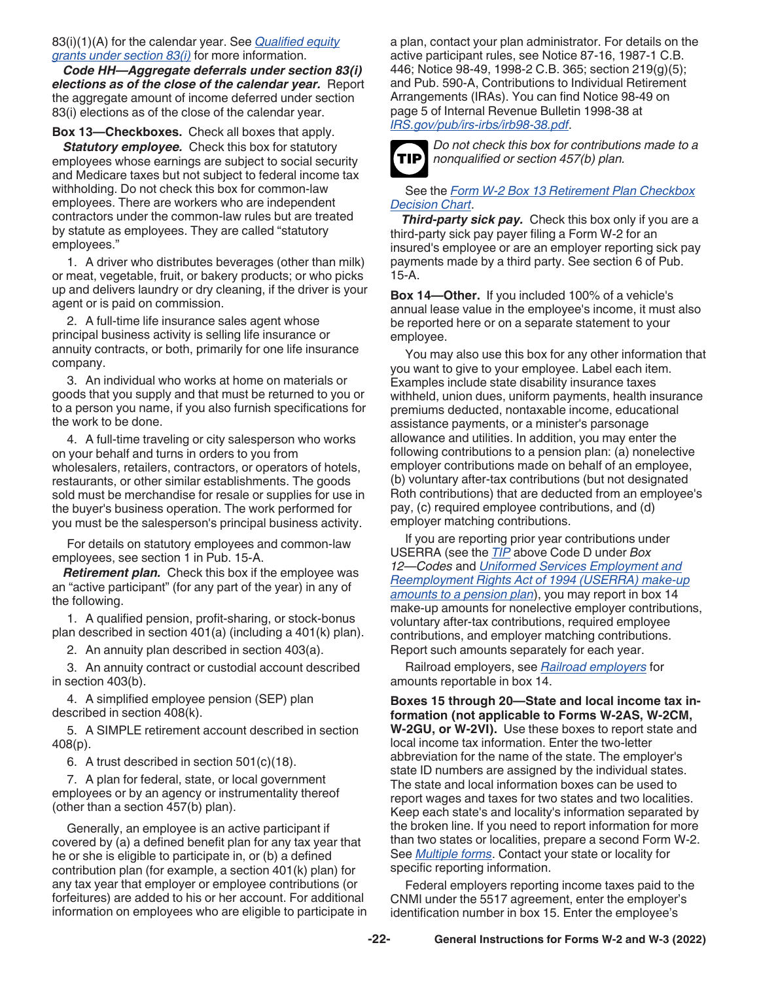### <span id="page-21-0"></span>83(i)(1)(A) for the calendar year. See *[Qualified equity](#page-11-0) [grants under section 83\(i\)](#page-11-0)* for more information.

*Code HH—Aggregate deferrals under section 83(i) elections as of the close of the calendar year.* Report the aggregate amount of income deferred under section 83(i) elections as of the close of the calendar year.

### **Box 13—Checkboxes.** Check all boxes that apply.

**Statutory employee.** Check this box for statutory employees whose earnings are subject to social security and Medicare taxes but not subject to federal income tax withholding. Do not check this box for common-law employees. There are workers who are independent contractors under the common-law rules but are treated by statute as employees. They are called "statutory employees."

1. A driver who distributes beverages (other than milk) or meat, vegetable, fruit, or bakery products; or who picks up and delivers laundry or dry cleaning, if the driver is your agent or is paid on commission.

2. A full-time life insurance sales agent whose principal business activity is selling life insurance or annuity contracts, or both, primarily for one life insurance company.

3. An individual who works at home on materials or goods that you supply and that must be returned to you or to a person you name, if you also furnish specifications for the work to be done.

4. A full-time traveling or city salesperson who works on your behalf and turns in orders to you from wholesalers, retailers, contractors, or operators of hotels, restaurants, or other similar establishments. The goods sold must be merchandise for resale or supplies for use in the buyer's business operation. The work performed for you must be the salesperson's principal business activity.

For details on statutory employees and common-law employees, see section 1 in Pub. 15-A.

*Retirement plan.* Check this box if the employee was an "active participant" (for any part of the year) in any of the following.

1. A qualified pension, profit-sharing, or stock-bonus plan described in section 401(a) (including a 401(k) plan).

2. An annuity plan described in section 403(a).

3. An annuity contract or custodial account described in section 403(b).

4. A simplified employee pension (SEP) plan described in section 408(k).

5. A SIMPLE retirement account described in section 408(p).

6. A trust described in section 501(c)(18).

7. A plan for federal, state, or local government employees or by an agency or instrumentality thereof (other than a section 457(b) plan).

Generally, an employee is an active participant if covered by (a) a defined benefit plan for any tax year that he or she is eligible to participate in, or (b) a defined contribution plan (for example, a section 401(k) plan) for any tax year that employer or employee contributions (or forfeitures) are added to his or her account. For additional information on employees who are eligible to participate in a plan, contact your plan administrator. For details on the active participant rules, see Notice 87-16, 1987-1 C.B. 446; Notice 98-49, 1998-2 C.B. 365; section 219(g)(5); and Pub. 590-A, Contributions to Individual Retirement Arrangements (IRAs). You can find Notice 98-49 on page 5 of Internal Revenue Bulletin 1998-38 at *[IRS.gov/pub/irs-irbs/irb98-38.pdf](https://www.irs.gov/pub/irs-irbs/irb98-38.pdf)*.



*Do not check this box for contributions made to a nonqualified or section 457(b) plan.*

### See the *[Form W-2 Box 13 Retirement Plan Checkbox](#page-30-0)  [Decision Chart](#page-30-0)*.

*Third-party sick pay.* Check this box only if you are a third-party sick pay payer filing a Form W-2 for an insured's employee or are an employer reporting sick pay payments made by a third party. See section 6 of Pub. 15-A.

**Box 14—Other.** If you included 100% of a vehicle's annual lease value in the employee's income, it must also be reported here or on a separate statement to your employee.

You may also use this box for any other information that you want to give to your employee. Label each item. Examples include state disability insurance taxes withheld, union dues, uniform payments, health insurance premiums deducted, nontaxable income, educational assistance payments, or a minister's parsonage allowance and utilities. In addition, you may enter the following contributions to a pension plan: (a) nonelective employer contributions made on behalf of an employee, (b) voluntary after-tax contributions (but not designated Roth contributions) that are deducted from an employee's pay, (c) required employee contributions, and (d) employer matching contributions.

If you are reporting prior year contributions under USERRA (see the *[TIP](#page-18-0)* above Code D under *Box 12—Codes* and *[Uniformed Services Employment and](#page-12-0) [Reemployment Rights Act of 1994 \(USERRA\) make-up](#page-12-0)  [amounts to a pension plan](#page-12-0)*), you may report in box 14 make-up amounts for nonelective employer contributions, voluntary after-tax contributions, required employee contributions, and employer matching contributions. Report such amounts separately for each year.

Railroad employers, see *[Railroad employers](#page-11-0)* for amounts reportable in box 14.

**Boxes 15 through 20—State and local income tax information (not applicable to Forms W-2AS, W-2CM, W-2GU, or W-2VI).** Use these boxes to report state and local income tax information. Enter the two-letter abbreviation for the name of the state. The employer's state ID numbers are assigned by the individual states. The state and local information boxes can be used to report wages and taxes for two states and two localities. Keep each state's and locality's information separated by the broken line. If you need to report information for more than two states or localities, prepare a second Form W-2. See *[Multiple forms](#page-14-0)*. Contact your state or locality for specific reporting information.

Federal employers reporting income taxes paid to the CNMI under the 5517 agreement, enter the employer's identification number in box 15. Enter the employee's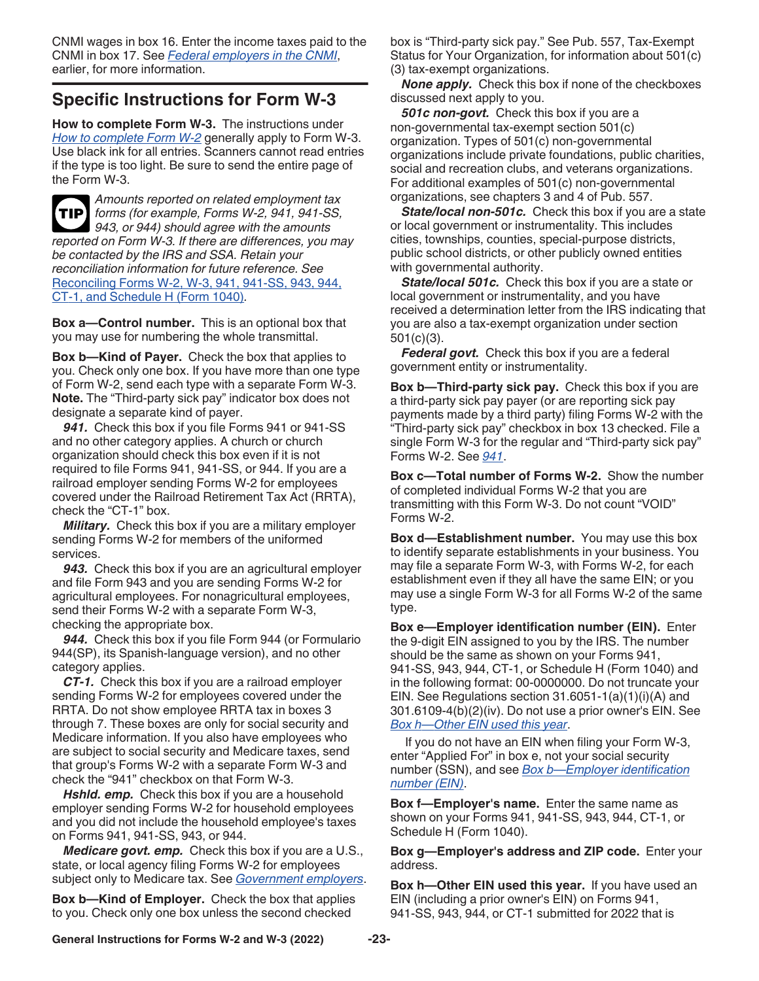<span id="page-22-0"></span>CNMI wages in box 16. Enter the income taxes paid to the CNMI in box 17. See *[Federal employers in the CNMI](#page-8-0)*, earlier, for more information.

## **Specific Instructions for Form W-3**

**How to complete Form W-3.** The instructions under *[How to complete Form W-2](#page-14-0)* generally apply to Form W-3. Use black ink for all entries. Scanners cannot read entries if the type is too light. Be sure to send the entire page of the Form W-3.



*Amounts reported on related employment tax forms (for example, Forms W-2, 941, 941-SS,*  **TIP** *943, or 944) should agree with the amounts reported on Form W-3. If there are differences, you may be contacted by the IRS and SSA. Retain your reconciliation information for future reference. See*  [Reconciling Forms W-2, W-3, 941, 941-SS, 943, 944,](#page-23-0)  [CT-1, and Schedule H \(Form 1040\)](#page-23-0)*.*

**Box a—Control number.** This is an optional box that you may use for numbering the whole transmittal.

**Box b—Kind of Payer.** Check the box that applies to you. Check only one box. If you have more than one type of Form W-2, send each type with a separate Form W-3. **Note.** The "Third-party sick pay" indicator box does not designate a separate kind of payer.

*941.* Check this box if you file Forms 941 or 941-SS and no other category applies. A church or church organization should check this box even if it is not required to file Forms 941, 941-SS, or 944. If you are a railroad employer sending Forms W-2 for employees covered under the Railroad Retirement Tax Act (RRTA), check the "CT-1" box.

*Military.* Check this box if you are a military employer sending Forms W-2 for members of the uniformed services.

*943.* Check this box if you are an agricultural employer and file Form 943 and you are sending Forms W-2 for agricultural employees. For nonagricultural employees, send their Forms W-2 with a separate Form W-3, checking the appropriate box.

*944.* Check this box if you file Form 944 (or Formulario 944(SP), its Spanish-language version), and no other category applies.

*CT-1.* Check this box if you are a railroad employer sending Forms W-2 for employees covered under the RRTA. Do not show employee RRTA tax in boxes 3 through 7. These boxes are only for social security and Medicare information. If you also have employees who are subject to social security and Medicare taxes, send that group's Forms W-2 with a separate Form W-3 and check the "941" checkbox on that Form W-3.

*Hshld. emp.* Check this box if you are a household employer sending Forms W-2 for household employees and you did not include the household employee's taxes on Forms 941, 941-SS, 943, or 944.

*Medicare govt. emp.* Check this box if you are a U.S., state, or local agency filing Forms W-2 for employees subject only to Medicare tax. See *[Government employers](#page-9-0)*.

**Box b—Kind of Employer.** Check the box that applies to you. Check only one box unless the second checked

box is "Third-party sick pay." See Pub. 557, Tax-Exempt Status for Your Organization, for information about 501(c) (3) tax-exempt organizations.

*None apply.* Check this box if none of the checkboxes discussed next apply to you.

*501c non-govt.* Check this box if you are a non-governmental tax-exempt section 501(c) organization. Types of 501(c) non-governmental organizations include private foundations, public charities, social and recreation clubs, and veterans organizations. For additional examples of 501(c) non-governmental organizations, see chapters 3 and 4 of Pub. 557.

*State/local non-501c.* Check this box if you are a state or local government or instrumentality. This includes cities, townships, counties, special-purpose districts, public school districts, or other publicly owned entities with governmental authority.

*State/local 501c.* Check this box if you are a state or local government or instrumentality, and you have received a determination letter from the IRS indicating that you are also a tax-exempt organization under section 501(c)(3).

*Federal govt.* Check this box if you are a federal government entity or instrumentality.

**Box b—Third-party sick pay.** Check this box if you are a third-party sick pay payer (or are reporting sick pay payments made by a third party) filing Forms W-2 with the "Third-party sick pay" checkbox in box 13 checked. File a single Form W-3 for the regular and "Third-party sick pay" Forms W-2. See *941*.

**Box c—Total number of Forms W-2.** Show the number of completed individual Forms W-2 that you are transmitting with this Form W-3. Do not count "VOID" Forms W-2.

**Box d—Establishment number.** You may use this box to identify separate establishments in your business. You may file a separate Form W-3, with Forms W-2, for each establishment even if they all have the same EIN; or you may use a single Form W-3 for all Forms W-2 of the same type.

**Box e—Employer identification number (EIN).** Enter the 9-digit EIN assigned to you by the IRS. The number should be the same as shown on your Forms 941, 941-SS, 943, 944, CT-1, or Schedule H (Form 1040) and in the following format: 00-0000000. Do not truncate your EIN. See Regulations section 31.6051-1(a)(1)(i)(A) and 301.6109-4(b)(2)(iv). Do not use a prior owner's EIN. See *Box h—Other EIN used this year*.

If you do not have an EIN when filing your Form W-3, enter "Applied For" in box e, not your social security number (SSN), and see *[Box b—Employer identification](#page-15-0)  [number \(EIN\)](#page-15-0)*.

**Box f—Employer's name.** Enter the same name as shown on your Forms 941, 941-SS, 943, 944, CT-1, or Schedule H (Form 1040).

**Box g—Employer's address and ZIP code.** Enter your address.

**Box h—Other EIN used this year.** If you have used an EIN (including a prior owner's EIN) on Forms 941, 941-SS, 943, 944, or CT-1 submitted for 2022 that is

**General Instructions for Forms W-2 and W-3 (2022) -23-**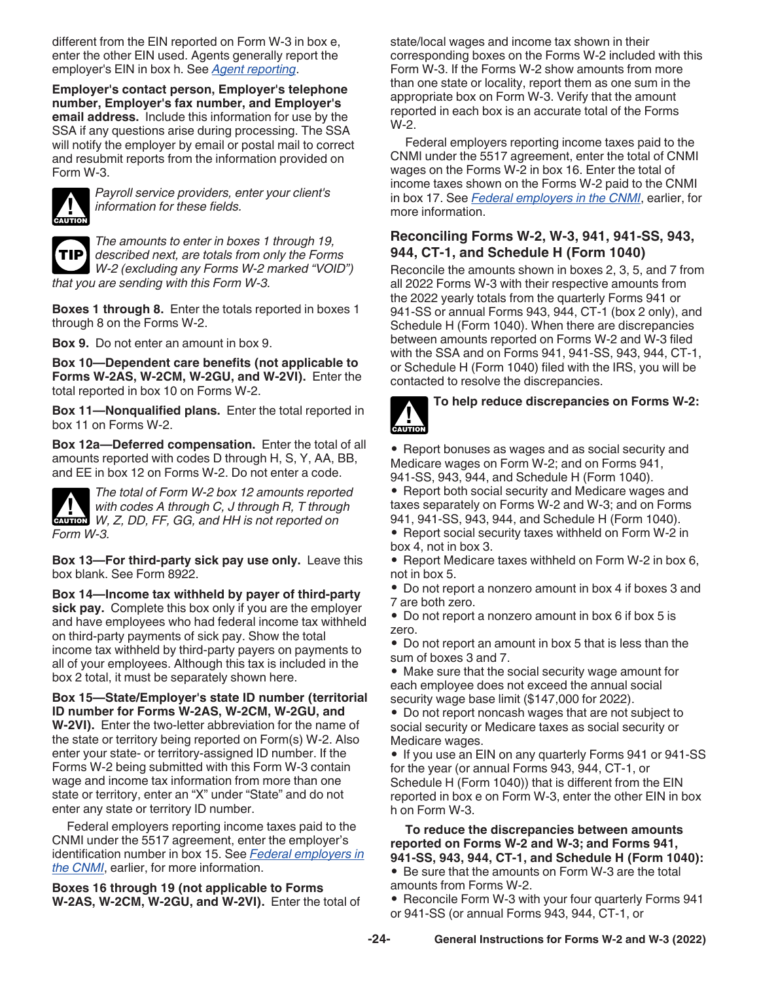<span id="page-23-0"></span>different from the EIN reported on Form W-3 in box e, enter the other EIN used. Agents generally report the employer's EIN in box h. See *[Agent reporting](#page-6-0)*.

**Employer's contact person, Employer's telephone number, Employer's fax number, and Employer's email address.** Include this information for use by the SSA if any questions arise during processing. The SSA will notify the employer by email or postal mail to correct and resubmit reports from the information provided on Form W-3.



*Payroll service providers, enter your client's information for these fields.*



*The amounts to enter in boxes 1 through 19, described next, are totals from only the Forms W-2 (excluding any Forms W-2 marked "VOID") that you are sending with this Form W-3.*

**Boxes 1 through 8.** Enter the totals reported in boxes 1 through 8 on the Forms W-2.

**Box 9.** Do not enter an amount in box 9.

**Box 10—Dependent care benefits (not applicable to Forms W-2AS, W-2CM, W-2GU, and W-2VI).** Enter the total reported in box 10 on Forms W-2.

**Box 11—Nonqualified plans.** Enter the total reported in box 11 on Forms W-2.

**Box 12a—Deferred compensation.** Enter the total of all amounts reported with codes D through H, S, Y, AA, BB, and EE in box 12 on Forms W-2. Do not enter a code.



*The total of Form W-2 box 12 amounts reported with codes A through C, J through R, T through*  with codes A through C, J through R, T through W, Z, DD, FF, GG, and HH is not reported on *Form W-3.*

**Box 13—For third-party sick pay use only.** Leave this box blank. See Form 8922.

**Box 14—Income tax withheld by payer of third-party sick pay.** Complete this box only if you are the employer and have employees who had federal income tax withheld on third-party payments of sick pay. Show the total income tax withheld by third-party payers on payments to all of your employees. Although this tax is included in the box 2 total, it must be separately shown here.

**Box 15—State/Employer's state ID number (territorial ID number for Forms W-2AS, W-2CM, W-2GU, and W-2VI).** Enter the two-letter abbreviation for the name of the state or territory being reported on Form(s) W-2. Also enter your state- or territory-assigned ID number. If the Forms W-2 being submitted with this Form W-3 contain wage and income tax information from more than one state or territory, enter an "X" under "State" and do not enter any state or territory ID number.

Federal employers reporting income taxes paid to the CNMI under the 5517 agreement, enter the employer's identification number in box 15. See *[Federal employers in](#page-8-0)  [the CNMI](#page-8-0)*, earlier, for more information.

**Boxes 16 through 19 (not applicable to Forms W-2AS, W-2CM, W-2GU, and W-2VI).** Enter the total of state/local wages and income tax shown in their corresponding boxes on the Forms W-2 included with this Form W-3. If the Forms W-2 show amounts from more than one state or locality, report them as one sum in the appropriate box on Form W-3. Verify that the amount reported in each box is an accurate total of the Forms W-2.

Federal employers reporting income taxes paid to the CNMI under the 5517 agreement, enter the total of CNMI wages on the Forms W-2 in box 16. Enter the total of income taxes shown on the Forms W-2 paid to the CNMI in box 17. See *[Federal employers in the CNMI](#page-8-0)*, earlier, for more information.

## **Reconciling Forms W-2, W-3, 941, 941-SS, 943, 944, CT-1, and Schedule H (Form 1040)**

Reconcile the amounts shown in boxes 2, 3, 5, and 7 from all 2022 Forms W-3 with their respective amounts from the 2022 yearly totals from the quarterly Forms 941 or 941-SS or annual Forms 943, 944, CT-1 (box 2 only), and Schedule H (Form 1040). When there are discrepancies between amounts reported on Forms W-2 and W-3 filed with the SSA and on Forms 941, 941-SS, 943, 944, CT-1, or Schedule H (Form 1040) filed with the IRS, you will be contacted to resolve the discrepancies.



## **To help reduce discrepancies on Forms W-2:**

• Report bonuses as wages and as social security and Medicare wages on Form W-2; and on Forms 941, 941-SS, 943, 944, and Schedule H (Form 1040).

• Report both social security and Medicare wages and taxes separately on Forms W-2 and W-3; and on Forms 941, 941-SS, 943, 944, and Schedule H (Form 1040). • Report social security taxes withheld on Form W-2 in box 4, not in box 3.

• Report Medicare taxes withheld on Form W-2 in box 6, not in box 5.

• Do not report a nonzero amount in box 4 if boxes 3 and 7 are both zero.

• Do not report a nonzero amount in box 6 if box 5 is zero.

• Do not report an amount in box 5 that is less than the sum of boxes 3 and 7.

• Make sure that the social security wage amount for each employee does not exceed the annual social security wage base limit (\$147,000 for 2022).

• Do not report noncash wages that are not subject to social security or Medicare taxes as social security or Medicare wages.

• If you use an EIN on any quarterly Forms 941 or 941-SS for the year (or annual Forms 943, 944, CT-1, or Schedule H (Form 1040)) that is different from the EIN reported in box e on Form W-3, enter the other EIN in box h on Form W-3.

**To reduce the discrepancies between amounts reported on Forms W-2 and W-3; and Forms 941, 941-SS, 943, 944, CT-1, and Schedule H (Form 1040):** • Be sure that the amounts on Form W-3 are the total amounts from Forms W-2.

• Reconcile Form W-3 with your four quarterly Forms 941 or 941-SS (or annual Forms 943, 944, CT-1, or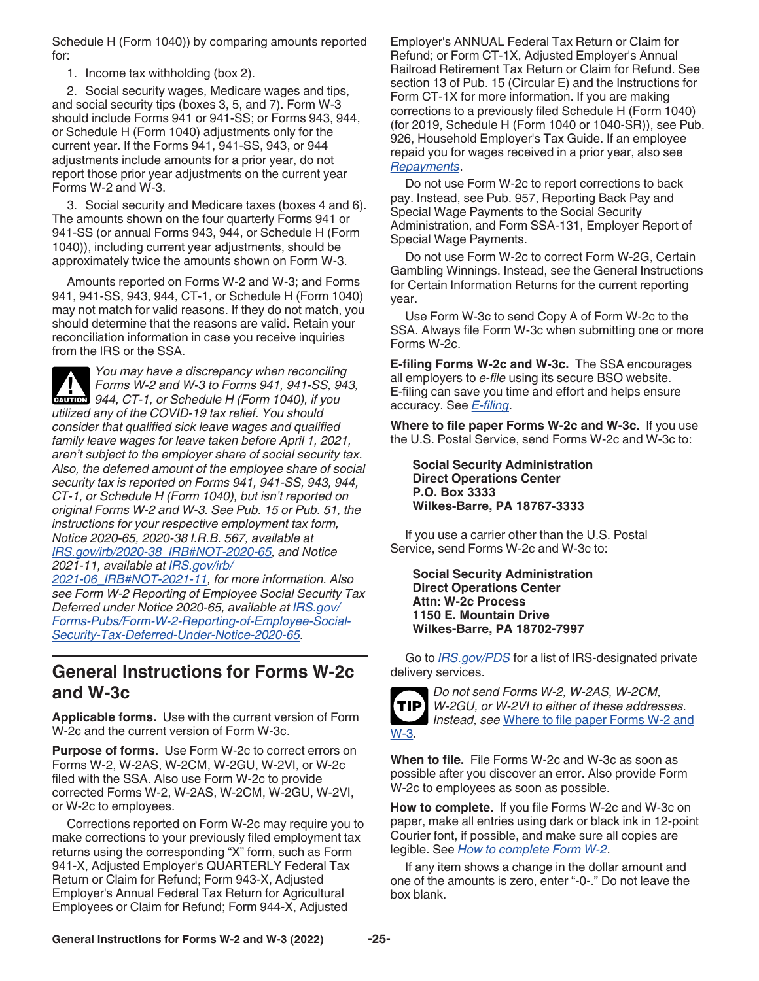<span id="page-24-0"></span>Schedule H (Form 1040)) by comparing amounts reported for:

1. Income tax withholding (box 2).

2. Social security wages, Medicare wages and tips, and social security tips (boxes 3, 5, and 7). Form W-3 should include Forms 941 or 941-SS; or Forms 943, 944, or Schedule H (Form 1040) adjustments only for the current year. If the Forms 941, 941-SS, 943, or 944 adjustments include amounts for a prior year, do not report those prior year adjustments on the current year Forms W-2 and W-3.

3. Social security and Medicare taxes (boxes 4 and 6). The amounts shown on the four quarterly Forms 941 or 941-SS (or annual Forms 943, 944, or Schedule H (Form 1040)), including current year adjustments, should be approximately twice the amounts shown on Form W-3.

Amounts reported on Forms W-2 and W-3; and Forms 941, 941-SS, 943, 944, CT-1, or Schedule H (Form 1040) may not match for valid reasons. If they do not match, you should determine that the reasons are valid. Retain your reconciliation information in case you receive inquiries from the IRS or the SSA.



*You may have a discrepancy when reconciling Forms W-2 and W-3 to Forms 941, 941-SS, 943,*  **Profilm By Forms W-2 and W-3 to Forms 941, 941-SS, 9.<br>
<b>CAUTION** 944, CT-1, or Schedule H (Form 1040), if you *utilized any of the COVID-19 tax relief. You should consider that qualified sick leave wages and qualified family leave wages for leave taken before April 1, 2021, aren't subject to the employer share of social security tax. Also, the deferred amount of the employee share of social security tax is reported on Forms 941, 941-SS, 943, 944, CT-1, or Schedule H (Form 1040), but isn't reported on original Forms W-2 and W-3. See Pub. 15 or Pub. 51, the instructions for your respective employment tax form, Notice 2020-65, 2020-38 I.R.B. 567, available at [IRS.gov/irb/2020-38\\_IRB#NOT-2020-65](https://www.irs.gov/irb/2020-38_IRB#NOT-2020-65), and Notice 2021-11, available at [IRS.gov/irb/](https://www.irs.gov/irb/2021-06_IRB#NOT-2021-11)*

*[2021-06\\_IRB#NOT-2021-11](https://www.irs.gov/irb/2021-06_IRB#NOT-2021-11), for more information. Also see Form W-2 Reporting of Employee Social Security Tax Deferred under Notice 2020-65, available at [IRS.gov/](https://www.irs.gov/forms-pubs/form-w-2-reporting-of-employee-social-security-tax-deferred-under-notice-2020-65) [Forms-Pubs/Form-W-2-Reporting-of-Employee-Social-](https://www.irs.gov/forms-pubs/form-w-2-reporting-of-employee-social-security-tax-deferred-under-notice-2020-65)[Security-Tax-Deferred-Under-Notice-2020-65](https://www.irs.gov/forms-pubs/form-w-2-reporting-of-employee-social-security-tax-deferred-under-notice-2020-65).*

## **General Instructions for Forms W-2c and W-3c**

**Applicable forms.** Use with the current version of Form W-2c and the current version of Form W-3c.

**Purpose of forms.** Use Form W-2c to correct errors on Forms W-2, W-2AS, W-2CM, W-2GU, W-2VI, or W-2c filed with the SSA. Also use Form W-2c to provide corrected Forms W-2, W-2AS, W-2CM, W-2GU, W-2VI, or W-2c to employees.

Corrections reported on Form W-2c may require you to make corrections to your previously filed employment tax returns using the corresponding "X" form, such as Form 941-X, Adjusted Employer's QUARTERLY Federal Tax Return or Claim for Refund; Form 943-X, Adjusted Employer's Annual Federal Tax Return for Agricultural Employees or Claim for Refund; Form 944-X, Adjusted

Employer's ANNUAL Federal Tax Return or Claim for Refund; or Form CT-1X, Adjusted Employer's Annual Railroad Retirement Tax Return or Claim for Refund. See section 13 of Pub. 15 (Circular E) and the Instructions for Form CT-1X for more information. If you are making corrections to a previously filed Schedule H (Form 1040) (for 2019, Schedule H (Form 1040 or 1040-SR)), see Pub. 926, Household Employer's Tax Guide. If an employee repaid you for wages received in a prior year, also see *[Repayments](#page-11-0)*.

Do not use Form W-2c to report corrections to back pay. Instead, see Pub. 957, Reporting Back Pay and Special Wage Payments to the Social Security Administration, and Form SSA-131, Employer Report of Special Wage Payments.

Do not use Form W-2c to correct Form W-2G, Certain Gambling Winnings. Instead, see the General Instructions for Certain Information Returns for the current reporting year.

Use Form W-3c to send Copy A of Form W-2c to the SSA. Always file Form W-3c when submitting one or more Forms W-2c.

**E-filing Forms W-2c and W-3c.** The SSA encourages all employers to *e-file* using its secure BSO website. E-filing can save you time and effort and helps ensure accuracy. See *[E-filing](#page-2-0)*.

**Where to file paper Forms W-2c and W-3c.** If you use the U.S. Postal Service, send Forms W-2c and W-3c to:

**Social Security Administration Direct Operations Center P.O. Box 3333 Wilkes-Barre, PA 18767-3333**

If you use a carrier other than the U.S. Postal Service, send Forms W-2c and W-3c to:

**Social Security Administration Direct Operations Center Attn: W-2c Process 1150 E. Mountain Drive Wilkes-Barre, PA 18702-7997**

Go to *[IRS.gov/PDS](https://www.irs.gov/PDS)* for a list of IRS-designated private delivery services.



*Do not send Forms W-2, W-2AS, W-2CM, W-2GU, or W-2VI to either of these addresses. Instead, see* [Where to file paper Forms W-2 and](#page-5-0)

**When to file.** File Forms W-2c and W-3c as soon as possible after you discover an error. Also provide Form W-2c to employees as soon as possible.

**How to complete.** If you file Forms W-2c and W-3c on paper, make all entries using dark or black ink in 12-point Courier font, if possible, and make sure all copies are legible. See *[How to complete Form W-2](#page-14-0)*.

If any item shows a change in the dollar amount and one of the amounts is zero, enter "-0-." Do not leave the box blank.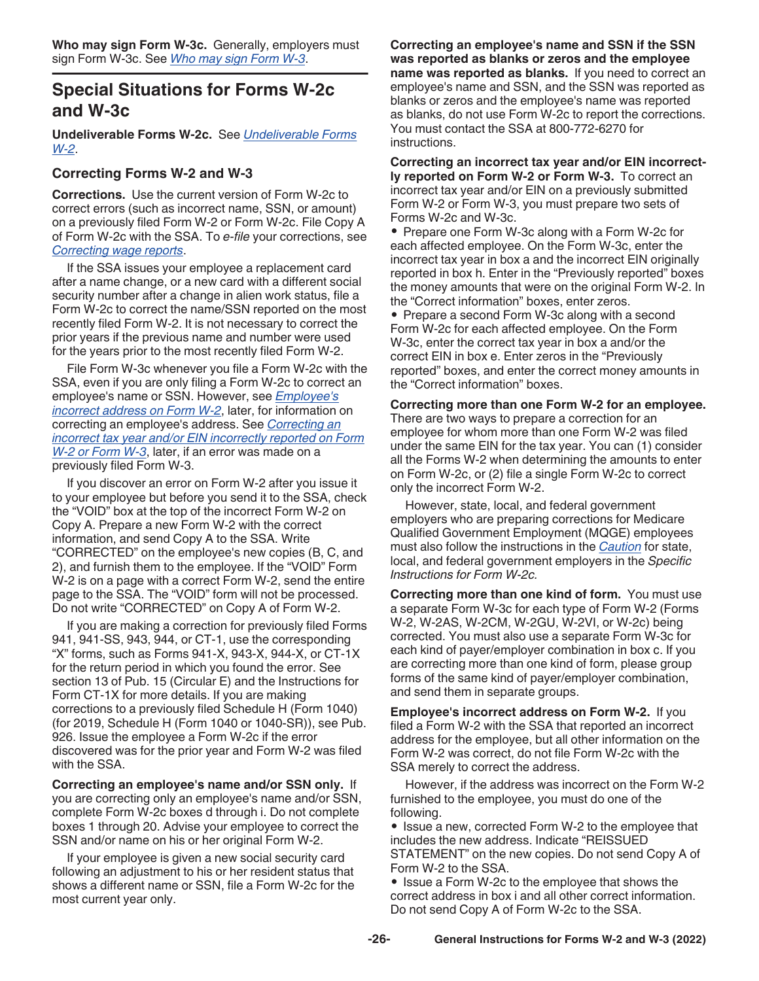## <span id="page-25-0"></span>**Special Situations for Forms W-2c and W-3c**

**Undeliverable Forms W-2c.** See *[Undeliverable Forms](#page-6-0)  [W-2](#page-6-0)*.

## **Correcting Forms W-2 and W-3**

**Corrections.** Use the current version of Form W-2c to correct errors (such as incorrect name, SSN, or amount) on a previously filed Form W-2 or Form W-2c. File Copy A of Form W-2c with the SSA. To *e-file* your corrections, see *[Correcting wage reports](#page-1-0)*.

If the SSA issues your employee a replacement card after a name change, or a new card with a different social security number after a change in alien work status, file a Form W-2c to correct the name/SSN reported on the most recently filed Form W-2. It is not necessary to correct the prior years if the previous name and number were used for the years prior to the most recently filed Form W-2.

File Form W-3c whenever you file a Form W-2c with the SSA, even if you are only filing a Form W-2c to correct an employee's name or SSN. However, see *Employee's incorrect address on Form W-2*, later, for information on correcting an employee's address. See *Correcting an incorrect tax year and/or EIN incorrectly reported on Form W-2 or Form W-3*, later, if an error was made on a previously filed Form W-3.

If you discover an error on Form W-2 after you issue it to your employee but before you send it to the SSA, check the "VOID" box at the top of the incorrect Form W-2 on Copy A. Prepare a new Form W-2 with the correct information, and send Copy A to the SSA. Write "CORRECTED" on the employee's new copies (B, C, and 2), and furnish them to the employee. If the "VOID" Form W-2 is on a page with a correct Form W-2, send the entire page to the SSA. The "VOID" form will not be processed. Do not write "CORRECTED" on Copy A of Form W-2.

If you are making a correction for previously filed Forms 941, 941-SS, 943, 944, or CT-1, use the corresponding "X" forms, such as Forms 941-X, 943-X, 944-X, or CT-1X for the return period in which you found the error. See section 13 of Pub. 15 (Circular E) and the Instructions for Form CT-1X for more details. If you are making corrections to a previously filed Schedule H (Form 1040) (for 2019, Schedule H (Form 1040 or 1040-SR)), see Pub. 926. Issue the employee a Form W-2c if the error discovered was for the prior year and Form W-2 was filed with the SSA.

**Correcting an employee's name and/or SSN only.** If you are correcting only an employee's name and/or SSN, complete Form W-2c boxes d through i. Do not complete boxes 1 through 20. Advise your employee to correct the SSN and/or name on his or her original Form W-2.

If your employee is given a new social security card following an adjustment to his or her resident status that shows a different name or SSN, file a Form W-2c for the most current year only.

**Correcting an employee's name and SSN if the SSN was reported as blanks or zeros and the employee name was reported as blanks.** If you need to correct an employee's name and SSN, and the SSN was reported as blanks or zeros and the employee's name was reported as blanks, do not use Form W-2c to report the corrections. You must contact the SSA at 800-772-6270 for instructions.

**Correcting an incorrect tax year and/or EIN incorrectly reported on Form W-2 or Form W-3.** To correct an incorrect tax year and/or EIN on a previously submitted Form W-2 or Form W-3, you must prepare two sets of Forms W-2c and W-3c.

• Prepare one Form W-3c along with a Form W-2c for each affected employee. On the Form W-3c, enter the incorrect tax year in box a and the incorrect EIN originally reported in box h. Enter in the "Previously reported" boxes the money amounts that were on the original Form W-2. In the "Correct information" boxes, enter zeros.

• Prepare a second Form W-3c along with a second Form W-2c for each affected employee. On the Form W-3c, enter the correct tax year in box a and/or the correct EIN in box e. Enter zeros in the "Previously reported" boxes, and enter the correct money amounts in the "Correct information" boxes.

## **Correcting more than one Form W-2 for an employee.**

There are two ways to prepare a correction for an employee for whom more than one Form W-2 was filed under the same EIN for the tax year. You can (1) consider all the Forms W-2 when determining the amounts to enter on Form W-2c, or (2) file a single Form W-2c to correct only the incorrect Form W-2.

However, state, local, and federal government employers who are preparing corrections for Medicare Qualified Government Employment (MQGE) employees must also follow the instructions in the *[Caution](#page-27-0)* for state, local, and federal government employers in the *Specific Instructions for Form W-2c.*

**Correcting more than one kind of form.** You must use a separate Form W-3c for each type of Form W-2 (Forms W-2, W-2AS, W-2CM, W-2GU, W-2VI, or W-2c) being corrected. You must also use a separate Form W-3c for each kind of payer/employer combination in box c. If you are correcting more than one kind of form, please group forms of the same kind of payer/employer combination, and send them in separate groups.

**Employee's incorrect address on Form W-2.** If you filed a Form W-2 with the SSA that reported an incorrect address for the employee, but all other information on the Form W-2 was correct, do not file Form W-2c with the SSA merely to correct the address.

However, if the address was incorrect on the Form W-2 furnished to the employee, you must do one of the following.

• Issue a new, corrected Form W-2 to the employee that includes the new address. Indicate "REISSUED STATEMENT" on the new copies. Do not send Copy A of Form W-2 to the SSA.

• Issue a Form W-2c to the employee that shows the correct address in box i and all other correct information. Do not send Copy A of Form W-2c to the SSA.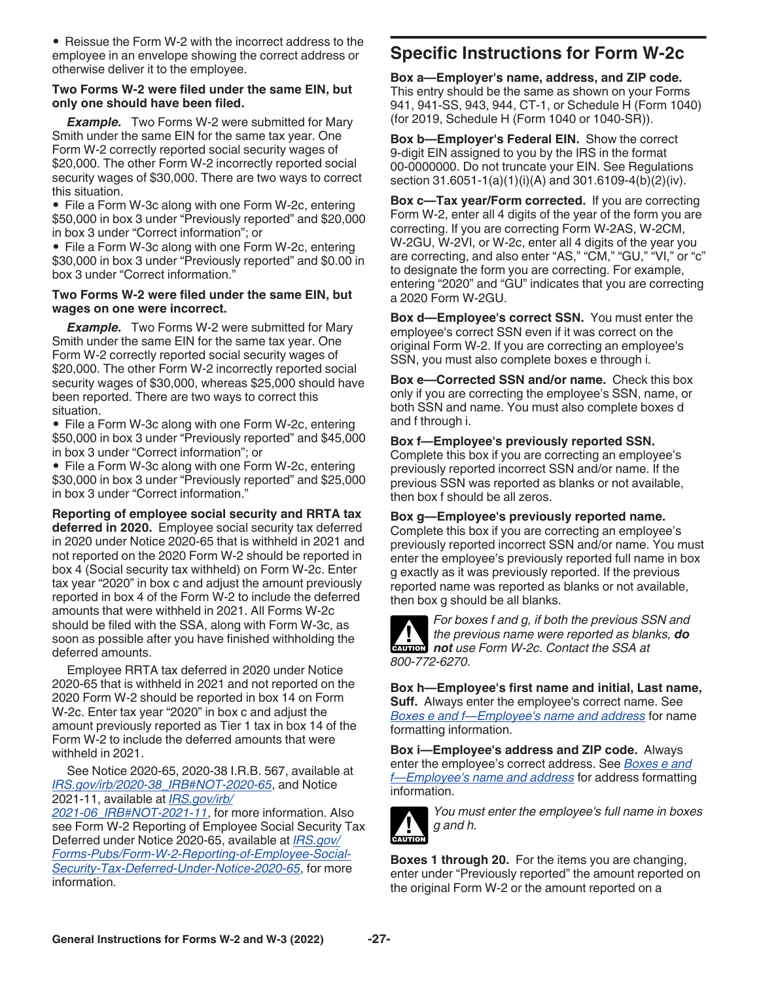<span id="page-26-0"></span>• Reissue the Form W-2 with the incorrect address to the employee in an envelope showing the correct address or otherwise deliver it to the employee.

### **Two Forms W-2 were filed under the same EIN, but only one should have been filed.**

*Example.* Two Forms W-2 were submitted for Mary Smith under the same EIN for the same tax year. One Form W-2 correctly reported social security wages of \$20,000. The other Form W-2 incorrectly reported social security wages of \$30,000. There are two ways to correct this situation.

• File a Form W-3c along with one Form W-2c, entering \$50,000 in box 3 under "Previously reported" and \$20,000 in box 3 under "Correct information"; or

• File a Form W-3c along with one Form W-2c, entering \$30,000 in box 3 under "Previously reported" and \$0.00 in box 3 under "Correct information."

### **Two Forms W-2 were filed under the same EIN, but wages on one were incorrect.**

**Example.** Two Forms W-2 were submitted for Mary Smith under the same EIN for the same tax year. One Form W-2 correctly reported social security wages of \$20,000. The other Form W-2 incorrectly reported social security wages of \$30,000, whereas \$25,000 should have been reported. There are two ways to correct this situation.

• File a Form W-3c along with one Form W-2c, entering \$50,000 in box 3 under "Previously reported" and \$45,000 in box 3 under "Correct information"; or

• File a Form W-3c along with one Form W-2c, entering \$30,000 in box 3 under "Previously reported" and \$25,000 in box 3 under "Correct information."

**Reporting of employee social security and RRTA tax deferred in 2020.** Employee social security tax deferred in 2020 under Notice 2020-65 that is withheld in 2021 and not reported on the 2020 Form W-2 should be reported in box 4 (Social security tax withheld) on Form W-2c. Enter tax year "2020" in box c and adjust the amount previously reported in box 4 of the Form W-2 to include the deferred amounts that were withheld in 2021. All Forms W-2c should be filed with the SSA, along with Form W-3c, as soon as possible after you have finished withholding the deferred amounts.

Employee RRTA tax deferred in 2020 under Notice 2020-65 that is withheld in 2021 and not reported on the 2020 Form W-2 should be reported in box 14 on Form W-2c. Enter tax year "2020" in box c and adjust the amount previously reported as Tier 1 tax in box 14 of the Form W-2 to include the deferred amounts that were withheld in 2021.

See Notice 2020-65, 2020-38 I.R.B. 567, available at *[IRS.gov/irb/2020-38\\_IRB#NOT-2020-65](https://www.irs.gov/irb/2020-38_IRB#NOT-2020-65)*, and Notice 2021-11, available at *[IRS.gov/irb/](https://www.irs.gov/irb/2021-06_IRB#NOT-2021-11 )*

*[2021-06\\_IRB#NOT-2021-11](https://www.irs.gov/irb/2021-06_IRB#NOT-2021-11 )*, for more information. Also see Form W-2 Reporting of Employee Social Security Tax Deferred under Notice 2020-65, available at *[IRS.gov/](https://www.irs.gov/forms-pubs/form-w-2-reporting-of-employee-social-security-tax-deferred-under-notice-2020-65) [Forms-Pubs/Form-W-2-Reporting-of-Employee-Social-](https://www.irs.gov/forms-pubs/form-w-2-reporting-of-employee-social-security-tax-deferred-under-notice-2020-65)[Security-Tax-Deferred-Under-Notice-2020-65](https://www.irs.gov/forms-pubs/form-w-2-reporting-of-employee-social-security-tax-deferred-under-notice-2020-65)*, for more information.

## **Specific Instructions for Form W-2c**

**Box a—Employer's name, address, and ZIP code.**  This entry should be the same as shown on your Forms 941, 941-SS, 943, 944, CT-1, or Schedule H (Form 1040) (for 2019, Schedule H (Form 1040 or 1040-SR)).

**Box b—Employer's Federal EIN.** Show the correct 9-digit EIN assigned to you by the IRS in the format 00-0000000. Do not truncate your EIN. See Regulations section 31.6051-1(a)(1)(i)(A) and 301.6109-4(b)(2)(iv).

**Box c—Tax year/Form corrected.** If you are correcting Form W-2, enter all 4 digits of the year of the form you are correcting. If you are correcting Form W-2AS, W-2CM, W-2GU, W-2VI, or W-2c, enter all 4 digits of the year you are correcting, and also enter "AS," "CM," "GU," "VI," or "c" to designate the form you are correcting. For example, entering "2020" and "GU" indicates that you are correcting a 2020 Form W-2GU.

**Box d—Employee's correct SSN.** You must enter the employee's correct SSN even if it was correct on the original Form W-2. If you are correcting an employee's SSN, you must also complete boxes e through i.

**Box e—Corrected SSN and/or name.** Check this box only if you are correcting the employee's SSN, name, or both SSN and name. You must also complete boxes d and f through i.

## **Box f—Employee's previously reported SSN.**

Complete this box if you are correcting an employee's previously reported incorrect SSN and/or name. If the previous SSN was reported as blanks or not available, then box f should be all zeros.

## **Box g—Employee's previously reported name.**

Complete this box if you are correcting an employee's previously reported incorrect SSN and/or name. You must enter the employee's previously reported full name in box g exactly as it was previously reported. If the previous reported name was reported as blanks or not available, then box g should be all blanks.



*For boxes f and g, if both the previous SSN and the previous name were reported as blanks, do*  **h** the previous name were reported as blanch not use Form W-2c. Contact the SSA at *800-772-6270.*

**Box h—Employee's first name and initial, Last name, Suff.** Always enter the employee's correct name. See *[Boxes e and f—Employee's name and address](#page-15-0)* for name formatting information.

**Box i—Employee's address and ZIP code.** Always enter the employee's correct address. See *[Boxes e and](#page-15-0) [f—Employee's name and address](#page-15-0)* for address formatting information.



*You must enter the employee's full name in boxes g and h.*

**Boxes 1 through 20.** For the items you are changing, enter under "Previously reported" the amount reported on the original Form W-2 or the amount reported on a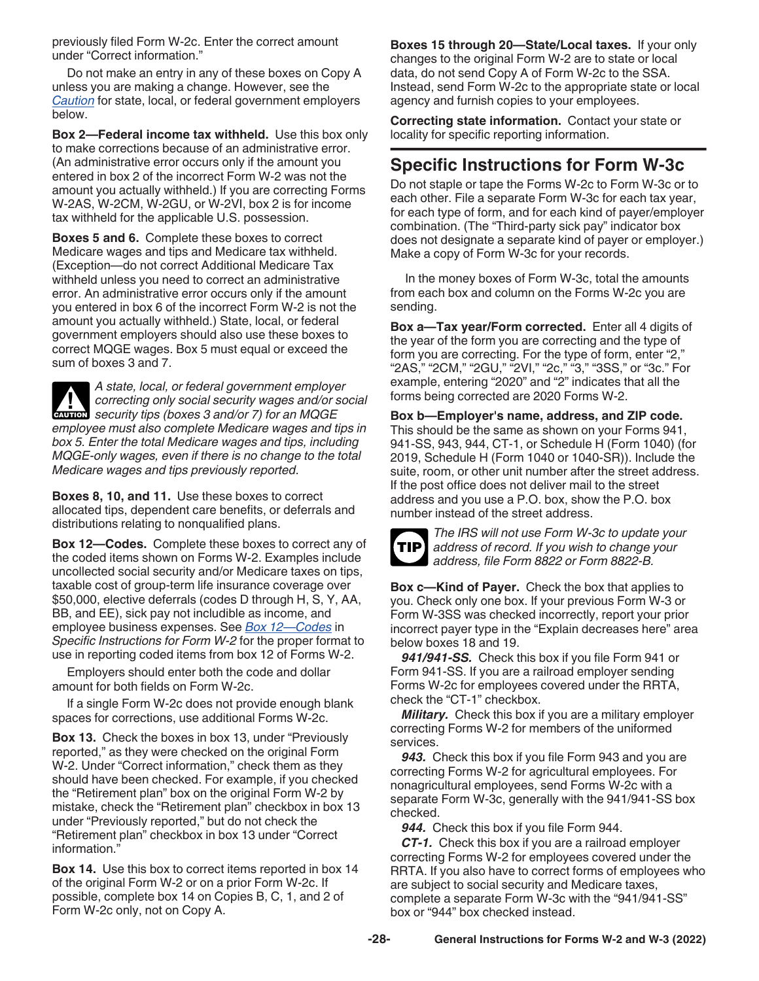<span id="page-27-0"></span>previously filed Form W-2c. Enter the correct amount under "Correct information."

Do not make an entry in any of these boxes on Copy A unless you are making a change. However, see the *Caution* for state, local, or federal government employers below.

**Box 2—Federal income tax withheld.** Use this box only to make corrections because of an administrative error. (An administrative error occurs only if the amount you entered in box 2 of the incorrect Form W-2 was not the amount you actually withheld.) If you are correcting Forms W-2AS, W-2CM, W-2GU, or W-2VI, box 2 is for income tax withheld for the applicable U.S. possession.

**Boxes 5 and 6.** Complete these boxes to correct Medicare wages and tips and Medicare tax withheld. (Exception—do not correct Additional Medicare Tax withheld unless you need to correct an administrative error. An administrative error occurs only if the amount you entered in box 6 of the incorrect Form W-2 is not the amount you actually withheld.) State, local, or federal government employers should also use these boxes to correct MQGE wages. Box 5 must equal or exceed the sum of boxes 3 and 7.

*A state, local, or federal government employer correcting only social security wages and/or social*  **c** correcting only social security wages and/or security tips (boxes 3 and/or 7) for an MQGE *employee must also complete Medicare wages and tips in box 5. Enter the total Medicare wages and tips, including MQGE-only wages, even if there is no change to the total Medicare wages and tips previously reported.*

**Boxes 8, 10, and 11.** Use these boxes to correct allocated tips, dependent care benefits, or deferrals and distributions relating to nonqualified plans.

**Box 12—Codes.** Complete these boxes to correct any of the coded items shown on Forms W-2. Examples include uncollected social security and/or Medicare taxes on tips, taxable cost of group-term life insurance coverage over \$50,000, elective deferrals (codes D through H, S, Y, AA, BB, and EE), sick pay not includible as income, and employee business expenses. See *[Box 12—Codes](#page-17-0)* in *Specific Instructions for Form W-2* for the proper format to use in reporting coded items from box 12 of Forms W-2.

Employers should enter both the code and dollar amount for both fields on Form W-2c.

If a single Form W-2c does not provide enough blank spaces for corrections, use additional Forms W-2c.

**Box 13.** Check the boxes in box 13, under "Previously reported," as they were checked on the original Form W-2. Under "Correct information," check them as they should have been checked. For example, if you checked the "Retirement plan" box on the original Form W-2 by mistake, check the "Retirement plan" checkbox in box 13 under "Previously reported," but do not check the "Retirement plan" checkbox in box 13 under "Correct information."

**Box 14.** Use this box to correct items reported in box 14 of the original Form W-2 or on a prior Form W-2c. If possible, complete box 14 on Copies B, C, 1, and 2 of Form W-2c only, not on Copy A.

**Boxes 15 through 20—State/Local taxes.** If your only changes to the original Form W-2 are to state or local data, do not send Copy A of Form W-2c to the SSA. Instead, send Form W-2c to the appropriate state or local agency and furnish copies to your employees.

**Correcting state information.** Contact your state or locality for specific reporting information.

## **Specific Instructions for Form W-3c**

Do not staple or tape the Forms W-2c to Form W-3c or to each other. File a separate Form W-3c for each tax year, for each type of form, and for each kind of payer/employer combination. (The "Third-party sick pay" indicator box does not designate a separate kind of payer or employer.) Make a copy of Form W-3c for your records.

In the money boxes of Form W-3c, total the amounts from each box and column on the Forms W-2c you are sending.

**Box a—Tax year/Form corrected.** Enter all 4 digits of the year of the form you are correcting and the type of form you are correcting. For the type of form, enter "2," "2AS," "2CM," "2GU," "2VI," "2c," "3," "3SS," or "3c." For example, entering "2020" and "2" indicates that all the forms being corrected are 2020 Forms W-2.

**Box b—Employer's name, address, and ZIP code.**  This should be the same as shown on your Forms 941, 941-SS, 943, 944, CT-1, or Schedule H (Form 1040) (for 2019, Schedule H (Form 1040 or 1040-SR)). Include the suite, room, or other unit number after the street address. If the post office does not deliver mail to the street address and you use a P.O. box, show the P.O. box number instead of the street address.



*The IRS will not use Form W-3c to update your address of record. If you wish to change your address, file Form 8822 or Form 8822-B.*

**Box c—Kind of Payer.** Check the box that applies to you. Check only one box. If your previous Form W-3 or Form W-3SS was checked incorrectly, report your prior incorrect payer type in the "Explain decreases here" area below boxes 18 and 19.

*941/941-SS.* Check this box if you file Form 941 or Form 941-SS. If you are a railroad employer sending Forms W-2c for employees covered under the RRTA, check the "CT-1" checkbox.

*Military.* Check this box if you are a military employer correcting Forms W-2 for members of the uniformed services.

*943.* Check this box if you file Form 943 and you are correcting Forms W-2 for agricultural employees. For nonagricultural employees, send Forms W-2c with a separate Form W-3c, generally with the 941/941-SS box checked.

*944.* Check this box if you file Form 944.

*CT-1.* Check this box if you are a railroad employer correcting Forms W-2 for employees covered under the RRTA. If you also have to correct forms of employees who are subject to social security and Medicare taxes, complete a separate Form W-3c with the "941/941-SS" box or "944" box checked instead.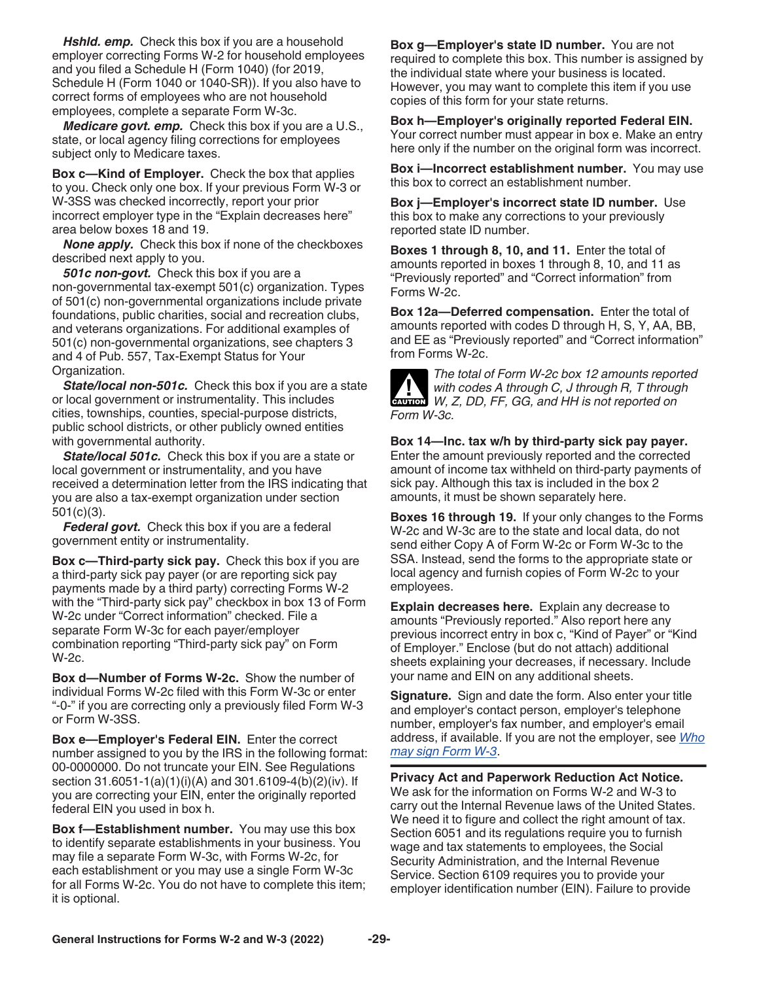<span id="page-28-0"></span>*Hshld. emp.* Check this box if you are a household employer correcting Forms W-2 for household employees and you filed a Schedule H (Form 1040) (for 2019, Schedule H (Form 1040 or 1040-SR)). If you also have to correct forms of employees who are not household employees, complete a separate Form W-3c.

*Medicare govt. emp.* Check this box if you are a U.S., state, or local agency filing corrections for employees subject only to Medicare taxes.

**Box c—Kind of Employer.** Check the box that applies to you. Check only one box. If your previous Form W-3 or W-3SS was checked incorrectly, report your prior incorrect employer type in the "Explain decreases here" area below boxes 18 and 19.

*None apply.* Check this box if none of the checkboxes described next apply to you.

*501c non-govt.* Check this box if you are a non-governmental tax-exempt 501(c) organization. Types of 501(c) non-governmental organizations include private foundations, public charities, social and recreation clubs, and veterans organizations. For additional examples of 501(c) non-governmental organizations, see chapters 3 and 4 of Pub. 557, Tax-Exempt Status for Your Organization.

*State/local non-501c.* Check this box if you are a state or local government or instrumentality. This includes cities, townships, counties, special-purpose districts, public school districts, or other publicly owned entities with governmental authority.

*State/local 501c.* Check this box if you are a state or local government or instrumentality, and you have received a determination letter from the IRS indicating that you are also a tax-exempt organization under section 501(c)(3).

*Federal govt.* Check this box if you are a federal government entity or instrumentality.

**Box c—Third-party sick pay.** Check this box if you are a third-party sick pay payer (or are reporting sick pay payments made by a third party) correcting Forms W-2 with the "Third-party sick pay" checkbox in box 13 of Form W-2c under "Correct information" checked. File a separate Form W-3c for each payer/employer combination reporting "Third-party sick pay" on Form W-2c.

**Box d—Number of Forms W-2c.** Show the number of individual Forms W-2c filed with this Form W-3c or enter "-0-" if you are correcting only a previously filed Form W-3 or Form W-3SS.

**Box e—Employer's Federal EIN.** Enter the correct number assigned to you by the IRS in the following format: 00-0000000. Do not truncate your EIN. See Regulations section 31.6051-1(a)(1)(i)(A) and 301.6109-4(b)(2)(iv). If you are correcting your EIN, enter the originally reported federal EIN you used in box h.

**Box f—Establishment number.** You may use this box to identify separate establishments in your business. You may file a separate Form W-3c, with Forms W-2c, for each establishment or you may use a single Form W-3c for all Forms W-2c. You do not have to complete this item; it is optional.

**Box g—Employer's state ID number.** You are not required to complete this box. This number is assigned by the individual state where your business is located. However, you may want to complete this item if you use copies of this form for your state returns.

**Box h—Employer's originally reported Federal EIN.**  Your correct number must appear in box e. Make an entry here only if the number on the original form was incorrect.

**Box i—Incorrect establishment number.** You may use this box to correct an establishment number.

**Box j—Employer's incorrect state ID number.** Use this box to make any corrections to your previously reported state ID number.

**Boxes 1 through 8, 10, and 11.** Enter the total of amounts reported in boxes 1 through 8, 10, and 11 as "Previously reported" and "Correct information" from Forms W-2c.

**Box 12a—Deferred compensation.** Enter the total of amounts reported with codes D through H, S, Y, AA, BB, and EE as "Previously reported" and "Correct information" from Forms W-2c.



*The total of Form W-2c box 12 amounts reported with codes A through C, J through R, T through*  with codes A through C, J through R, T through W, Z, DD, FF, GG, and HH is not reported on *Form W-3c.*

**Box 14—Inc. tax w/h by third-party sick pay payer.**  Enter the amount previously reported and the corrected amount of income tax withheld on third-party payments of sick pay. Although this tax is included in the box 2 amounts, it must be shown separately here.

**Boxes 16 through 19.** If your only changes to the Forms W-2c and W-3c are to the state and local data, do not send either Copy A of Form W-2c or Form W-3c to the SSA. Instead, send the forms to the appropriate state or local agency and furnish copies of Form W-2c to your employees.

**Explain decreases here.** Explain any decrease to amounts "Previously reported." Also report here any previous incorrect entry in box c, "Kind of Payer" or "Kind of Employer." Enclose (but do not attach) additional sheets explaining your decreases, if necessary. Include your name and EIN on any additional sheets.

**Signature.** Sign and date the form. Also enter your title and employer's contact person, employer's telephone number, employer's fax number, and employer's email address, if available. If you are not the employer, see *[Who](#page-4-0)  [may sign Form W-3](#page-4-0)*.

**Privacy Act and Paperwork Reduction Act Notice.** We ask for the information on Forms W-2 and W-3 to carry out the Internal Revenue laws of the United States. We need it to figure and collect the right amount of tax. Section 6051 and its regulations require you to furnish wage and tax statements to employees, the Social Security Administration, and the Internal Revenue Service. Section 6109 requires you to provide your employer identification number (EIN). Failure to provide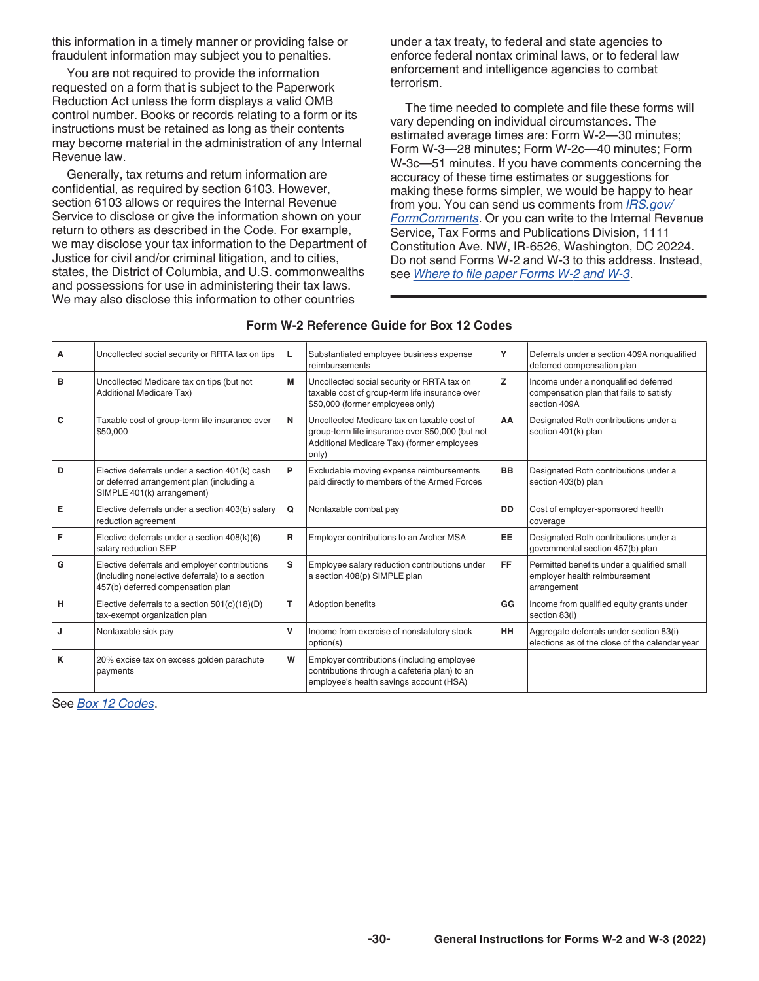<span id="page-29-0"></span>this information in a timely manner or providing false or fraudulent information may subject you to penalties.

You are not required to provide the information requested on a form that is subject to the Paperwork Reduction Act unless the form displays a valid OMB control number. Books or records relating to a form or its instructions must be retained as long as their contents may become material in the administration of any Internal Revenue law.

Generally, tax returns and return information are confidential, as required by section 6103. However, section 6103 allows or requires the Internal Revenue Service to disclose or give the information shown on your return to others as described in the Code. For example, we may disclose your tax information to the Department of Justice for civil and/or criminal litigation, and to cities, states, the District of Columbia, and U.S. commonwealths and possessions for use in administering their tax laws. We may also disclose this information to other countries

under a tax treaty, to federal and state agencies to enforce federal nontax criminal laws, or to federal law enforcement and intelligence agencies to combat terrorism.

The time needed to complete and file these forms will vary depending on individual circumstances. The estimated average times are: Form W-2—30 minutes; Form W-3—28 minutes; Form W-2c—40 minutes; Form W-3c—51 minutes. If you have comments concerning the accuracy of these time estimates or suggestions for making these forms simpler, we would be happy to hear from you. You can send us comments from *[IRS.gov/](https://www.irs.gov/formcomments) [FormComments](https://www.irs.gov/formcomments)*. Or you can write to the Internal Revenue Service, Tax Forms and Publications Division, 1111 Constitution Ave. NW, IR-6526, Washington, DC 20224. Do not send Forms W-2 and W-3 to this address. Instead, see *[Where to file paper Forms W-2 and W-3](#page-5-0)*.

| A | Uncollected social security or RRTA tax on tips                                                                                      | L | Substantiated employee business expense<br>reimbursements                                                                                              | Y         | Deferrals under a section 409A nonqualified<br>deferred compensation plan                       |
|---|--------------------------------------------------------------------------------------------------------------------------------------|---|--------------------------------------------------------------------------------------------------------------------------------------------------------|-----------|-------------------------------------------------------------------------------------------------|
| B | Uncollected Medicare tax on tips (but not<br><b>Additional Medicare Tax)</b>                                                         | M | Uncollected social security or RRTA tax on<br>taxable cost of group-term life insurance over<br>\$50,000 (former employees only)                       | z         | Income under a nonqualified deferred<br>compensation plan that fails to satisfy<br>section 409A |
| c | Taxable cost of group-term life insurance over<br>\$50,000                                                                           | N | Uncollected Medicare tax on taxable cost of<br>group-term life insurance over \$50,000 (but not<br>Additional Medicare Tax) (former employees<br>only) | AA        | Designated Roth contributions under a<br>section 401(k) plan                                    |
| D | Elective deferrals under a section 401(k) cash<br>or deferred arrangement plan (including a<br>SIMPLE 401(k) arrangement)            | P | Excludable moving expense reimbursements<br>paid directly to members of the Armed Forces                                                               | <b>BB</b> | Designated Roth contributions under a<br>section 403(b) plan                                    |
| Е | Elective deferrals under a section 403(b) salary<br>reduction agreement                                                              | Q | Nontaxable combat pay                                                                                                                                  | <b>DD</b> | Cost of employer-sponsored health<br>coverage                                                   |
| F | Elective deferrals under a section 408(k)(6)<br>salary reduction SEP                                                                 | R | Employer contributions to an Archer MSA                                                                                                                | EE        | Designated Roth contributions under a<br>governmental section 457(b) plan                       |
| G | Elective deferrals and employer contributions<br>(including nonelective deferrals) to a section<br>457(b) deferred compensation plan | s | Employee salary reduction contributions under<br>a section 408(p) SIMPLE plan                                                                          | <b>FF</b> | Permitted benefits under a qualified small<br>employer health reimbursement<br>arrangement      |
| н | Elective deferrals to a section $501(c)(18)(D)$<br>tax-exempt organization plan                                                      | т | <b>Adoption benefits</b>                                                                                                                               | GG        | Income from qualified equity grants under<br>section 83(i)                                      |
| J | Nontaxable sick pay                                                                                                                  | v | Income from exercise of nonstatutory stock<br>option(s)                                                                                                | HH        | Aggregate deferrals under section 83(i)<br>elections as of the close of the calendar year       |
| K | 20% excise tax on excess golden parachute<br>payments                                                                                | W | Employer contributions (including employee<br>contributions through a cafeteria plan) to an<br>employee's health savings account (HSA)                 |           |                                                                                                 |

### **Form W-2 Reference Guide for Box 12 Codes**

See *[Box 12 Codes](#page-17-0)*.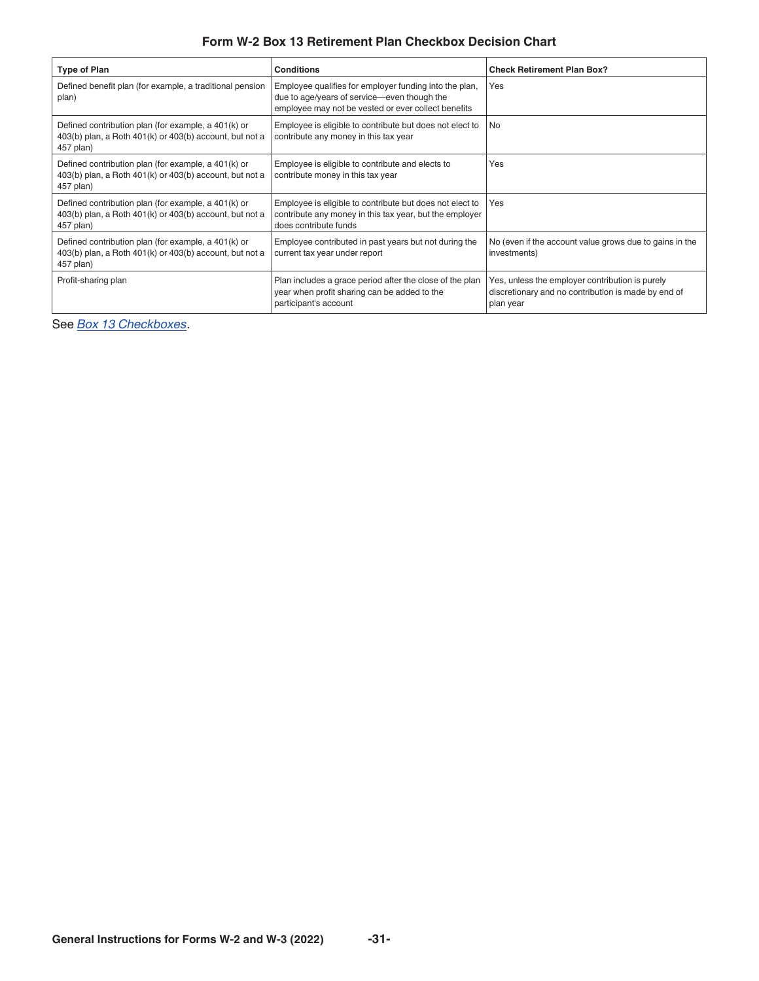## **Form W-2 Box 13 Retirement Plan Checkbox Decision Chart**

<span id="page-30-0"></span>

| <b>Type of Plan</b>                                                                                                         | <b>Conditions</b>                                                                                                                                            | <b>Check Retirement Plan Box?</b>                                                                                   |
|-----------------------------------------------------------------------------------------------------------------------------|--------------------------------------------------------------------------------------------------------------------------------------------------------------|---------------------------------------------------------------------------------------------------------------------|
| Defined benefit plan (for example, a traditional pension<br>plan)                                                           | Employee qualifies for employer funding into the plan,<br>due to age/years of service-even though the<br>employee may not be vested or ever collect benefits | Yes                                                                                                                 |
| Defined contribution plan (for example, a 401(k) or<br>403(b) plan, a Roth 401(k) or 403(b) account, but not a<br>457 plan) | Employee is eligible to contribute but does not elect to<br>contribute any money in this tax year                                                            | N <sub>o</sub>                                                                                                      |
| Defined contribution plan (for example, a 401(k) or<br>403(b) plan, a Roth 401(k) or 403(b) account, but not a<br>457 plan) | Employee is eligible to contribute and elects to<br>contribute money in this tax year                                                                        | Yes                                                                                                                 |
| Defined contribution plan (for example, a 401(k) or<br>403(b) plan, a Roth 401(k) or 403(b) account, but not a<br>457 plan) | Employee is eligible to contribute but does not elect to<br>contribute any money in this tax year, but the employer<br>does contribute funds                 | Yes                                                                                                                 |
| Defined contribution plan (for example, a 401(k) or<br>403(b) plan, a Roth 401(k) or 403(b) account, but not a<br>457 plan) | Employee contributed in past years but not during the<br>current tax year under report                                                                       | No (even if the account value grows due to gains in the<br>investments)                                             |
| Profit-sharing plan                                                                                                         | Plan includes a grace period after the close of the plan<br>year when profit sharing can be added to the<br>participant's account                            | Yes, unless the employer contribution is purely<br>discretionary and no contribution is made by end of<br>plan year |

See *[Box 13 Checkboxes](#page-21-0)*.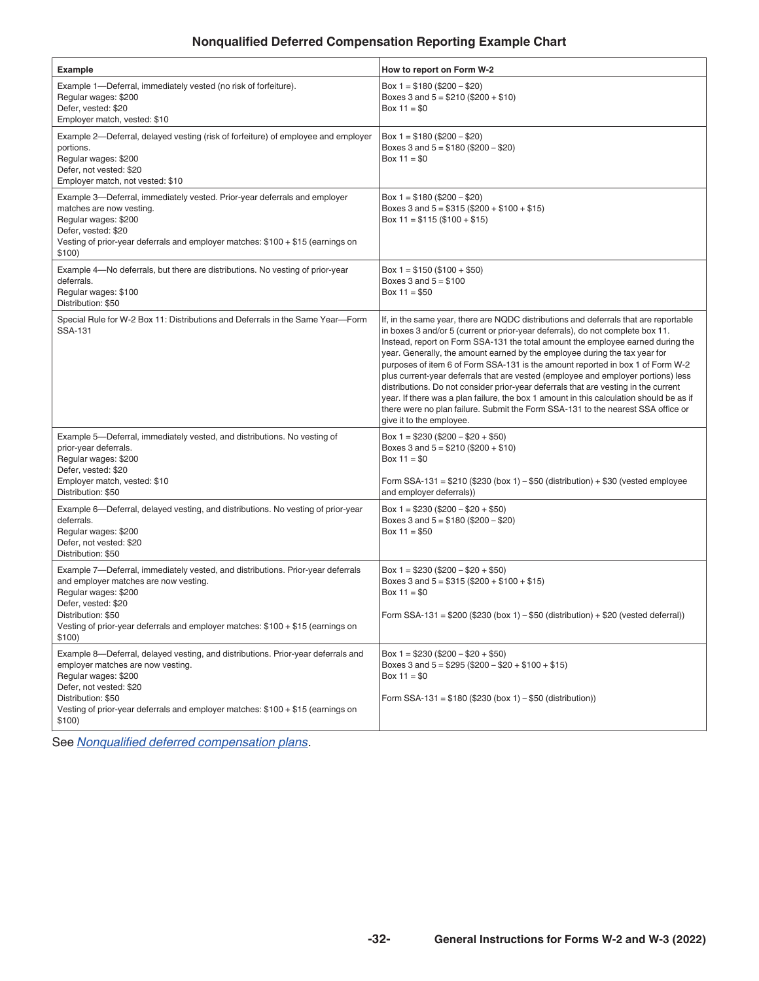## **Nonqualified Deferred Compensation Reporting Example Chart**

<span id="page-31-0"></span>

| Example                                                                                                                                                                                                                                                                                     | How to report on Form W-2                                                                                                                                                                                                                                                                                                                                                                                                                                                                                                                                                                                                                                                                                                                                                                                        |
|---------------------------------------------------------------------------------------------------------------------------------------------------------------------------------------------------------------------------------------------------------------------------------------------|------------------------------------------------------------------------------------------------------------------------------------------------------------------------------------------------------------------------------------------------------------------------------------------------------------------------------------------------------------------------------------------------------------------------------------------------------------------------------------------------------------------------------------------------------------------------------------------------------------------------------------------------------------------------------------------------------------------------------------------------------------------------------------------------------------------|
| Example 1-Deferral, immediately vested (no risk of forfeiture).<br>Regular wages: \$200<br>Defer, vested: \$20<br>Employer match, vested: \$10                                                                                                                                              | Box $1 = $180 ( $200 - $20)$<br>Boxes 3 and $5 = $210 ($200 + $10)$<br>Box $11 = $0$                                                                                                                                                                                                                                                                                                                                                                                                                                                                                                                                                                                                                                                                                                                             |
| Example 2-Deferral, delayed vesting (risk of forfeiture) of employee and employer<br>portions.<br>Regular wages: \$200<br>Defer, not vested: \$20<br>Employer match, not vested: \$10                                                                                                       | Box $1 = $180 ( $200 - $20)$<br>Boxes 3 and $5 = $180 ( $200 - $20)$<br>Box $11 = $0$                                                                                                                                                                                                                                                                                                                                                                                                                                                                                                                                                                                                                                                                                                                            |
| Example 3—Deferral, immediately vested. Prior-year deferrals and employer<br>matches are now vesting.<br>Regular wages: \$200<br>Defer, vested: \$20<br>Vesting of prior-year deferrals and employer matches: $$100 + $15$ (earnings on<br>\$100)                                           | Box $1 = $180 ( $200 - $20)$<br>Boxes 3 and $5 = $315 ($200 + $100 + $15)$<br>Box $11 = $115 ($100 + $15)$                                                                                                                                                                                                                                                                                                                                                                                                                                                                                                                                                                                                                                                                                                       |
| Example 4—No deferrals, but there are distributions. No vesting of prior-year<br>deferrals.<br>Regular wages: \$100<br>Distribution: \$50                                                                                                                                                   | Box $1 = $150 ( $100 + $50)$<br>Boxes $3$ and $5 = $100$<br>Box $11 = $50$                                                                                                                                                                                                                                                                                                                                                                                                                                                                                                                                                                                                                                                                                                                                       |
| Special Rule for W-2 Box 11: Distributions and Deferrals in the Same Year-Form<br>SSA-131                                                                                                                                                                                                   | If, in the same year, there are NQDC distributions and deferrals that are reportable<br>in boxes 3 and/or 5 (current or prior-year deferrals), do not complete box 11.<br>Instead, report on Form SSA-131 the total amount the employee earned during the<br>year. Generally, the amount earned by the employee during the tax year for<br>purposes of item 6 of Form SSA-131 is the amount reported in box 1 of Form W-2<br>plus current-year deferrals that are vested (employee and employer portions) less<br>distributions. Do not consider prior-year deferrals that are vesting in the current<br>year. If there was a plan failure, the box 1 amount in this calculation should be as if<br>there were no plan failure. Submit the Form SSA-131 to the nearest SSA office or<br>give it to the employee. |
| Example 5-Deferral, immediately vested, and distributions. No vesting of<br>prior-year deferrals.<br>Regular wages: \$200<br>Defer, vested: \$20<br>Employer match, vested: \$10<br>Distribution: \$50                                                                                      | Box 1 = $$230 ($200 - $20 + $50)$<br>Boxes 3 and $5 = $210 ($200 + $10)$<br>Box $11 = $0$<br>Form SSA-131 = $$210$ (\$230 (box 1) – \$50 (distribution) + \$30 (vested employee<br>and employer deferrals))                                                                                                                                                                                                                                                                                                                                                                                                                                                                                                                                                                                                      |
| Example 6—Deferral, delayed vesting, and distributions. No vesting of prior-year<br>deferrals.<br>Regular wages: \$200<br>Defer, not vested: \$20<br>Distribution: \$50                                                                                                                     | Box 1 = $$230 ($200 - $20 + $50)$<br>Boxes 3 and $5 = $180 ( $200 - $20)$<br>Box $11 = $50$                                                                                                                                                                                                                                                                                                                                                                                                                                                                                                                                                                                                                                                                                                                      |
| Example 7-Deferral, immediately vested, and distributions. Prior-year deferrals<br>and employer matches are now vesting.<br>Regular wages: \$200<br>Defer, vested: \$20<br>Distribution: \$50<br>Vesting of prior-year deferrals and employer matches: \$100 + \$15 (earnings on<br>\$100)  | Box $1 = $230 ( $200 - $20 + $50)$<br>Boxes 3 and $5 = $315 ($200 + $100 + $15)$<br>Box $11 = $0$<br>Form SSA-131 = \$200 (\$230 (box 1) - \$50 (distribution) + \$20 (vested deferral))                                                                                                                                                                                                                                                                                                                                                                                                                                                                                                                                                                                                                         |
| Example 8-Deferral, delayed vesting, and distributions. Prior-year deferrals and<br>employer matches are now vesting.<br>Regular wages: \$200<br>Defer, not vested: \$20<br>Distribution: \$50<br>Vesting of prior-year deferrals and employer matches: \$100 + \$15 (earnings on<br>\$100) | Box $1 = $230 ( $200 - $20 + $50)$<br>Boxes 3 and $5 = $295 ($200 - $20 + $100 + $15)$<br>Box $11 = $0$<br>Form SSA-131 = $$180$ (\$230 (box 1) - \$50 (distribution))                                                                                                                                                                                                                                                                                                                                                                                                                                                                                                                                                                                                                                           |

See *[Nonqualified deferred compensation plans](#page-10-0)*.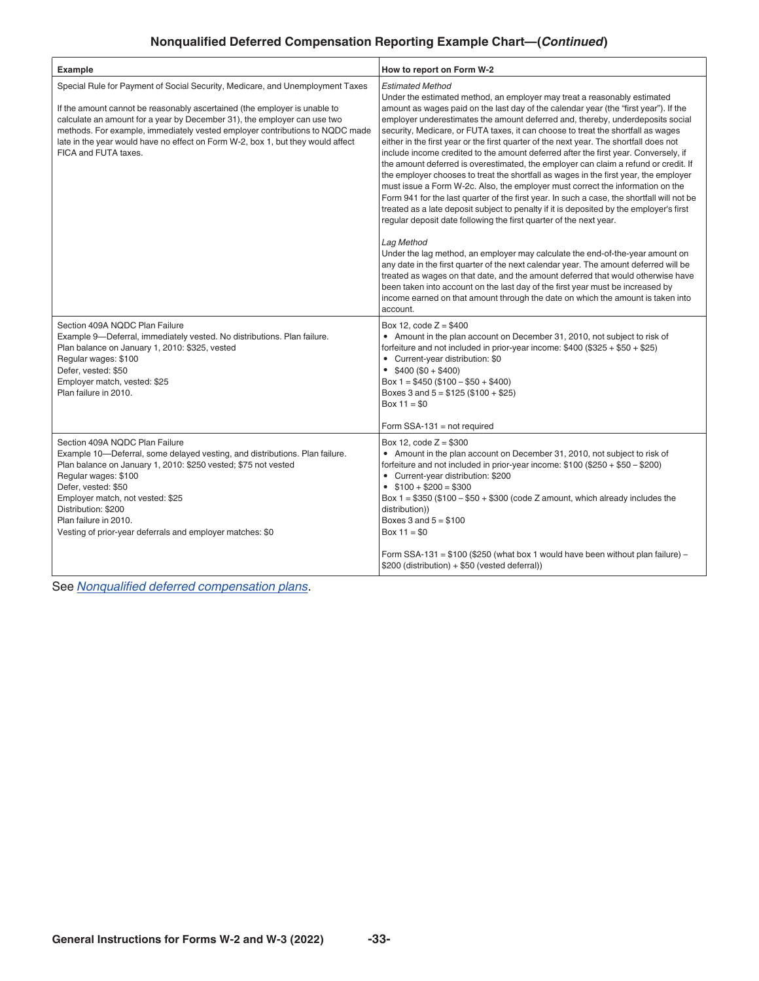## **Nonqualified Deferred Compensation Reporting Example Chart—(***Continued***)**

| <b>Example</b>                                                                                                                                                                                                                                                                                                                                                                                                                    | How to report on Form W-2                                                                                                                                                                                                                                                                                                                                                                                                                                                                                                                                                                                                                                                                                                                                                                                                                                                                                                                                                                                                                                                                                                                                                                                                                                                                                                                                                                                                                                                                                                                      |
|-----------------------------------------------------------------------------------------------------------------------------------------------------------------------------------------------------------------------------------------------------------------------------------------------------------------------------------------------------------------------------------------------------------------------------------|------------------------------------------------------------------------------------------------------------------------------------------------------------------------------------------------------------------------------------------------------------------------------------------------------------------------------------------------------------------------------------------------------------------------------------------------------------------------------------------------------------------------------------------------------------------------------------------------------------------------------------------------------------------------------------------------------------------------------------------------------------------------------------------------------------------------------------------------------------------------------------------------------------------------------------------------------------------------------------------------------------------------------------------------------------------------------------------------------------------------------------------------------------------------------------------------------------------------------------------------------------------------------------------------------------------------------------------------------------------------------------------------------------------------------------------------------------------------------------------------------------------------------------------------|
| Special Rule for Payment of Social Security, Medicare, and Unemployment Taxes<br>If the amount cannot be reasonably ascertained (the employer is unable to<br>calculate an amount for a year by December 31), the employer can use two<br>methods. For example, immediately vested employer contributions to NQDC made<br>late in the year would have no effect on Form W-2, box 1, but they would affect<br>FICA and FUTA taxes. | <b>Estimated Method</b><br>Under the estimated method, an employer may treat a reasonably estimated<br>amount as wages paid on the last day of the calendar year (the "first year"). If the<br>employer underestimates the amount deferred and, thereby, underdeposits social<br>security, Medicare, or FUTA taxes, it can choose to treat the shortfall as wages<br>either in the first year or the first quarter of the next year. The shortfall does not<br>include income credited to the amount deferred after the first year. Conversely, if<br>the amount deferred is overestimated, the employer can claim a refund or credit. If<br>the employer chooses to treat the shortfall as wages in the first year, the employer<br>must issue a Form W-2c. Also, the employer must correct the information on the<br>Form 941 for the last quarter of the first year. In such a case, the shortfall will not be<br>treated as a late deposit subject to penalty if it is deposited by the employer's first<br>regular deposit date following the first quarter of the next year.<br>Lag Method<br>Under the lag method, an employer may calculate the end-of-the-year amount on<br>any date in the first quarter of the next calendar year. The amount deferred will be<br>treated as wages on that date, and the amount deferred that would otherwise have<br>been taken into account on the last day of the first year must be increased by<br>income earned on that amount through the date on which the amount is taken into<br>account. |
| Section 409A NQDC Plan Failure<br>Example 9-Deferral, immediately vested. No distributions. Plan failure.<br>Plan balance on January 1, 2010: \$325, vested<br>Regular wages: \$100<br>Defer, vested: \$50<br>Employer match, vested: \$25<br>Plan failure in 2010.                                                                                                                                                               | Box 12, $code Z = $400$<br>• Amount in the plan account on December 31, 2010, not subject to risk of<br>forfeiture and not included in prior-year income: $$400 ($325 + $50 + $25)$<br>• Current-year distribution: \$0<br>$\bullet$ \$400 (\$0 + \$400)<br>Box $1 = $450 ($100 - $50 + $400)$<br>Boxes 3 and $5 = $125 ($100 + $25)$<br>Box $11 = $0$<br>Form $SSA-131 = not required$                                                                                                                                                                                                                                                                                                                                                                                                                                                                                                                                                                                                                                                                                                                                                                                                                                                                                                                                                                                                                                                                                                                                                        |
| Section 409A NQDC Plan Failure<br>Example 10-Deferral, some delayed vesting, and distributions. Plan failure.<br>Plan balance on January 1, 2010: \$250 vested; \$75 not vested<br>Regular wages: \$100<br>Defer, vested: \$50<br>Employer match, not vested: \$25<br>Distribution: \$200<br>Plan failure in 2010.<br>Vesting of prior-year deferrals and employer matches: \$0                                                   | Box 12, code $Z = $300$<br>• Amount in the plan account on December 31, 2010, not subject to risk of<br>forfeiture and not included in prior-year income: $$100 ($250 + $50 - $200)$<br>• Current-year distribution: \$200<br>$$100 + $200 = $300$<br>Box $1 = $350 ($100 - $50 + $300 (code Z amount, which already includes the$<br>distribution))<br>Boxes $3$ and $5 = $100$<br>Box $11 = $0$<br>Form SSA-131 = \$100 (\$250 (what box 1 would have been without plan failure) -<br>\$200 (distribution) + \$50 (vested deferral))                                                                                                                                                                                                                                                                                                                                                                                                                                                                                                                                                                                                                                                                                                                                                                                                                                                                                                                                                                                                         |

See *[Nonqualified deferred compensation plans](#page-10-0)*.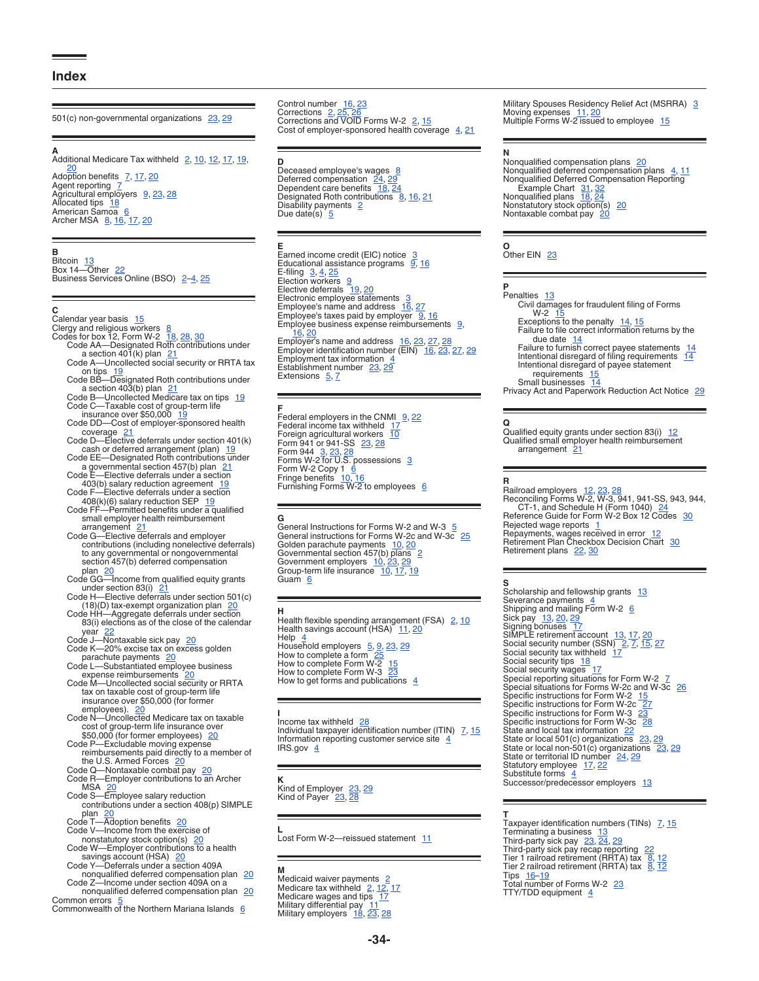#### <span id="page-33-0"></span>**Index**

501(c) non-governmental organizations [23,](#page-22-0) [29](#page-28-0)

**A**<br>Additional Medicare Tax withheld [2](#page-1-0), <u>[10,](#page-9-0) [12,](#page-11-0) [17](#page-16-0), [19,](#page-18-0)</u> [20](#page-19-0)<br>Adoption benefits [7,](#page-6-0) [17](#page-16-0), 20 Agent reporting [7](#page-6-0)<br>Agricultural employers [9,](#page-8-0) [23](#page-22-0), [28](#page-27-0) All̃ocated tips <u>[18](#page-17-0)</u><br>American Samoa <u>[6](#page-5-0)</u><br>Archer MSA <u>[8](#page-7-0), [16,](#page-15-0) [17](#page-16-0), [20](#page-19-0)</u>

**B** Bitcoin [13](#page-12-0) Box 14—Other [22](#page-21-0)<br>Business Services Online (BSO) [2–](#page-1-0)<u>[4](#page-3-0), [25](#page-24-0)</u>

- 
- 
- C<br>
Calendar year basis  $\frac{15}{2}$  $\frac{15}{2}$  $\frac{15}{2}$ <br>
Clergy and religious workers  $\frac{8}{2}$  $\frac{8}{2}$  $\frac{8}{2}$ <br>
Codes for box 12, Form W-2  $\frac{18}{2}$ ,  $\frac{28}{30}$  $\frac{28}{30}$  $\frac{28}{30}$ <br>
Code AA—Designated Roth contributions under<br>
a section 401(k) plan [21](#page-20-0)<br>
Code A—Uncollected soci
	-
	- a section 403(b) plan [21](#page-20-0)<br>Code B—Uncollected Medicare tax on tips [19](#page-18-0)<br>Code C—Taxable cost of group-term life
	-
	- insurance over \$50,000  $19$ <br>Code DD—Cost of employer-sponsored health<br>coverage  $21$
	- Code D—Elective deferrals under section 401(k) cash or deferred arrangement (plan) [19](#page-18-0) Code EE—Designated Roth contributions under
	- a governmental section 457(b) plan [21](#page-20-0) Code E—Elective deferrals under a section
	- 403(b) salary reduction agreement [19](#page-18-0)
	- Code F—Elective deferrals under a section<br>408(k)(6) salary reduction SEP [19](#page-18-0)<br>Code FF—Permitted benefits under a qualified
	- small employer health reimbursement<br>arrangement [21](#page-20-0)<br>Code G—Elective deferrals and employer
	- contributions (including nonelective deferrals) to any governmental or nongovernmental section 457(b) deferred compensation
	- plan [20](#page-19-0)<br>Code GG—Income from qualified equity grants<br>under section 83(i) [21](#page-20-0)
	- Code H—Elective deferrals under section 501(c)<br>(18)(D) tax-exempt organization plan [20](#page-19-0)<br>Code HH—Aggregate deferrals under section
	- 83(i) elections as of the close of the calendar year [22](#page-21-0)<br>Code J—Nontaxable sick pay [20](#page-19-0)

- 
- Code K—[20](#page-19-0)% excise tax on excess golden<br>
parachute payments 20<br>
Code L—Substantiated employee business<br>
expense reimbursements 20<br>
Code M—Uncollected social security or RRTA tax on taxable cost of group-term life insurance over \$50,000 (for former
- employees). [20](#page-19-0)<br>
Code N—Uncollected Medicare tax on taxable<br>
cost of group-term life insurance over<br>
\$50,000 (for former employees) 20<br>
Code P—Excludable moving expense<br>
reimbursements paid directly to a member of<br>
the U.S
- 
- 
- MSA [20](#page-19-0) Code S—Employee salary reduction contributions under a section 408(p) SIMPLE
- plan [20](#page-19-0)<br>Code T—Adoption benefits 20<br>Code V—Income from the exercise of
- 
- monstatutory stock option(s) [20](#page-19-0)<br>Code W—Employer contributions to a health<br>savings account (HSA) 20<br>Code Y—Deferrals under a section 409A<br>nonqualified deferred compensation plan<br>Code Z—Income under section 409A on a<br>nonqual
- 
- 
- Common errors [5](#page-4-0)<br>Commonwealth of the Northern Mariana Islands [6](#page-5-0)

Control number <u>[16,](#page-15-0) [23](#page-22-0)</u><br>Corrections [2,](#page-1-0) 2<u>5, [26](#page-25-0)</u><br>Corrections and VOID Forms W-2 2, <u>15</u><br>Cost of employer-sponsored health coverage <u>[4,](#page-3-0) [21](#page-20-0)</u>

Extensions [5,](#page-4-0) [7](#page-6-0)

**E**

**D**eceased employee's wages [8](#page-7-0)<br>Deferred compensation [24](#page-23-0), [29](#page-28-0)<br>Dependent care benefits <u>[18,](#page-17-0) [24](#page-23-0)</u><br>Designated Roth contributions 8, [16,](#page-15-0) [21](#page-20-0)<br>Disability payments [2](#page-1-0)<br>Due date(s) [5](#page-4-0)

Earned income credit (EIC) notice [3](#page-2-0)<br>Educational assistance programs [9](#page-8-0), [16](#page-15-0)<br>E-filing 3, [4,](#page-3-0) [25](#page-24-0)<br>Election workers 9 Elective deferrals [19](#page-18-0), [20](#page-19-0)<br>Electronic employee statements [3](#page-2-0) Employee's name and address [16,](#page-15-0) [27](#page-26-0) Employee's taxes paid by employer [9,](#page-8-0) [16](#page-15-0)<br>Employee business expense reimbursements [9](#page-8-0),  $16, 20$  $16, 20$ Employer's name and address [16](#page-15-0), [23,](#page-22-0) [27](#page-26-0), [28](#page-27-0)<br>Employer identification number (EIN) [16,](#page-15-0) [23](#page-22-0), [27,](#page-26-0) [29](#page-28-0) Employment tax information [4](#page-3-0)<br>Establishment number [23,](#page-22-0) [29](#page-28-0)

**F**<br>Federal employers in the CNMI [9,](#page-8-0) [22](#page-21-0)<br>Foreign agricultural workers [10](#page-9-0) Form 941 or 941-SS [23](#page-22-0), [28](#page-27-0)<br>Form 944 [3](#page-2-0), [23,](#page-22-0) 28<br>Forms W-2 for U.S. possessions 3<br>Form W-2 Copy 1 [6](#page-5-0)<br>Fringe benefits [10,](#page-9-0) [16](#page-15-0)<br>Furnishing Forms W-2 to employees 6

**G**<br>General Instructions for Forms W-2 and W-3  $\frac{5}{25}$  $\frac{5}{25}$  $\frac{5}{25}$  $\frac{5}{25}$  $\frac{5}{25}$ <br>General instructions for Forms W-2c and W-3c 25 Golden parachute payments [10](#page-9-0), [20](#page-19-0)<br>Governmental section 457(b) plans [2](#page-1-0)<br>Government employers 10, [23](#page-22-0), [29](#page-28-0) Group-term life insurance [10,](#page-9-0) [17](#page-16-0), [19](#page-18-0)<br>Guam [6](#page-5-0)

**H**<br>Health flexible spending arrangement (FSA) [2,](#page-1-0) <u>10</u><br>Health savings account (HSA) [11](#page-10-0), 2<u>0</u> Help [4](#page-3-0)<br>Household employers [5](#page-4-0), [9,](#page-8-0) [23](#page-22-0), [29](#page-28-0)<br>How to complete a form [25](#page-24-0) How to complete Form W-2 [15](#page-14-0)<br>How to complete Form W-3 [23](#page-22-0)<br>How to get forms and publications [4](#page-3-0)

## **I**<br>Income tax withheld [28](#page-27-0)

Individual taxpayer identification number (ITIN)  $\frac{7}{15}$  $\frac{7}{15}$  $\frac{7}{15}$  $\frac{7}{15}$  $\frac{7}{15}$ , 15<br>Information reporting customer service site  $\frac{4}{15}$  $\frac{4}{15}$  $\frac{4}{15}$ IRS.gov  $4$ 

**K**<br>Kind of Employer <u>[23,](#page-22-0) [29](#page-28-0)</u><br>Kind of Payer <u>[23](#page-22-0), [28](#page-27-0)</u>

**L**<br>Lost Form W-2—reissued statement [11](#page-10-0)

**M**<br>Medicaid waiver payments [2](#page-1-0)<br>Medicare tax withheld 2, [12,](#page-11-0) [17](#page-16-0)<br>Medicare wages and tips [17](#page-16-0) Military differential pay [11](#page-10-0)<br>Military employers [18,](#page-17-0) [23](#page-22-0), [28](#page-27-0)

Military Spouses Residency Relief Act (MSRRA) [3](#page-2-0) Moving expenses [11](#page-10-0), [20](#page-19-0)<br>Multiple Forms W-2 issued to employee [15](#page-14-0)

**N**<br>Nonqualified compensation plans <u>[20](#page-19-0)</u><br>Nonqualified Deferred Compensation Reporting<br>Nonqualified Deferred Compensation Reporting Example Chart [31,](#page-30-0) [32](#page-31-0)<br>
Nonqualified plans [18](#page-17-0), [24](#page-23-0)<br>
Nonstatutory stock option(s) [20](#page-19-0) Nontaxable combat pay [20](#page-19-0)

**O** Other EIN [23](#page-22-0)

## **P**<br>Penalties [13](#page-12-0)

- Civil damages for fraudulent filing of Forms  $W-2$  [15](#page-14-0) Exceptions to the penalty  $14, 15$  $14, 15$  $14, 15$ <br>Failure to file correct information returns by the due date [14](#page-13-0)<br>Failure to furnish correct payee statements 14<br>Intentional disregard of filing requirements 14 Intentional disregard of payee statement requirements [15](#page-14-0)<br>
Small businesses [14](#page-13-0)<br>
Privacy Act and Paperwork Reduction Act Notice [29](#page-28-0)
- 

**Q** Qualified equity grants under section 83(i) [12](#page-11-0) Qualified small employer health reimbursement<br>arrangement [21](#page-20-0)

**R**<br>Reconciling Forms W-2, W-3, 941, 941-SS, 943, 944,<br>Reconciling Forms W-2, W-3, 941, 941-SS, 943, 944,<br>CT-1, and Schedule H (Form 1040) [24](#page-23-0)<br>Reference Guide for Form W-2 Box 12 Codes [30](#page-29-0)<br>Rejected wage reports [1](#page-0-0)<br>Repayments,

**S**<br>Scholarship and fellowship grants [13](#page-12-0) Severance payments [4](#page-3-0)<br>Shipping and mailing Form W-2 [6](#page-5-0)<br>Sick pay [13](#page-12-0), [20](#page-19-0), [29](#page-28-0) Signing bonuses [17](#page-16-0)<br>SiMPLE retirement account [13](#page-12-0), [17,](#page-16-0) [20](#page-19-0)<br>Social security tax withheld 17<br>Social security tax withheld 17<br>Social security tips [18](#page-17-0)<br>Social security wages 17 Special reporting situations for Form W-2 [7](#page-6-0)<br>Special situations for Forms W-2 c and W-3c [26](#page-25-0)<br>Specific instructions for Form W-2 a [15](#page-14-0)<br>Specific instructions for Form W-2 [27](#page-26-0)<br>Specific instructions for Form W-3 [23](#page-22-0)<br>Specific instr Statutory employee [17,](#page-16-0) [22](#page-21-0)<br>Substitute forms [4](#page-3-0) Successor/predecessor employers [13](#page-12-0)

**T**<br>Taxpayer identification numbers (TINs) *\_*[7](#page-6-0), <u>15</u> Terminating a business [13](#page-12-0)<br>Third-party sick pay [23](#page-22-0), [24,](#page-23-0) [29](#page-28-0) Third-party sick pay recap reporting [22](#page-21-0)<br>Tier 1 railroad retirement (RRTA) tax [8,](#page-7-0) [12](#page-11-0)<br>Tier 2 railroad retirement (RRTA) tax 8, 12 Tips [16](#page-15-0)-[19](#page-18-0) Total number of Forms W-2 [23](#page-22-0) TTY/TDD equipment [4](#page-3-0)